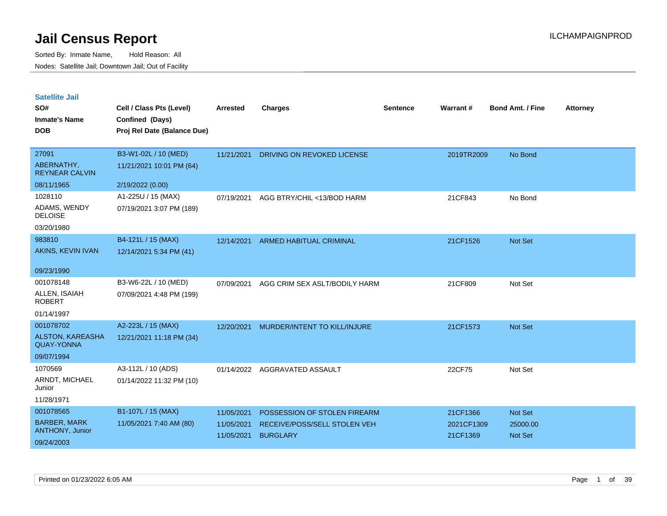| <b>Satellite Jail</b> |  |
|-----------------------|--|
|                       |  |

| SO#<br><b>Inmate's Name</b>                  | Cell / Class Pts (Level)<br>Confined (Days) | Arrested   | <b>Charges</b>                 | <b>Sentence</b> | Warrant#   | <b>Bond Amt. / Fine</b> | <b>Attorney</b> |
|----------------------------------------------|---------------------------------------------|------------|--------------------------------|-----------------|------------|-------------------------|-----------------|
| <b>DOB</b>                                   | Proj Rel Date (Balance Due)                 |            |                                |                 |            |                         |                 |
| 27091                                        | B3-W1-02L / 10 (MED)                        | 11/21/2021 | DRIVING ON REVOKED LICENSE     |                 | 2019TR2009 | No Bond                 |                 |
| ABERNATHY,<br><b>REYNEAR CALVIN</b>          | 11/21/2021 10:01 PM (64)                    |            |                                |                 |            |                         |                 |
| 08/11/1965                                   | 2/19/2022 (0.00)                            |            |                                |                 |            |                         |                 |
| 1028110                                      | A1-225U / 15 (MAX)                          | 07/19/2021 | AGG BTRY/CHIL <13/BOD HARM     |                 | 21CF843    | No Bond                 |                 |
| ADAMS, WENDY<br><b>DELOISE</b>               | 07/19/2021 3:07 PM (189)                    |            |                                |                 |            |                         |                 |
| 03/20/1980                                   |                                             |            |                                |                 |            |                         |                 |
| 983810                                       | B4-121L / 15 (MAX)                          | 12/14/2021 | <b>ARMED HABITUAL CRIMINAL</b> |                 | 21CF1526   | Not Set                 |                 |
| AKINS, KEVIN IVAN                            | 12/14/2021 5:34 PM (41)                     |            |                                |                 |            |                         |                 |
| 09/23/1990                                   |                                             |            |                                |                 |            |                         |                 |
| 001078148                                    | B3-W6-22L / 10 (MED)                        | 07/09/2021 | AGG CRIM SEX ASLT/BODILY HARM  |                 | 21CF809    | Not Set                 |                 |
| ALLEN, ISAIAH<br><b>ROBERT</b>               | 07/09/2021 4:48 PM (199)                    |            |                                |                 |            |                         |                 |
| 01/14/1997                                   |                                             |            |                                |                 |            |                         |                 |
| 001078702                                    | A2-223L / 15 (MAX)                          | 12/20/2021 | MURDER/INTENT TO KILL/INJURE   |                 | 21CF1573   | Not Set                 |                 |
| <b>ALSTON, KAREASHA</b><br><b>QUAY-YONNA</b> | 12/21/2021 11:18 PM (34)                    |            |                                |                 |            |                         |                 |
| 09/07/1994                                   |                                             |            |                                |                 |            |                         |                 |
| 1070569                                      | A3-112L / 10 (ADS)                          | 01/14/2022 | AGGRAVATED ASSAULT             |                 | 22CF75     | Not Set                 |                 |
| ARNDT, MICHAEL<br>Junior                     | 01/14/2022 11:32 PM (10)                    |            |                                |                 |            |                         |                 |
| 11/28/1971                                   |                                             |            |                                |                 |            |                         |                 |
| 001078565                                    | B1-107L / 15 (MAX)                          | 11/05/2021 | POSSESSION OF STOLEN FIREARM   |                 | 21CF1366   | Not Set                 |                 |
| <b>BARBER, MARK</b><br>ANTHONY, Junior       | 11/05/2021 7:40 AM (80)                     | 11/05/2021 | RECEIVE/POSS/SELL STOLEN VEH   |                 | 2021CF1309 | 25000.00                |                 |
| 09/24/2003                                   |                                             | 11/05/2021 | <b>BURGLARY</b>                |                 | 21CF1369   | Not Set                 |                 |
|                                              |                                             |            |                                |                 |            |                         |                 |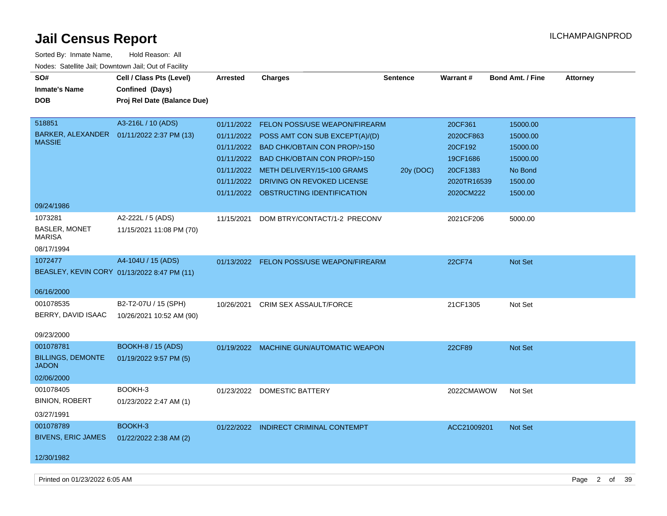| Sorted By: Inmate Name,                               | Hold Reason: All                            |            |                                          |                 |                 |                         |                 |
|-------------------------------------------------------|---------------------------------------------|------------|------------------------------------------|-----------------|-----------------|-------------------------|-----------------|
| Nodes: Satellite Jail; Downtown Jail; Out of Facility |                                             |            |                                          |                 |                 |                         |                 |
| SO#                                                   | Cell / Class Pts (Level)                    | Arrested   | <b>Charges</b>                           | <b>Sentence</b> | <b>Warrant#</b> | <b>Bond Amt. / Fine</b> | <b>Attorney</b> |
| <b>Inmate's Name</b>                                  | Confined (Days)                             |            |                                          |                 |                 |                         |                 |
| <b>DOB</b>                                            | Proj Rel Date (Balance Due)                 |            |                                          |                 |                 |                         |                 |
|                                                       |                                             |            |                                          |                 |                 |                         |                 |
| 518851                                                | A3-216L / 10 (ADS)                          | 01/11/2022 | <b>FELON POSS/USE WEAPON/FIREARM</b>     |                 | 20CF361         | 15000.00                |                 |
| <b>MASSIE</b>                                         | BARKER, ALEXANDER  01/11/2022 2:37 PM (13)  | 01/11/2022 | POSS AMT CON SUB EXCEPT(A)/(D)           |                 | 2020CF863       | 15000.00                |                 |
|                                                       |                                             |            | 01/11/2022 BAD CHK/OBTAIN CON PROP/>150  |                 | 20CF192         | 15000.00                |                 |
|                                                       |                                             | 01/11/2022 | <b>BAD CHK/OBTAIN CON PROP/&gt;150</b>   |                 | 19CF1686        | 15000.00                |                 |
|                                                       |                                             |            | 01/11/2022 METH DELIVERY/15<100 GRAMS    | 20y (DOC)       | 20CF1383        | No Bond                 |                 |
|                                                       |                                             | 01/11/2022 | DRIVING ON REVOKED LICENSE               |                 | 2020TR16539     | 1500.00                 |                 |
|                                                       |                                             |            | 01/11/2022 OBSTRUCTING IDENTIFICATION    |                 | 2020CM222       | 1500.00                 |                 |
| 09/24/1986                                            |                                             |            |                                          |                 |                 |                         |                 |
| 1073281                                               | A2-222L / 5 (ADS)                           | 11/15/2021 | DOM BTRY/CONTACT/1-2 PRECONV             |                 | 2021CF206       | 5000.00                 |                 |
| <b>BASLER, MONET</b><br>MARISA                        | 11/15/2021 11:08 PM (70)                    |            |                                          |                 |                 |                         |                 |
| 08/17/1994                                            |                                             |            |                                          |                 |                 |                         |                 |
| 1072477                                               | A4-104U / 15 (ADS)                          |            | 01/13/2022 FELON POSS/USE WEAPON/FIREARM |                 | 22CF74          | Not Set                 |                 |
|                                                       | BEASLEY, KEVIN CORY 01/13/2022 8:47 PM (11) |            |                                          |                 |                 |                         |                 |
|                                                       |                                             |            |                                          |                 |                 |                         |                 |
| 06/16/2000                                            |                                             |            |                                          |                 |                 |                         |                 |
| 001078535                                             | B2-T2-07U / 15 (SPH)                        | 10/26/2021 | CRIM SEX ASSAULT/FORCE                   |                 | 21CF1305        | Not Set                 |                 |
| BERRY, DAVID ISAAC                                    | 10/26/2021 10:52 AM (90)                    |            |                                          |                 |                 |                         |                 |
| 09/23/2000                                            |                                             |            |                                          |                 |                 |                         |                 |
| 001078781                                             | <b>BOOKH-8 / 15 (ADS)</b>                   |            | 01/19/2022 MACHINE GUN/AUTOMATIC WEAPON  |                 | 22CF89          | <b>Not Set</b>          |                 |
| <b>BILLINGS, DEMONTE</b>                              | 01/19/2022 9:57 PM (5)                      |            |                                          |                 |                 |                         |                 |
| <b>JADON</b>                                          |                                             |            |                                          |                 |                 |                         |                 |
| 02/06/2000                                            |                                             |            |                                          |                 |                 |                         |                 |
| 001078405                                             | BOOKH-3                                     |            | 01/23/2022 DOMESTIC BATTERY              |                 | 2022CMAWOW      | Not Set                 |                 |
| <b>BINION, ROBERT</b>                                 | 01/23/2022 2:47 AM (1)                      |            |                                          |                 |                 |                         |                 |
| 03/27/1991                                            |                                             |            |                                          |                 |                 |                         |                 |
| 001078789                                             | BOOKH-3                                     |            | 01/22/2022 INDIRECT CRIMINAL CONTEMPT    |                 | ACC21009201     | Not Set                 |                 |
| <b>BIVENS, ERIC JAMES</b>                             | 01/22/2022 2:38 AM (2)                      |            |                                          |                 |                 |                         |                 |
| 12/30/1982                                            |                                             |            |                                          |                 |                 |                         |                 |

Printed on 01/23/2022 6:05 AM **Page 2 of 39**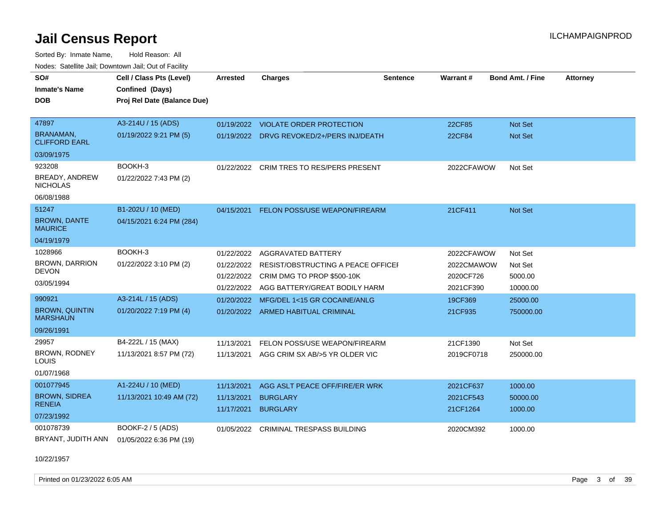Sorted By: Inmate Name, Hold Reason: All Nodes: Satellite Jail; Downtown Jail; Out of Facility

| SO#                                      | Cell / Class Pts (Level)    | <b>Arrested</b> | <b>Charges</b>                            | <b>Sentence</b> | Warrant#   | <b>Bond Amt. / Fine</b> | <b>Attorney</b> |
|------------------------------------------|-----------------------------|-----------------|-------------------------------------------|-----------------|------------|-------------------------|-----------------|
| <b>Inmate's Name</b>                     | Confined (Days)             |                 |                                           |                 |            |                         |                 |
| <b>DOB</b>                               | Proj Rel Date (Balance Due) |                 |                                           |                 |            |                         |                 |
|                                          |                             |                 |                                           |                 |            |                         |                 |
| 47897                                    | A3-214U / 15 (ADS)          |                 | 01/19/2022 VIOLATE ORDER PROTECTION       |                 | 22CF85     | <b>Not Set</b>          |                 |
| <b>BRANAMAN,</b><br><b>CLIFFORD EARL</b> | 01/19/2022 9:21 PM (5)      |                 | 01/19/2022 DRVG REVOKED/2+/PERS INJ/DEATH |                 | 22CF84     | <b>Not Set</b>          |                 |
| 03/09/1975                               |                             |                 |                                           |                 |            |                         |                 |
| 923208                                   | BOOKH-3                     |                 | 01/22/2022 CRIM TRES TO RES/PERS PRESENT  |                 | 2022CFAWOW | Not Set                 |                 |
| BREADY, ANDREW<br><b>NICHOLAS</b>        | 01/22/2022 7:43 PM (2)      |                 |                                           |                 |            |                         |                 |
| 06/08/1988                               |                             |                 |                                           |                 |            |                         |                 |
| 51247                                    | B1-202U / 10 (MED)          |                 | 04/15/2021 FELON POSS/USE WEAPON/FIREARM  |                 | 21CF411    | Not Set                 |                 |
| <b>BROWN, DANTE</b><br><b>MAURICE</b>    | 04/15/2021 6:24 PM (284)    |                 |                                           |                 |            |                         |                 |
| 04/19/1979                               |                             |                 |                                           |                 |            |                         |                 |
| 1028966                                  | BOOKH-3                     | 01/22/2022      | AGGRAVATED BATTERY                        |                 | 2022CFAWOW | Not Set                 |                 |
| <b>BROWN, DARRION</b>                    | 01/22/2022 3:10 PM (2)      | 01/22/2022      | RESIST/OBSTRUCTING A PEACE OFFICEL        |                 | 2022CMAWOW | Not Set                 |                 |
| <b>DEVON</b>                             |                             | 01/22/2022      | CRIM DMG TO PROP \$500-10K                |                 | 2020CF726  | 5000.00                 |                 |
| 03/05/1994                               |                             | 01/22/2022      | AGG BATTERY/GREAT BODILY HARM             |                 | 2021CF390  | 10000.00                |                 |
| 990921                                   | A3-214L / 15 (ADS)          | 01/20/2022      | MFG/DEL 1<15 GR COCAINE/ANLG              |                 | 19CF369    | 25000.00                |                 |
| <b>BROWN, QUINTIN</b><br><b>MARSHAUN</b> | 01/20/2022 7:19 PM (4)      |                 | 01/20/2022 ARMED HABITUAL CRIMINAL        |                 | 21CF935    | 750000.00               |                 |
| 09/26/1991                               |                             |                 |                                           |                 |            |                         |                 |
| 29957                                    | B4-222L / 15 (MAX)          | 11/13/2021      | FELON POSS/USE WEAPON/FIREARM             |                 | 21CF1390   | Not Set                 |                 |
| BROWN, RODNEY<br>LOUIS                   | 11/13/2021 8:57 PM (72)     | 11/13/2021      | AGG CRIM SX AB/>5 YR OLDER VIC            |                 | 2019CF0718 | 250000.00               |                 |
| 01/07/1968                               |                             |                 |                                           |                 |            |                         |                 |
| 001077945                                | A1-224U / 10 (MED)          | 11/13/2021      | AGG ASLT PEACE OFF/FIRE/ER WRK            |                 | 2021CF637  | 1000.00                 |                 |
| <b>BROWN, SIDREA</b>                     | 11/13/2021 10:49 AM (72)    | 11/13/2021      | <b>BURGLARY</b>                           |                 | 2021CF543  | 50000.00                |                 |
| <b>RENEIA</b>                            |                             | 11/17/2021      | <b>BURGLARY</b>                           |                 | 21CF1264   | 1000.00                 |                 |
| 07/23/1992                               |                             |                 |                                           |                 |            |                         |                 |
| 001078739                                | BOOKF-2 / 5 (ADS)           | 01/05/2022      | <b>CRIMINAL TRESPASS BUILDING</b>         |                 | 2020CM392  | 1000.00                 |                 |
| BRYANT, JUDITH ANN                       | 01/05/2022 6:36 PM (19)     |                 |                                           |                 |            |                         |                 |

10/22/1957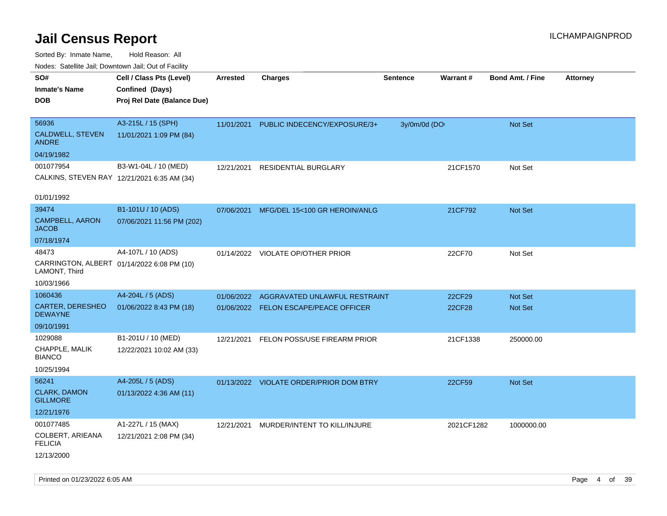| ivouss. Satellite Jali, Downtown Jali, Out of Facility |                                             |                 |                                         |                 |            |                         |                 |
|--------------------------------------------------------|---------------------------------------------|-----------------|-----------------------------------------|-----------------|------------|-------------------------|-----------------|
| SO#                                                    | Cell / Class Pts (Level)                    | <b>Arrested</b> | <b>Charges</b>                          | <b>Sentence</b> | Warrant#   | <b>Bond Amt. / Fine</b> | <b>Attorney</b> |
| <b>Inmate's Name</b>                                   | Confined (Days)                             |                 |                                         |                 |            |                         |                 |
| <b>DOB</b>                                             | Proj Rel Date (Balance Due)                 |                 |                                         |                 |            |                         |                 |
|                                                        |                                             |                 |                                         |                 |            |                         |                 |
| 56936                                                  | A3-215L / 15 (SPH)                          | 11/01/2021      | PUBLIC INDECENCY/EXPOSURE/3+            | 3y/0m/0d (DO    |            | Not Set                 |                 |
| CALDWELL, STEVEN<br><b>ANDRE</b>                       | 11/01/2021 1:09 PM (84)                     |                 |                                         |                 |            |                         |                 |
| 04/19/1982                                             |                                             |                 |                                         |                 |            |                         |                 |
| 001077954                                              | B3-W1-04L / 10 (MED)                        | 12/21/2021      | <b>RESIDENTIAL BURGLARY</b>             |                 | 21CF1570   | Not Set                 |                 |
|                                                        | CALKINS, STEVEN RAY 12/21/2021 6:35 AM (34) |                 |                                         |                 |            |                         |                 |
| 01/01/1992                                             |                                             |                 |                                         |                 |            |                         |                 |
| 39474                                                  | B1-101U / 10 (ADS)                          | 07/06/2021      | MFG/DEL 15<100 GR HEROIN/ANLG           |                 | 21CF792    | Not Set                 |                 |
| CAMPBELL, AARON<br><b>JACOB</b>                        | 07/06/2021 11:56 PM (202)                   |                 |                                         |                 |            |                         |                 |
| 07/18/1974                                             |                                             |                 |                                         |                 |            |                         |                 |
| 48473                                                  | A4-107L / 10 (ADS)                          |                 | 01/14/2022 VIOLATE OP/OTHER PRIOR       |                 | 22CF70     | Not Set                 |                 |
| LAMONT, Third                                          | CARRINGTON, ALBERT 01/14/2022 6:08 PM (10)  |                 |                                         |                 |            |                         |                 |
| 10/03/1966                                             |                                             |                 |                                         |                 |            |                         |                 |
| 1060436                                                | A4-204L / 5 (ADS)                           | 01/06/2022      | AGGRAVATED UNLAWFUL RESTRAINT           |                 | 22CF29     | <b>Not Set</b>          |                 |
| <b>CARTER, DERESHEO</b><br><b>DEWAYNE</b>              | 01/06/2022 8:43 PM (18)                     |                 | 01/06/2022 FELON ESCAPE/PEACE OFFICER   |                 | 22CF28     | Not Set                 |                 |
| 09/10/1991                                             |                                             |                 |                                         |                 |            |                         |                 |
| 1029088                                                | B1-201U / 10 (MED)                          | 12/21/2021      | FELON POSS/USE FIREARM PRIOR            |                 | 21CF1338   | 250000.00               |                 |
| CHAPPLE, MALIK<br><b>BIANCO</b>                        | 12/22/2021 10:02 AM (33)                    |                 |                                         |                 |            |                         |                 |
| 10/25/1994                                             |                                             |                 |                                         |                 |            |                         |                 |
| 56241                                                  | A4-205L / 5 (ADS)                           |                 | 01/13/2022 VIOLATE ORDER/PRIOR DOM BTRY |                 | 22CF59     | Not Set                 |                 |
| <b>CLARK, DAMON</b><br><b>GILLMORE</b>                 | 01/13/2022 4:36 AM (11)                     |                 |                                         |                 |            |                         |                 |
| 12/21/1976                                             |                                             |                 |                                         |                 |            |                         |                 |
| 001077485                                              | A1-227L / 15 (MAX)                          | 12/21/2021      | MURDER/INTENT TO KILL/INJURE            |                 | 2021CF1282 | 1000000.00              |                 |
| COLBERT, ARIEANA<br><b>FELICIA</b>                     | 12/21/2021 2:08 PM (34)                     |                 |                                         |                 |            |                         |                 |
| 12/13/2000                                             |                                             |                 |                                         |                 |            |                         |                 |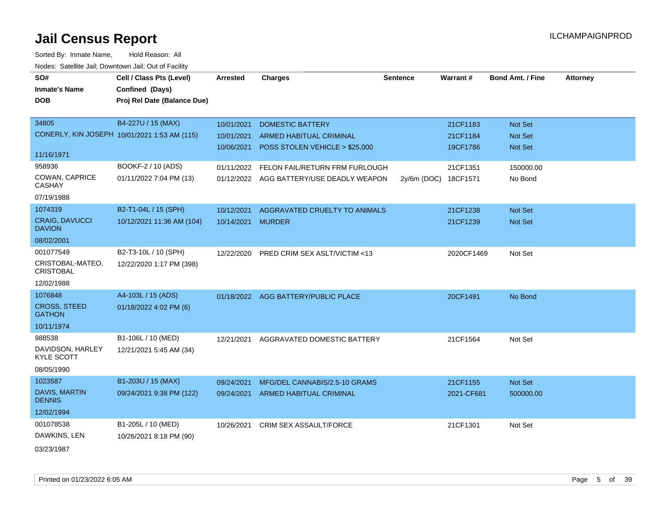| SO#                                    | Cell / Class Pts (Level)                     | <b>Arrested</b>   | <b>Charges</b>                            | <b>Sentence</b> | Warrant#             | <b>Bond Amt. / Fine</b> | <b>Attorney</b> |
|----------------------------------------|----------------------------------------------|-------------------|-------------------------------------------|-----------------|----------------------|-------------------------|-----------------|
| <b>Inmate's Name</b>                   | Confined (Days)                              |                   |                                           |                 |                      |                         |                 |
| <b>DOB</b>                             | Proj Rel Date (Balance Due)                  |                   |                                           |                 |                      |                         |                 |
|                                        |                                              |                   |                                           |                 |                      |                         |                 |
| 34805                                  | B4-227U / 15 (MAX)                           | 10/01/2021        | <b>DOMESTIC BATTERY</b>                   |                 | 21CF1183             | Not Set                 |                 |
|                                        | CONERLY, KIN JOSEPH 10/01/2021 1:53 AM (115) | 10/01/2021        | <b>ARMED HABITUAL CRIMINAL</b>            |                 | 21CF1184             | Not Set                 |                 |
|                                        |                                              | 10/06/2021        | POSS STOLEN VEHICLE > \$25,000            |                 | 19CF1786             | Not Set                 |                 |
| 11/16/1971                             |                                              |                   |                                           |                 |                      |                         |                 |
| 958936                                 | BOOKF-2 / 10 (ADS)                           |                   | 01/11/2022 FELON FAIL/RETURN FRM FURLOUGH |                 | 21CF1351             | 150000.00               |                 |
| COWAN, CAPRICE<br><b>CASHAY</b>        | 01/11/2022 7:04 PM (13)                      |                   | 01/12/2022 AGG BATTERY/USE DEADLY WEAPON  |                 | 2y/6m (DOC) 18CF1571 | No Bond                 |                 |
| 07/19/1988                             |                                              |                   |                                           |                 |                      |                         |                 |
| 1074319                                | B2-T1-04L / 15 (SPH)                         | 10/12/2021        | AGGRAVATED CRUELTY TO ANIMALS             |                 | 21CF1238             | Not Set                 |                 |
| <b>CRAIG, DAVUCCI</b><br><b>DAVION</b> | 10/12/2021 11:36 AM (104)                    | 10/14/2021 MURDER |                                           |                 | 21CF1239             | Not Set                 |                 |
| 08/02/2001                             |                                              |                   |                                           |                 |                      |                         |                 |
| 001077549                              | B2-T3-10L / 10 (SPH)                         | 12/22/2020        | PRED CRIM SEX ASLT/VICTIM <13             |                 | 2020CF1469           | Not Set                 |                 |
| CRISTOBAL-MATEO,<br><b>CRISTOBAL</b>   | 12/22/2020 1:17 PM (398)                     |                   |                                           |                 |                      |                         |                 |
| 12/02/1988                             |                                              |                   |                                           |                 |                      |                         |                 |
| 1076848                                | A4-103L / 15 (ADS)                           |                   | 01/18/2022 AGG BATTERY/PUBLIC PLACE       |                 | 20CF1491             | No Bond                 |                 |
| <b>CROSS, STEED</b><br><b>GATHON</b>   | 01/18/2022 4:02 PM (6)                       |                   |                                           |                 |                      |                         |                 |
| 10/11/1974                             |                                              |                   |                                           |                 |                      |                         |                 |
| 988538                                 | B1-106L / 10 (MED)                           | 12/21/2021        | AGGRAVATED DOMESTIC BATTERY               |                 | 21CF1564             | Not Set                 |                 |
| DAVIDSON, HARLEY<br><b>KYLE SCOTT</b>  | 12/21/2021 5:45 AM (34)                      |                   |                                           |                 |                      |                         |                 |
| 08/05/1990                             |                                              |                   |                                           |                 |                      |                         |                 |
| 1023587                                | B1-203U / 15 (MAX)                           | 09/24/2021        | MFG/DEL CANNABIS/2.5-10 GRAMS             |                 | 21CF1155             | Not Set                 |                 |
| DAVIS, MARTIN<br><b>DENNIS</b>         | 09/24/2021 9:38 PM (122)                     |                   | 09/24/2021 ARMED HABITUAL CRIMINAL        |                 | 2021-CF681           | 500000.00               |                 |
| 12/02/1994                             |                                              |                   |                                           |                 |                      |                         |                 |
| 001078538                              | B1-205L / 10 (MED)                           | 10/26/2021        | <b>CRIM SEX ASSAULT/FORCE</b>             |                 | 21CF1301             | Not Set                 |                 |
| DAWKINS, LEN                           | 10/26/2021 8:18 PM (90)                      |                   |                                           |                 |                      |                         |                 |
| 03/23/1987                             |                                              |                   |                                           |                 |                      |                         |                 |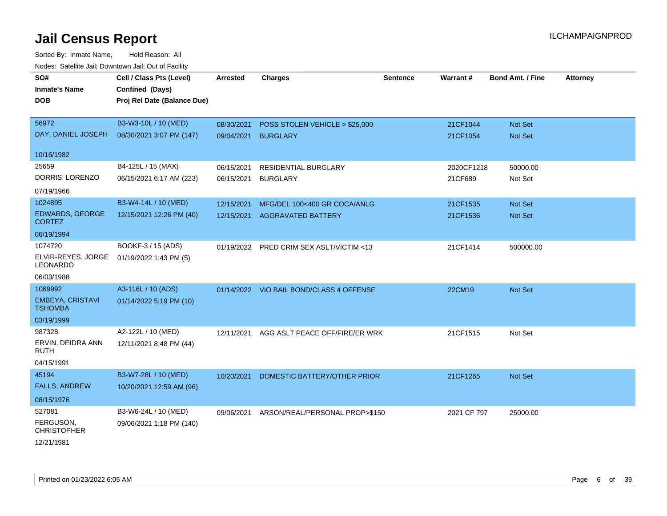| roacs. Catellite Jall, Downtown Jall, Out of Facility |                                             |                 |                                          |                 |             |                         |                 |
|-------------------------------------------------------|---------------------------------------------|-----------------|------------------------------------------|-----------------|-------------|-------------------------|-----------------|
| SO#<br><b>Inmate's Name</b>                           | Cell / Class Pts (Level)<br>Confined (Days) | <b>Arrested</b> | <b>Charges</b>                           | <b>Sentence</b> | Warrant#    | <b>Bond Amt. / Fine</b> | <b>Attorney</b> |
| <b>DOB</b>                                            | Proj Rel Date (Balance Due)                 |                 |                                          |                 |             |                         |                 |
| 56972                                                 | B3-W3-10L / 10 (MED)                        | 08/30/2021      | POSS STOLEN VEHICLE > \$25,000           |                 | 21CF1044    | Not Set                 |                 |
| DAY, DANIEL JOSEPH                                    | 08/30/2021 3:07 PM (147)                    | 09/04/2021      | <b>BURGLARY</b>                          |                 | 21CF1054    | <b>Not Set</b>          |                 |
| 10/16/1982                                            |                                             |                 |                                          |                 |             |                         |                 |
| 25659                                                 | B4-125L / 15 (MAX)                          | 06/15/2021      | <b>RESIDENTIAL BURGLARY</b>              |                 | 2020CF1218  | 50000.00                |                 |
| DORRIS, LORENZO                                       | 06/15/2021 6:17 AM (223)                    | 06/15/2021      | <b>BURGLARY</b>                          |                 | 21CF689     | Not Set                 |                 |
| 07/19/1966                                            |                                             |                 |                                          |                 |             |                         |                 |
| 1024895                                               | B3-W4-14L / 10 (MED)                        | 12/15/2021      | MFG/DEL 100<400 GR COCA/ANLG             |                 | 21CF1535    | Not Set                 |                 |
| EDWARDS, GEORGE<br><b>CORTEZ</b>                      | 12/15/2021 12:26 PM (40)                    | 12/15/2021      | <b>AGGRAVATED BATTERY</b>                |                 | 21CF1536    | Not Set                 |                 |
| 06/19/1994                                            |                                             |                 |                                          |                 |             |                         |                 |
| 1074720                                               | BOOKF-3 / 15 (ADS)                          |                 | 01/19/2022 PRED CRIM SEX ASLT/VICTIM <13 |                 | 21CF1414    | 500000.00               |                 |
| ELVIR-REYES, JORGE<br><b>LEONARDO</b>                 | 01/19/2022 1:43 PM (5)                      |                 |                                          |                 |             |                         |                 |
| 06/03/1988                                            |                                             |                 |                                          |                 |             |                         |                 |
| 1069992                                               | A3-116L / 10 (ADS)                          |                 | 01/14/2022 VIO BAIL BOND/CLASS 4 OFFENSE |                 | 22CM19      | Not Set                 |                 |
| <b>EMBEYA, CRISTAVI</b><br><b>TSHOMBA</b>             | 01/14/2022 5:19 PM (10)                     |                 |                                          |                 |             |                         |                 |
| 03/19/1999                                            |                                             |                 |                                          |                 |             |                         |                 |
| 987328                                                | A2-122L / 10 (MED)                          | 12/11/2021      | AGG ASLT PEACE OFF/FIRE/ER WRK           |                 | 21CF1515    | Not Set                 |                 |
| ERVIN, DEIDRA ANN<br><b>RUTH</b>                      | 12/11/2021 8:48 PM (44)                     |                 |                                          |                 |             |                         |                 |
| 04/15/1991                                            |                                             |                 |                                          |                 |             |                         |                 |
| 45194                                                 | B3-W7-28L / 10 (MED)                        | 10/20/2021      | DOMESTIC BATTERY/OTHER PRIOR             |                 | 21CF1265    | <b>Not Set</b>          |                 |
| <b>FALLS, ANDREW</b>                                  | 10/20/2021 12:59 AM (96)                    |                 |                                          |                 |             |                         |                 |
| 08/15/1976                                            |                                             |                 |                                          |                 |             |                         |                 |
| 527081                                                | B3-W6-24L / 10 (MED)                        | 09/06/2021      | ARSON/REAL/PERSONAL PROP>\$150           |                 | 2021 CF 797 | 25000.00                |                 |
| FERGUSON,<br><b>CHRISTOPHER</b>                       | 09/06/2021 1:18 PM (140)                    |                 |                                          |                 |             |                         |                 |
| 12/21/1981                                            |                                             |                 |                                          |                 |             |                         |                 |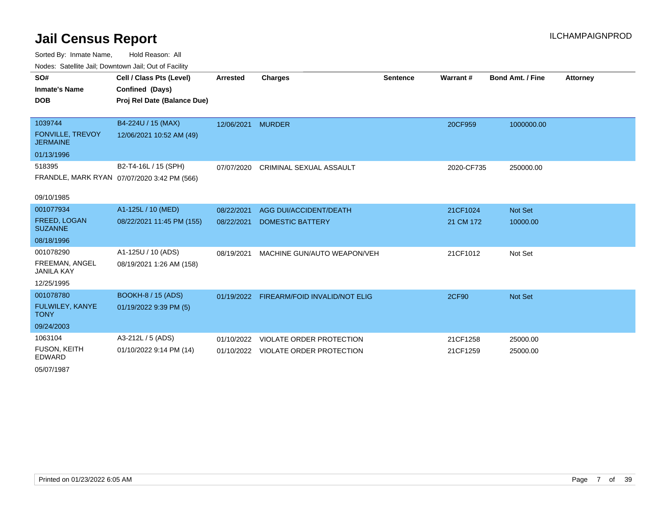Sorted By: Inmate Name, Hold Reason: All Nodes: Satellite Jail; Downtown Jail; Out of Facility

| SO#                                   | Cell / Class Pts (Level)                    | <b>Arrested</b>   | <b>Charges</b>                           | <b>Sentence</b> | Warrant#     | <b>Bond Amt. / Fine</b> | <b>Attorney</b> |
|---------------------------------------|---------------------------------------------|-------------------|------------------------------------------|-----------------|--------------|-------------------------|-----------------|
| <b>Inmate's Name</b>                  | Confined (Days)                             |                   |                                          |                 |              |                         |                 |
| <b>DOB</b>                            | Proj Rel Date (Balance Due)                 |                   |                                          |                 |              |                         |                 |
|                                       |                                             |                   |                                          |                 |              |                         |                 |
| 1039744                               | B4-224U / 15 (MAX)                          | 12/06/2021 MURDER |                                          |                 | 20CF959      | 1000000.00              |                 |
| FONVILLE, TREVOY<br><b>JERMAINE</b>   | 12/06/2021 10:52 AM (49)                    |                   |                                          |                 |              |                         |                 |
| 01/13/1996                            |                                             |                   |                                          |                 |              |                         |                 |
| 518395                                | B2-T4-16L / 15 (SPH)                        | 07/07/2020        | <b>CRIMINAL SEXUAL ASSAULT</b>           |                 | 2020-CF735   | 250000.00               |                 |
|                                       | FRANDLE, MARK RYAN 07/07/2020 3:42 PM (566) |                   |                                          |                 |              |                         |                 |
|                                       |                                             |                   |                                          |                 |              |                         |                 |
| 09/10/1985                            |                                             |                   |                                          |                 |              |                         |                 |
| 001077934                             | A1-125L / 10 (MED)                          | 08/22/2021        | <b>AGG DUI/ACCIDENT/DEATH</b>            |                 | 21CF1024     | Not Set                 |                 |
| <b>FREED, LOGAN</b><br><b>SUZANNE</b> | 08/22/2021 11:45 PM (155)                   | 08/22/2021        | <b>DOMESTIC BATTERY</b>                  |                 | 21 CM 172    | 10000.00                |                 |
| 08/18/1996                            |                                             |                   |                                          |                 |              |                         |                 |
| 001078290                             | A1-125U / 10 (ADS)                          | 08/19/2021        | MACHINE GUN/AUTO WEAPON/VEH              |                 | 21CF1012     | Not Set                 |                 |
| FREEMAN, ANGEL<br><b>JANILA KAY</b>   | 08/19/2021 1:26 AM (158)                    |                   |                                          |                 |              |                         |                 |
| 12/25/1995                            |                                             |                   |                                          |                 |              |                         |                 |
| 001078780                             | <b>BOOKH-8 / 15 (ADS)</b>                   |                   | 01/19/2022 FIREARM/FOID INVALID/NOT ELIG |                 | <b>2CF90</b> | Not Set                 |                 |
| FULWILEY, KANYE<br><b>TONY</b>        | 01/19/2022 9:39 PM (5)                      |                   |                                          |                 |              |                         |                 |
| 09/24/2003                            |                                             |                   |                                          |                 |              |                         |                 |
| 1063104                               | A3-212L / 5 (ADS)                           | 01/10/2022        | <b>VIOLATE ORDER PROTECTION</b>          |                 | 21CF1258     | 25000.00                |                 |
| <b>FUSON, KEITH</b><br>EDWARD         | 01/10/2022 9:14 PM (14)                     |                   | 01/10/2022 VIOLATE ORDER PROTECTION      |                 | 21CF1259     | 25000.00                |                 |

05/07/1987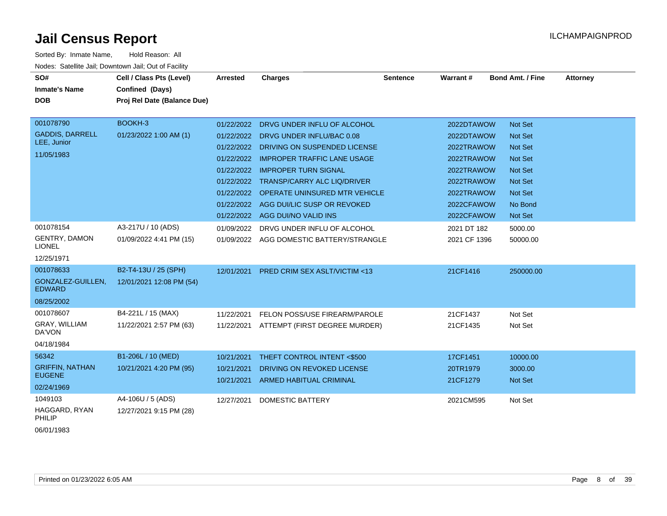| Sorted By: Inmate Name,            | Hold Reason: All                                      |                 |                                          |                 |              |                         |          |
|------------------------------------|-------------------------------------------------------|-----------------|------------------------------------------|-----------------|--------------|-------------------------|----------|
|                                    | Nodes: Satellite Jail; Downtown Jail; Out of Facility |                 |                                          |                 |              |                         |          |
| SO#                                | Cell / Class Pts (Level)                              | <b>Arrested</b> | <b>Charges</b>                           | <b>Sentence</b> | Warrant#     | <b>Bond Amt. / Fine</b> | Attorney |
| <b>Inmate's Name</b>               | Confined (Days)                                       |                 |                                          |                 |              |                         |          |
| <b>DOB</b>                         | Proj Rel Date (Balance Due)                           |                 |                                          |                 |              |                         |          |
|                                    |                                                       |                 |                                          |                 |              |                         |          |
| 001078790                          | BOOKH-3                                               | 01/22/2022      | DRVG UNDER INFLU OF ALCOHOL              |                 | 2022DTAWOW   | <b>Not Set</b>          |          |
| <b>GADDIS, DARRELL</b>             | 01/23/2022 1:00 AM (1)                                |                 | 01/22/2022 DRVG UNDER INFLU/BAC 0.08     |                 | 2022DTAWOW   | <b>Not Set</b>          |          |
| LEE, Junior                        |                                                       | 01/22/2022      | DRIVING ON SUSPENDED LICENSE             |                 | 2022TRAWOW   | <b>Not Set</b>          |          |
| 11/05/1983                         |                                                       |                 | 01/22/2022 IMPROPER TRAFFIC LANE USAGE   |                 | 2022TRAWOW   | <b>Not Set</b>          |          |
|                                    |                                                       |                 | 01/22/2022 IMPROPER TURN SIGNAL          |                 | 2022TRAWOW   | <b>Not Set</b>          |          |
|                                    |                                                       |                 | 01/22/2022 TRANSP/CARRY ALC LIQ/DRIVER   |                 | 2022TRAWOW   | <b>Not Set</b>          |          |
|                                    |                                                       |                 | 01/22/2022 OPERATE UNINSURED MTR VEHICLE |                 | 2022TRAWOW   | <b>Not Set</b>          |          |
|                                    |                                                       |                 | 01/22/2022 AGG DUI/LIC SUSP OR REVOKED   |                 | 2022CFAWOW   | No Bond                 |          |
|                                    |                                                       |                 | 01/22/2022 AGG DUI/NO VALID INS          |                 | 2022CFAWOW   | Not Set                 |          |
| 001078154                          | A3-217U / 10 (ADS)                                    | 01/09/2022      | DRVG UNDER INFLU OF ALCOHOL              |                 | 2021 DT 182  | 5000.00                 |          |
| GENTRY, DAMON<br><b>LIONEL</b>     | 01/09/2022 4:41 PM (15)                               | 01/09/2022      | AGG DOMESTIC BATTERY/STRANGLE            |                 | 2021 CF 1396 | 50000.00                |          |
| 12/25/1971                         |                                                       |                 |                                          |                 |              |                         |          |
| 001078633                          | B2-T4-13U / 25 (SPH)                                  | 12/01/2021      | <b>PRED CRIM SEX ASLT/VICTIM &lt;13</b>  |                 | 21CF1416     | 250000.00               |          |
| GONZALEZ-GUILLEN,<br><b>EDWARD</b> | 12/01/2021 12:08 PM (54)                              |                 |                                          |                 |              |                         |          |
| 08/25/2002                         |                                                       |                 |                                          |                 |              |                         |          |
| 001078607                          | B4-221L / 15 (MAX)                                    | 11/22/2021      | FELON POSS/USE FIREARM/PAROLE            |                 | 21CF1437     | Not Set                 |          |
| GRAY, WILLIAM<br>DA'VON            | 11/22/2021 2:57 PM (63)                               |                 | 11/22/2021 ATTEMPT (FIRST DEGREE MURDER) |                 | 21CF1435     | Not Set                 |          |
| 04/18/1984                         |                                                       |                 |                                          |                 |              |                         |          |
| 56342                              | B1-206L / 10 (MED)                                    | 10/21/2021      | THEFT CONTROL INTENT <\$500              |                 | 17CF1451     | 10000.00                |          |
| <b>GRIFFIN, NATHAN</b>             | 10/21/2021 4:20 PM (95)                               | 10/21/2021      | DRIVING ON REVOKED LICENSE               |                 | 20TR1979     | 3000.00                 |          |
| <b>EUGENE</b>                      |                                                       | 10/21/2021      | <b>ARMED HABITUAL CRIMINAL</b>           |                 | 21CF1279     | <b>Not Set</b>          |          |
| 02/24/1969                         |                                                       |                 |                                          |                 |              |                         |          |
| 1049103                            | A4-106U / 5 (ADS)                                     | 12/27/2021      | DOMESTIC BATTERY                         |                 | 2021CM595    | Not Set                 |          |
| HAGGARD, RYAN<br>PHILIP            | 12/27/2021 9:15 PM (28)                               |                 |                                          |                 |              |                         |          |

06/01/1983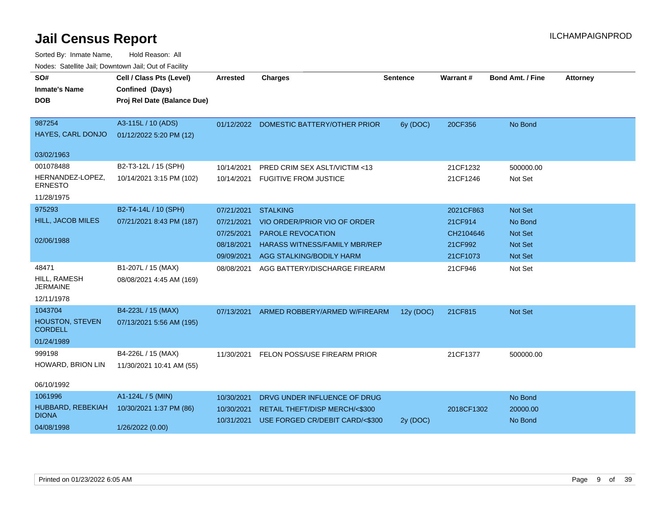| rioucs. Odichite Jah, Downtown Jah, Out of Facility |                             |                          |                                                                   |                 |            |                         |                 |
|-----------------------------------------------------|-----------------------------|--------------------------|-------------------------------------------------------------------|-----------------|------------|-------------------------|-----------------|
| SO#                                                 | Cell / Class Pts (Level)    | <b>Arrested</b>          | <b>Charges</b>                                                    | <b>Sentence</b> | Warrant#   | <b>Bond Amt. / Fine</b> | <b>Attorney</b> |
| <b>Inmate's Name</b>                                | Confined (Days)             |                          |                                                                   |                 |            |                         |                 |
| <b>DOB</b>                                          | Proj Rel Date (Balance Due) |                          |                                                                   |                 |            |                         |                 |
|                                                     |                             |                          |                                                                   |                 |            |                         |                 |
| 987254                                              | A3-115L / 10 (ADS)          |                          | 01/12/2022 DOMESTIC BATTERY/OTHER PRIOR                           | 6y (DOC)        | 20CF356    | No Bond                 |                 |
| HAYES, CARL DONJO                                   | 01/12/2022 5:20 PM (12)     |                          |                                                                   |                 |            |                         |                 |
| 03/02/1963                                          |                             |                          |                                                                   |                 |            |                         |                 |
| 001078488                                           | B2-T3-12L / 15 (SPH)        | 10/14/2021               | PRED CRIM SEX ASLT/VICTIM <13                                     |                 | 21CF1232   | 500000.00               |                 |
| HERNANDEZ-LOPEZ,<br><b>ERNESTO</b>                  | 10/14/2021 3:15 PM (102)    | 10/14/2021               | <b>FUGITIVE FROM JUSTICE</b>                                      |                 | 21CF1246   | Not Set                 |                 |
| 11/28/1975                                          |                             |                          |                                                                   |                 |            |                         |                 |
| 975293                                              | B2-T4-14L / 10 (SPH)        | 07/21/2021               | <b>STALKING</b>                                                   |                 | 2021CF863  | Not Set                 |                 |
| HILL, JACOB MILES                                   | 07/21/2021 8:43 PM (187)    | 07/21/2021               | VIO ORDER/PRIOR VIO OF ORDER                                      |                 | 21CF914    | No Bond                 |                 |
|                                                     |                             | 07/25/2021               | <b>PAROLE REVOCATION</b>                                          |                 | CH2104646  | <b>Not Set</b>          |                 |
| 02/06/1988                                          |                             | 08/18/2021               | <b>HARASS WITNESS/FAMILY MBR/REP</b>                              |                 | 21CF992    | Not Set                 |                 |
|                                                     |                             | 09/09/2021               | AGG STALKING/BODILY HARM                                          |                 | 21CF1073   | Not Set                 |                 |
| 48471                                               | B1-207L / 15 (MAX)          | 08/08/2021               | AGG BATTERY/DISCHARGE FIREARM                                     |                 | 21CF946    | Not Set                 |                 |
| HILL, RAMESH<br><b>JERMAINE</b>                     | 08/08/2021 4:45 AM (169)    |                          |                                                                   |                 |            |                         |                 |
| 12/11/1978                                          |                             |                          |                                                                   |                 |            |                         |                 |
| 1043704                                             | B4-223L / 15 (MAX)          | 07/13/2021               | ARMED ROBBERY/ARMED W/FIREARM                                     | 12y (DOC)       | 21CF815    | <b>Not Set</b>          |                 |
| <b>HOUSTON, STEVEN</b><br><b>CORDELL</b>            | 07/13/2021 5:56 AM (195)    |                          |                                                                   |                 |            |                         |                 |
| 01/24/1989                                          |                             |                          |                                                                   |                 |            |                         |                 |
| 999198                                              | B4-226L / 15 (MAX)          | 11/30/2021               | FELON POSS/USE FIREARM PRIOR                                      |                 | 21CF1377   | 500000.00               |                 |
| HOWARD, BRION LIN                                   | 11/30/2021 10:41 AM (55)    |                          |                                                                   |                 |            |                         |                 |
| 06/10/1992                                          |                             |                          |                                                                   |                 |            |                         |                 |
| 1061996                                             | A1-124L / 5 (MIN)           | 10/30/2021               | DRVG UNDER INFLUENCE OF DRUG                                      |                 |            | No Bond                 |                 |
| HUBBARD, REBEKIAH<br><b>DIONA</b>                   | 10/30/2021 1:37 PM (86)     | 10/30/2021<br>10/31/2021 | RETAIL THEFT/DISP MERCH/<\$300<br>USE FORGED CR/DEBIT CARD/<\$300 |                 | 2018CF1302 | 20000.00<br>No Bond     |                 |
| 04/08/1998                                          | 1/26/2022 (0.00)            |                          |                                                                   | 2y (DOC)        |            |                         |                 |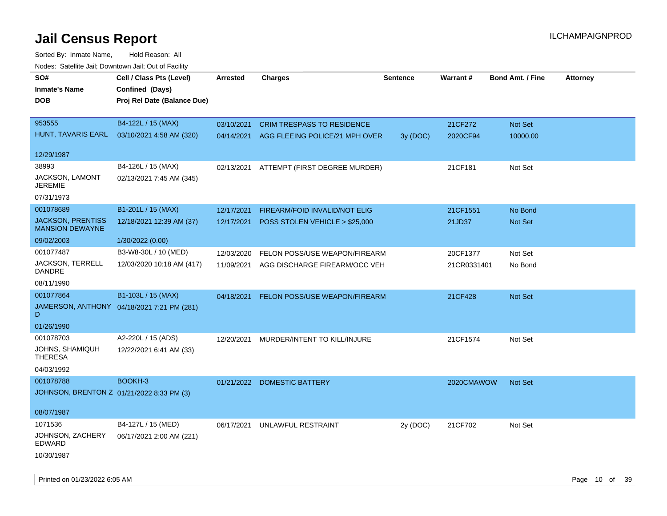| roaco. Catolino cali, Domntonn cali, Out of Facility |                                            |                 |                                           |                 |             |                         |                 |
|------------------------------------------------------|--------------------------------------------|-----------------|-------------------------------------------|-----------------|-------------|-------------------------|-----------------|
| SO#                                                  | Cell / Class Pts (Level)                   | <b>Arrested</b> | <b>Charges</b>                            | <b>Sentence</b> | Warrant#    | <b>Bond Amt. / Fine</b> | <b>Attorney</b> |
| <b>Inmate's Name</b>                                 | Confined (Days)                            |                 |                                           |                 |             |                         |                 |
| <b>DOB</b>                                           | Proj Rel Date (Balance Due)                |                 |                                           |                 |             |                         |                 |
|                                                      |                                            |                 |                                           |                 |             |                         |                 |
| 953555                                               | B4-122L / 15 (MAX)                         | 03/10/2021      | <b>CRIM TRESPASS TO RESIDENCE</b>         |                 | 21CF272     | Not Set                 |                 |
| HUNT, TAVARIS EARL                                   | 03/10/2021 4:58 AM (320)                   |                 | 04/14/2021 AGG FLEEING POLICE/21 MPH OVER | 3y (DOC)        | 2020CF94    | 10000.00                |                 |
|                                                      |                                            |                 |                                           |                 |             |                         |                 |
| 12/29/1987                                           |                                            |                 |                                           |                 |             |                         |                 |
| 38993                                                | B4-126L / 15 (MAX)                         |                 | 02/13/2021 ATTEMPT (FIRST DEGREE MURDER)  |                 | 21CF181     | Not Set                 |                 |
| JACKSON, LAMONT<br>JEREMIE                           | 02/13/2021 7:45 AM (345)                   |                 |                                           |                 |             |                         |                 |
| 07/31/1973                                           |                                            |                 |                                           |                 |             |                         |                 |
| 001078689                                            | B1-201L / 15 (MAX)                         | 12/17/2021      | <b>FIREARM/FOID INVALID/NOT ELIG</b>      |                 | 21CF1551    | No Bond                 |                 |
| <b>JACKSON, PRENTISS</b>                             | 12/18/2021 12:39 AM (37)                   | 12/17/2021      | POSS STOLEN VEHICLE > \$25,000            |                 | 21JD37      | Not Set                 |                 |
| <b>MANSION DEWAYNE</b>                               |                                            |                 |                                           |                 |             |                         |                 |
| 09/02/2003                                           | 1/30/2022 (0.00)                           |                 |                                           |                 |             |                         |                 |
| 001077487                                            | B3-W8-30L / 10 (MED)                       | 12/03/2020      | FELON POSS/USE WEAPON/FIREARM             |                 | 20CF1377    | Not Set                 |                 |
| JACKSON, TERRELL<br>DANDRE                           | 12/03/2020 10:18 AM (417)                  | 11/09/2021      | AGG DISCHARGE FIREARM/OCC VEH             |                 | 21CR0331401 | No Bond                 |                 |
| 08/11/1990                                           |                                            |                 |                                           |                 |             |                         |                 |
| 001077864                                            | B1-103L / 15 (MAX)                         | 04/18/2021      | FELON POSS/USE WEAPON/FIREARM             |                 | 21CF428     | Not Set                 |                 |
| D                                                    | JAMERSON, ANTHONY 04/18/2021 7:21 PM (281) |                 |                                           |                 |             |                         |                 |
| 01/26/1990                                           |                                            |                 |                                           |                 |             |                         |                 |
| 001078703                                            | A2-220L / 15 (ADS)                         | 12/20/2021      | MURDER/INTENT TO KILL/INJURE              |                 | 21CF1574    | Not Set                 |                 |
| JOHNS, SHAMIQUH<br><b>THERESA</b>                    | 12/22/2021 6:41 AM (33)                    |                 |                                           |                 |             |                         |                 |
| 04/03/1992                                           |                                            |                 |                                           |                 |             |                         |                 |
| 001078788                                            | BOOKH-3                                    |                 | 01/21/2022 DOMESTIC BATTERY               |                 | 2020CMAWOW  | <b>Not Set</b>          |                 |
| JOHNSON, BRENTON Z 01/21/2022 8:33 PM (3)            |                                            |                 |                                           |                 |             |                         |                 |
|                                                      |                                            |                 |                                           |                 |             |                         |                 |
| 08/07/1987                                           |                                            |                 |                                           |                 |             |                         |                 |
| 1071536                                              | B4-127L / 15 (MED)                         | 06/17/2021      | UNLAWFUL RESTRAINT                        | 2y (DOC)        | 21CF702     | Not Set                 |                 |
| JOHNSON, ZACHERY<br>EDWARD                           | 06/17/2021 2:00 AM (221)                   |                 |                                           |                 |             |                         |                 |
| 10/30/1987                                           |                                            |                 |                                           |                 |             |                         |                 |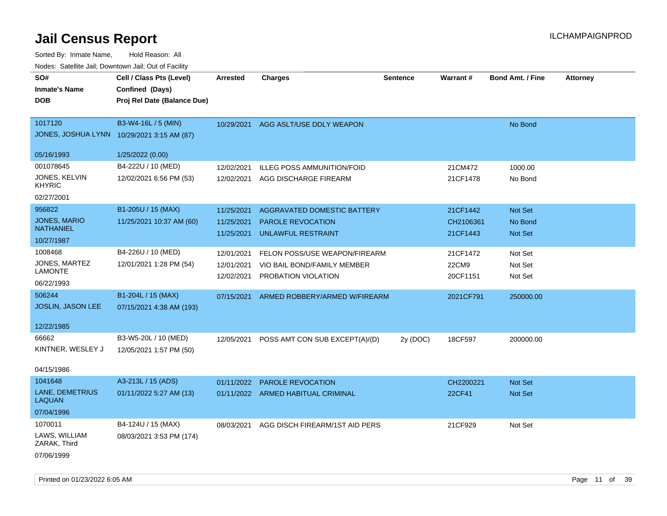| Sorted By: Inmate Name,                               | Hold Reason: All                           |            |                                   |                 |                 |                         |                 |
|-------------------------------------------------------|--------------------------------------------|------------|-----------------------------------|-----------------|-----------------|-------------------------|-----------------|
| Nodes: Satellite Jail; Downtown Jail; Out of Facility |                                            |            |                                   |                 |                 |                         |                 |
| SO#                                                   | Cell / Class Pts (Level)                   | Arrested   | Charges                           | <b>Sentence</b> | <b>Warrant#</b> | <b>Bond Amt. / Fine</b> | <b>Attorney</b> |
| <b>Inmate's Name</b>                                  | Confined (Days)                            |            |                                   |                 |                 |                         |                 |
| DOB                                                   | Proj Rel Date (Balance Due)                |            |                                   |                 |                 |                         |                 |
|                                                       |                                            |            |                                   |                 |                 |                         |                 |
| 1017120                                               | B3-W4-16L / 5 (MIN)                        | 10/29/2021 | AGG ASLT/USE DDLY WEAPON          |                 |                 | No Bond                 |                 |
|                                                       | JONES, JOSHUA LYNN 10/29/2021 3:15 AM (87) |            |                                   |                 |                 |                         |                 |
|                                                       |                                            |            |                                   |                 |                 |                         |                 |
| 05/16/1993                                            | 1/25/2022 (0.00)                           |            |                                   |                 |                 |                         |                 |
| 001078645                                             | B4-222U / 10 (MED)                         | 12/02/2021 | <b>ILLEG POSS AMMUNITION/FOID</b> |                 | 21CM472         | 1000.00                 |                 |
| JONES, KELVIN<br>KHYRIC                               | 12/02/2021 6:56 PM (53)                    | 12/02/2021 | AGG DISCHARGE FIREARM             |                 | 21CF1478        | No Bond                 |                 |
| 02/27/2001                                            |                                            |            |                                   |                 |                 |                         |                 |
| 956822                                                | B1-205U / 15 (MAX)                         | 11/25/2021 | AGGRAVATED DOMESTIC BATTERY       |                 | 21CF1442        | <b>Not Set</b>          |                 |
| JONES, MARIO                                          | 11/25/2021 10:37 AM (60)                   | 11/25/2021 | <b>PAROLE REVOCATION</b>          |                 | CH2106361       | No Bond                 |                 |
| NATHANIEL                                             |                                            | 11/25/2021 | UNLAWFUL RESTRAINT                |                 | 21CF1443        | <b>Not Set</b>          |                 |
| 10/27/1987                                            |                                            |            |                                   |                 |                 |                         |                 |
| 1008468                                               | B4-226U / 10 (MED)                         | 12/01/2021 | FELON POSS/USE WEAPON/FIREARM     |                 | 21CF1472        | Not Set                 |                 |
| JONES, MARTEZ                                         | 12/01/2021 1:28 PM (54)                    | 12/01/2021 | VIO BAIL BOND/FAMILY MEMBER       |                 | 22CM9           | Not Set                 |                 |
| LAMONTE                                               |                                            | 12/02/2021 | PROBATION VIOLATION               |                 | 20CF1151        | Not Set                 |                 |
| 06/22/1993                                            |                                            |            |                                   |                 |                 |                         |                 |
| 506244                                                | B1-204L / 15 (MAX)                         | 07/15/2021 | ARMED ROBBERY/ARMED W/FIREARM     |                 | 2021CF791       | 250000.00               |                 |
| JOSLIN, JASON LEE                                     | 07/15/2021 4:38 AM (193)                   |            |                                   |                 |                 |                         |                 |
| 12/22/1985                                            |                                            |            |                                   |                 |                 |                         |                 |
|                                                       |                                            |            |                                   |                 |                 |                         |                 |
| 66662                                                 | B3-W5-20L / 10 (MED)                       | 12/05/2021 | POSS AMT CON SUB EXCEPT(A)/(D)    | 2y (DOC)        | 18CF597         | 200000.00               |                 |
| KINTNER, WESLEY J                                     | 12/05/2021 1:57 PM (50)                    |            |                                   |                 |                 |                         |                 |
| 04/15/1986                                            |                                            |            |                                   |                 |                 |                         |                 |
| 1041648                                               | A3-213L / 15 (ADS)                         | 01/11/2022 | <b>PAROLE REVOCATION</b>          |                 | CH2200221       | <b>Not Set</b>          |                 |
| <b>LANE, DEMETRIUS</b><br>LAQUAN                      | 01/11/2022 5:27 AM (13)                    | 01/11/2022 | ARMED HABITUAL CRIMINAL           |                 | 22CF41          | <b>Not Set</b>          |                 |
| 07/04/1996                                            |                                            |            |                                   |                 |                 |                         |                 |
| 1070011                                               | B4-124U / 15 (MAX)                         | 08/03/2021 | AGG DISCH FIREARM/1ST AID PERS    |                 | 21CF929         | Not Set                 |                 |
| LAWS, WILLIAM<br>ZARAK, Third                         | 08/03/2021 3:53 PM (174)                   |            |                                   |                 |                 |                         |                 |
| 07/06/1999                                            |                                            |            |                                   |                 |                 |                         |                 |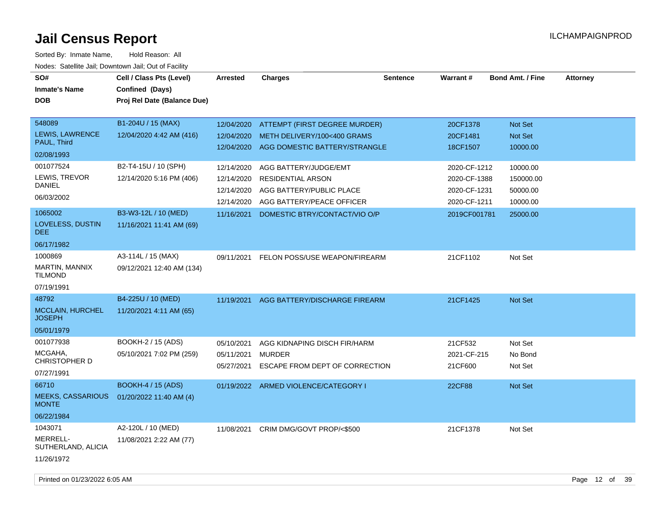| SO#<br><b>Inmate's Name</b><br><b>DOB</b>                            | Cell / Class Pts (Level)<br>Confined (Days)<br>Proj Rel Date (Balance Due) | <b>Arrested</b>                                                    | <b>Charges</b>                                                                                                                              | <b>Sentence</b> | Warrant#                                                                     | <b>Bond Amt. / Fine</b>                                   | <b>Attorney</b> |
|----------------------------------------------------------------------|----------------------------------------------------------------------------|--------------------------------------------------------------------|---------------------------------------------------------------------------------------------------------------------------------------------|-----------------|------------------------------------------------------------------------------|-----------------------------------------------------------|-----------------|
| 548089<br>LEWIS, LAWRENCE<br>PAUL, Third<br>02/08/1993               | B1-204U / 15 (MAX)<br>12/04/2020 4:42 AM (416)                             | 12/04/2020<br>12/04/2020<br>12/04/2020                             | ATTEMPT (FIRST DEGREE MURDER)<br>METH DELIVERY/100<400 GRAMS<br>AGG DOMESTIC BATTERY/STRANGLE                                               |                 | 20CF1378<br>20CF1481<br>18CF1507                                             | Not Set<br>Not Set<br>10000.00                            |                 |
| 001077524<br>LEWIS, TREVOR<br><b>DANIEL</b><br>06/03/2002<br>1065002 | B2-T4-15U / 10 (SPH)<br>12/14/2020 5:16 PM (406)<br>B3-W3-12L / 10 (MED)   | 12/14/2020<br>12/14/2020<br>12/14/2020<br>12/14/2020<br>11/16/2021 | AGG BATTERY/JUDGE/EMT<br><b>RESIDENTIAL ARSON</b><br>AGG BATTERY/PUBLIC PLACE<br>AGG BATTERY/PEACE OFFICER<br>DOMESTIC BTRY/CONTACT/VIO O/P |                 | 2020-CF-1212<br>2020-CF-1388<br>2020-CF-1231<br>2020-CF-1211<br>2019CF001781 | 10000.00<br>150000.00<br>50000.00<br>10000.00<br>25000.00 |                 |
| LOVELESS, DUSTIN<br>DEE.<br>06/17/1982                               | 11/16/2021 11:41 AM (69)                                                   |                                                                    |                                                                                                                                             |                 |                                                                              |                                                           |                 |
| 1000869<br>MARTIN, MANNIX<br><b>TILMOND</b><br>07/19/1991            | A3-114L / 15 (MAX)<br>09/12/2021 12:40 AM (134)                            | 09/11/2021                                                         | FELON POSS/USE WEAPON/FIREARM                                                                                                               |                 | 21CF1102                                                                     | Not Set                                                   |                 |
| 48792<br><b>MCCLAIN, HURCHEL</b><br><b>JOSEPH</b><br>05/01/1979      | B4-225U / 10 (MED)<br>11/20/2021 4:11 AM (65)                              | 11/19/2021                                                         | AGG BATTERY/DISCHARGE FIREARM                                                                                                               |                 | 21CF1425                                                                     | Not Set                                                   |                 |
| 001077938<br>MCGAHA,<br>CHRISTOPHER D<br>07/27/1991                  | BOOKH-2 / 15 (ADS)<br>05/10/2021 7:02 PM (259)                             | 05/10/2021<br>05/11/2021<br>05/27/2021                             | AGG KIDNAPING DISCH FIR/HARM<br><b>MURDER</b><br>ESCAPE FROM DEPT OF CORRECTION                                                             |                 | 21CF532<br>2021-CF-215<br>21CF600                                            | Not Set<br>No Bond<br>Not Set                             |                 |
| 66710<br><b>MEEKS, CASSARIOUS</b><br><b>MONTE</b><br>06/22/1984      | <b>BOOKH-4 / 15 (ADS)</b><br>01/20/2022 11:40 AM (4)                       |                                                                    | 01/19/2022 ARMED VIOLENCE/CATEGORY I                                                                                                        |                 | 22CF88                                                                       | Not Set                                                   |                 |
| 1043071<br>MERRELL-<br>SUTHERLAND, ALICIA<br>11/26/1972              | A2-120L / 10 (MED)<br>11/08/2021 2:22 AM (77)                              | 11/08/2021                                                         | CRIM DMG/GOVT PROP/<\$500                                                                                                                   |                 | 21CF1378                                                                     | Not Set                                                   |                 |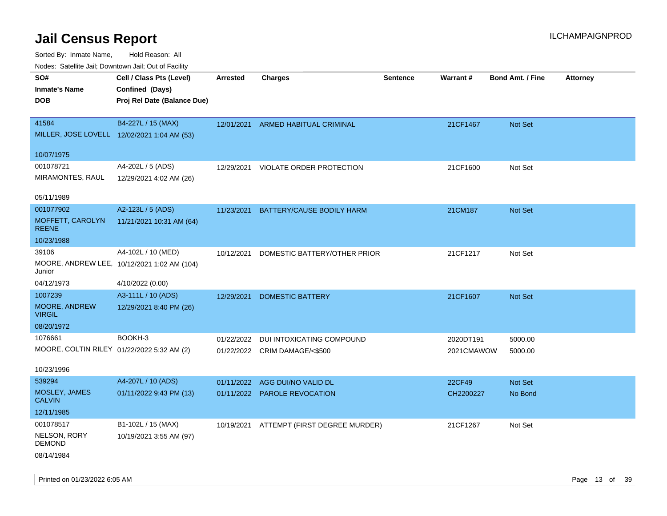Sorted By: Inmate Name, Hold Reason: All

| Nodes: Satellite Jail; Downtown Jail; Out of Facility |                                             |                 |                               |          |            |                  |                 |
|-------------------------------------------------------|---------------------------------------------|-----------------|-------------------------------|----------|------------|------------------|-----------------|
| SO#                                                   | Cell / Class Pts (Level)                    | <b>Arrested</b> | <b>Charges</b>                | Sentence | Warrant#   | Bond Amt. / Fine | <b>Attorney</b> |
| <b>Inmate's Name</b>                                  | Confined (Days)                             |                 |                               |          |            |                  |                 |
| <b>DOB</b>                                            | Proj Rel Date (Balance Due)                 |                 |                               |          |            |                  |                 |
|                                                       |                                             |                 |                               |          |            |                  |                 |
| 41584                                                 | B4-227L / 15 (MAX)                          | 12/01/2021      | ARMED HABITUAL CRIMINAL       |          | 21CF1467   | <b>Not Set</b>   |                 |
|                                                       | MILLER, JOSE LOVELL 12/02/2021 1:04 AM (53) |                 |                               |          |            |                  |                 |
| 10/07/1975                                            |                                             |                 |                               |          |            |                  |                 |
| 001078721                                             | A4-202L / 5 (ADS)                           | 12/29/2021      | VIOLATE ORDER PROTECTION      |          | 21CF1600   | Not Set          |                 |
| MIRAMONTES, RAUL                                      | 12/29/2021 4:02 AM (26)                     |                 |                               |          |            |                  |                 |
|                                                       |                                             |                 |                               |          |            |                  |                 |
| 05/11/1989                                            |                                             |                 |                               |          |            |                  |                 |
| 001077902                                             | A2-123L / 5 (ADS)                           | 11/23/2021      | BATTERY/CAUSE BODILY HARM     |          | 21CM187    | Not Set          |                 |
| MOFFETT, CAROLYN<br><b>REENE</b>                      | 11/21/2021 10:31 AM (64)                    |                 |                               |          |            |                  |                 |
| 10/23/1988                                            |                                             |                 |                               |          |            |                  |                 |
| 39106                                                 | A4-102L / 10 (MED)                          | 10/12/2021      | DOMESTIC BATTERY/OTHER PRIOR  |          | 21CF1217   | Not Set          |                 |
| Junior                                                | MOORE, ANDREW LEE, 10/12/2021 1:02 AM (104) |                 |                               |          |            |                  |                 |
| 04/12/1973                                            | 4/10/2022 (0.00)                            |                 |                               |          |            |                  |                 |
| 1007239                                               | A3-111L / 10 (ADS)                          | 12/29/2021      | <b>DOMESTIC BATTERY</b>       |          | 21CF1607   | Not Set          |                 |
| MOORE, ANDREW<br><b>VIRGIL</b>                        | 12/29/2021 8:40 PM (26)                     |                 |                               |          |            |                  |                 |
| 08/20/1972                                            |                                             |                 |                               |          |            |                  |                 |
| 1076661                                               | BOOKH-3                                     | 01/22/2022      | DUI INTOXICATING COMPOUND     |          | 2020DT191  | 5000.00          |                 |
| MOORE, COLTIN RILEY 01/22/2022 5:32 AM (2)            |                                             |                 | 01/22/2022 CRIM DAMAGE/<\$500 |          | 2021CMAWOW | 5000.00          |                 |
|                                                       |                                             |                 |                               |          |            |                  |                 |
| 10/23/1996                                            |                                             |                 |                               |          |            |                  |                 |
| 539294                                                | A4-207L / 10 (ADS)                          | 01/11/2022      | AGG DUI/NO VALID DL           |          | 22CF49     | Not Set          |                 |
| MOSLEY, JAMES<br><b>CALVIN</b>                        | 01/11/2022 9:43 PM (13)                     |                 | 01/11/2022 PAROLE REVOCATION  |          | CH2200227  | No Bond          |                 |
| 12/11/1985                                            |                                             |                 |                               |          |            |                  |                 |
| 001078517                                             | B1-102L / 15 (MAX)                          | 10/19/2021      | ATTEMPT (FIRST DEGREE MURDER) |          | 21CF1267   | Not Set          |                 |
| NELSON, RORY<br><b>DEMOND</b>                         | 10/19/2021 3:55 AM (97)                     |                 |                               |          |            |                  |                 |
| 08/14/1984                                            |                                             |                 |                               |          |            |                  |                 |

Printed on 01/23/2022 6:05 AM **Page 13** of 39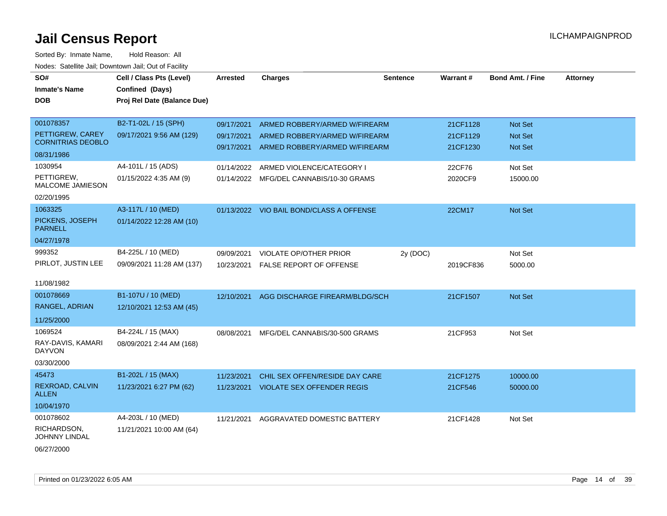| SO#                                | Cell / Class Pts (Level)    | <b>Arrested</b> | <b>Charges</b>                           | <b>Sentence</b> | Warrant#  | <b>Bond Amt. / Fine</b> | <b>Attorney</b> |
|------------------------------------|-----------------------------|-----------------|------------------------------------------|-----------------|-----------|-------------------------|-----------------|
| <b>Inmate's Name</b>               | Confined (Days)             |                 |                                          |                 |           |                         |                 |
| <b>DOB</b>                         | Proj Rel Date (Balance Due) |                 |                                          |                 |           |                         |                 |
|                                    |                             |                 |                                          |                 |           |                         |                 |
| 001078357                          | B2-T1-02L / 15 (SPH)        | 09/17/2021      | ARMED ROBBERY/ARMED W/FIREARM            |                 | 21CF1128  | <b>Not Set</b>          |                 |
| PETTIGREW, CAREY                   | 09/17/2021 9:56 AM (129)    | 09/17/2021      | ARMED ROBBERY/ARMED W/FIREARM            |                 | 21CF1129  | <b>Not Set</b>          |                 |
| <b>CORNITRIAS DEOBLO</b>           |                             | 09/17/2021      | ARMED ROBBERY/ARMED W/FIREARM            |                 | 21CF1230  | Not Set                 |                 |
| 08/31/1986                         |                             |                 |                                          |                 |           |                         |                 |
| 1030954                            | A4-101L / 15 (ADS)          | 01/14/2022      | ARMED VIOLENCE/CATEGORY I                |                 | 22CF76    | Not Set                 |                 |
| PETTIGREW,<br>MALCOME JAMIESON     | 01/15/2022 4:35 AM (9)      |                 | 01/14/2022 MFG/DEL CANNABIS/10-30 GRAMS  |                 | 2020CF9   | 15000.00                |                 |
| 02/20/1995                         |                             |                 |                                          |                 |           |                         |                 |
| 1063325                            | A3-117L / 10 (MED)          |                 | 01/13/2022 VIO BAIL BOND/CLASS A OFFENSE |                 | 22CM17    | Not Set                 |                 |
| PICKENS, JOSEPH<br><b>PARNELL</b>  | 01/14/2022 12:28 AM (10)    |                 |                                          |                 |           |                         |                 |
| 04/27/1978                         |                             |                 |                                          |                 |           |                         |                 |
| 999352                             | B4-225L / 10 (MED)          | 09/09/2021      | VIOLATE OP/OTHER PRIOR                   | 2y (DOC)        |           | Not Set                 |                 |
| PIRLOT, JUSTIN LEE                 | 09/09/2021 11:28 AM (137)   | 10/23/2021      | <b>FALSE REPORT OF OFFENSE</b>           |                 | 2019CF836 | 5000.00                 |                 |
|                                    |                             |                 |                                          |                 |           |                         |                 |
| 11/08/1982                         |                             |                 |                                          |                 |           |                         |                 |
| 001078669                          | B1-107U / 10 (MED)          | 12/10/2021      | AGG DISCHARGE FIREARM/BLDG/SCH           |                 | 21CF1507  | <b>Not Set</b>          |                 |
| RANGEL, ADRIAN                     | 12/10/2021 12:53 AM (45)    |                 |                                          |                 |           |                         |                 |
| 11/25/2000                         |                             |                 |                                          |                 |           |                         |                 |
| 1069524                            | B4-224L / 15 (MAX)          | 08/08/2021      | MFG/DEL CANNABIS/30-500 GRAMS            |                 | 21CF953   | Not Set                 |                 |
| RAY-DAVIS, KAMARI<br><b>DAYVON</b> | 08/09/2021 2:44 AM (168)    |                 |                                          |                 |           |                         |                 |
| 03/30/2000                         |                             |                 |                                          |                 |           |                         |                 |
| 45473                              | B1-202L / 15 (MAX)          | 11/23/2021      | CHIL SEX OFFEN/RESIDE DAY CARE           |                 | 21CF1275  | 10000.00                |                 |
| REXROAD, CALVIN<br><b>ALLEN</b>    | 11/23/2021 6:27 PM (62)     |                 | 11/23/2021 VIOLATE SEX OFFENDER REGIS    |                 | 21CF546   | 50000.00                |                 |
| 10/04/1970                         |                             |                 |                                          |                 |           |                         |                 |
| 001078602                          | A4-203L / 10 (MED)          | 11/21/2021      | AGGRAVATED DOMESTIC BATTERY              |                 | 21CF1428  | Not Set                 |                 |
| RICHARDSON,<br>JOHNNY LINDAL       | 11/21/2021 10:00 AM (64)    |                 |                                          |                 |           |                         |                 |
| 06/27/2000                         |                             |                 |                                          |                 |           |                         |                 |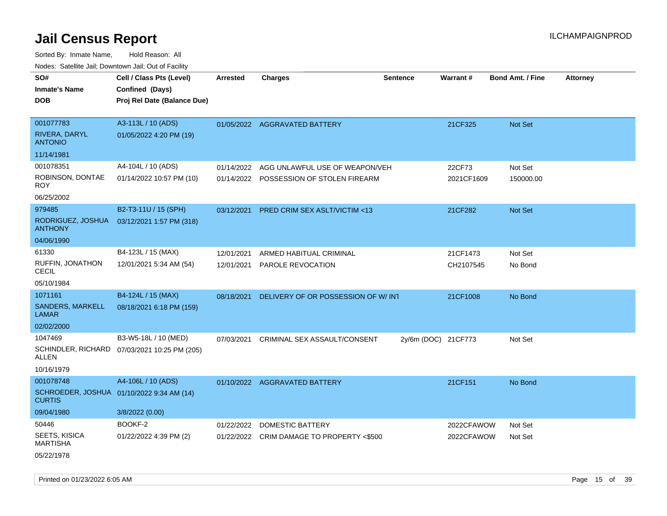| roaco. Catolino cali, Domntonn cali, Out of Facility |                                              |            |                                           |                     |            |                         |                 |
|------------------------------------------------------|----------------------------------------------|------------|-------------------------------------------|---------------------|------------|-------------------------|-----------------|
| SO#                                                  | Cell / Class Pts (Level)                     | Arrested   | <b>Charges</b>                            | <b>Sentence</b>     | Warrant#   | <b>Bond Amt. / Fine</b> | <b>Attorney</b> |
| <b>Inmate's Name</b>                                 | Confined (Days)                              |            |                                           |                     |            |                         |                 |
| <b>DOB</b>                                           | Proj Rel Date (Balance Due)                  |            |                                           |                     |            |                         |                 |
|                                                      |                                              |            |                                           |                     |            |                         |                 |
| 001077783                                            | A3-113L / 10 (ADS)                           |            | 01/05/2022 AGGRAVATED BATTERY             |                     | 21CF325    | Not Set                 |                 |
| <b>RIVERA, DARYL</b><br><b>ANTONIO</b>               | 01/05/2022 4:20 PM (19)                      |            |                                           |                     |            |                         |                 |
| 11/14/1981                                           |                                              |            |                                           |                     |            |                         |                 |
| 001078351                                            | A4-104L / 10 (ADS)                           | 01/14/2022 | AGG UNLAWFUL USE OF WEAPON/VEH            |                     | 22CF73     | Not Set                 |                 |
| ROBINSON, DONTAE<br><b>ROY</b>                       | 01/14/2022 10:57 PM (10)                     | 01/14/2022 | POSSESSION OF STOLEN FIREARM              |                     | 2021CF1609 | 150000.00               |                 |
| 06/25/2002                                           |                                              |            |                                           |                     |            |                         |                 |
| 979485                                               | B2-T3-11U / 15 (SPH)                         | 03/12/2021 | <b>PRED CRIM SEX ASLT/VICTIM &lt;13</b>   |                     | 21CF282    | <b>Not Set</b>          |                 |
| RODRIGUEZ, JOSHUA<br><b>ANTHONY</b>                  | 03/12/2021 1:57 PM (318)                     |            |                                           |                     |            |                         |                 |
| 04/06/1990                                           |                                              |            |                                           |                     |            |                         |                 |
| 61330                                                | B4-123L / 15 (MAX)                           | 12/01/2021 | ARMED HABITUAL CRIMINAL                   |                     | 21CF1473   | Not Set                 |                 |
| <b>RUFFIN, JONATHON</b><br><b>CECIL</b>              | 12/01/2021 5:34 AM (54)                      | 12/01/2021 | PAROLE REVOCATION                         |                     | CH2107545  | No Bond                 |                 |
| 05/10/1984                                           |                                              |            |                                           |                     |            |                         |                 |
| 1071161                                              | B4-124L / 15 (MAX)                           | 08/18/2021 | DELIVERY OF OR POSSESSION OF W/INT        |                     | 21CF1008   | No Bond                 |                 |
| SANDERS, MARKELL<br><b>LAMAR</b>                     | 08/18/2021 6:18 PM (159)                     |            |                                           |                     |            |                         |                 |
| 02/02/2000                                           |                                              |            |                                           |                     |            |                         |                 |
| 1047469                                              | B3-W5-18L / 10 (MED)                         | 07/03/2021 | CRIMINAL SEX ASSAULT/CONSENT              | 2y/6m (DOC) 21CF773 |            | Not Set                 |                 |
| ALLEN                                                | SCHINDLER, RICHARD 07/03/2021 10:25 PM (205) |            |                                           |                     |            |                         |                 |
| 10/16/1979                                           |                                              |            |                                           |                     |            |                         |                 |
| 001078748                                            | A4-106L / 10 (ADS)                           |            | 01/10/2022 AGGRAVATED BATTERY             |                     | 21CF151    | No Bond                 |                 |
| <b>CURTIS</b>                                        | SCHROEDER, JOSHUA 01/10/2022 9:34 AM (14)    |            |                                           |                     |            |                         |                 |
| 09/04/1980                                           | 3/8/2022 (0.00)                              |            |                                           |                     |            |                         |                 |
| 50446                                                | BOOKF-2                                      | 01/22/2022 | <b>DOMESTIC BATTERY</b>                   |                     | 2022CFAWOW | Not Set                 |                 |
| <b>SEETS, KISICA</b><br><b>MARTISHA</b>              | 01/22/2022 4:39 PM (2)                       |            | 01/22/2022 CRIM DAMAGE TO PROPERTY <\$500 |                     | 2022CFAWOW | Not Set                 |                 |
| 05/22/1978                                           |                                              |            |                                           |                     |            |                         |                 |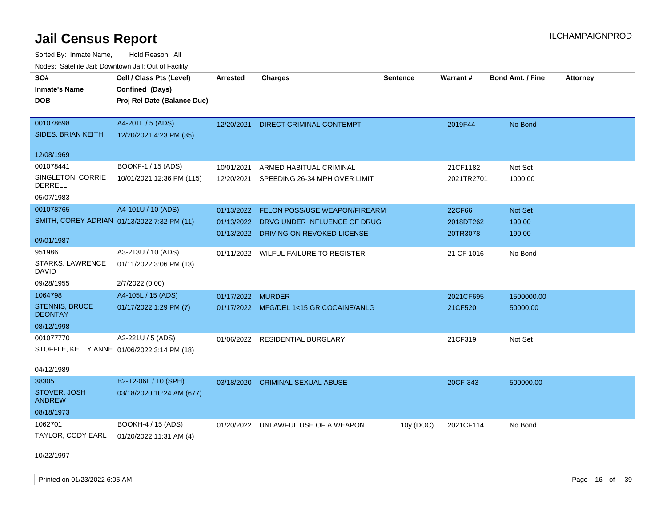| roaco. Catolino cali, Domntonn cali, Out of Facility |                                             |                   |                                          |                 |            |                         |                 |
|------------------------------------------------------|---------------------------------------------|-------------------|------------------------------------------|-----------------|------------|-------------------------|-----------------|
| SO#                                                  | Cell / Class Pts (Level)                    | Arrested          | <b>Charges</b>                           | <b>Sentence</b> | Warrant#   | <b>Bond Amt. / Fine</b> | <b>Attorney</b> |
| <b>Inmate's Name</b>                                 | Confined (Days)                             |                   |                                          |                 |            |                         |                 |
| <b>DOB</b>                                           | Proj Rel Date (Balance Due)                 |                   |                                          |                 |            |                         |                 |
|                                                      |                                             |                   |                                          |                 |            |                         |                 |
| 001078698                                            | A4-201L / 5 (ADS)                           | 12/20/2021        | DIRECT CRIMINAL CONTEMPT                 |                 | 2019F44    | No Bond                 |                 |
| SIDES, BRIAN KEITH                                   | 12/20/2021 4:23 PM (35)                     |                   |                                          |                 |            |                         |                 |
|                                                      |                                             |                   |                                          |                 |            |                         |                 |
| 12/08/1969                                           |                                             |                   |                                          |                 |            |                         |                 |
| 001078441                                            | BOOKF-1 / 15 (ADS)                          | 10/01/2021        | ARMED HABITUAL CRIMINAL                  |                 | 21CF1182   | Not Set                 |                 |
| SINGLETON, CORRIE<br><b>DERRELL</b>                  | 10/01/2021 12:36 PM (115)                   |                   | 12/20/2021 SPEEDING 26-34 MPH OVER LIMIT |                 | 2021TR2701 | 1000.00                 |                 |
| 05/07/1983                                           |                                             |                   |                                          |                 |            |                         |                 |
| 001078765                                            | A4-101U / 10 (ADS)                          | 01/13/2022        | <b>FELON POSS/USE WEAPON/FIREARM</b>     |                 | 22CF66     | Not Set                 |                 |
|                                                      | SMITH, COREY ADRIAN 01/13/2022 7:32 PM (11) | 01/13/2022        | DRVG UNDER INFLUENCE OF DRUG             |                 | 2018DT262  | 190.00                  |                 |
|                                                      |                                             | 01/13/2022        | DRIVING ON REVOKED LICENSE               |                 | 20TR3078   | 190.00                  |                 |
| 09/01/1987                                           |                                             |                   |                                          |                 |            |                         |                 |
| 951986                                               | A3-213U / 10 (ADS)                          |                   | 01/11/2022 WILFUL FAILURE TO REGISTER    |                 | 21 CF 1016 | No Bond                 |                 |
| STARKS, LAWRENCE<br><b>DAVID</b>                     | 01/11/2022 3:06 PM (13)                     |                   |                                          |                 |            |                         |                 |
| 09/28/1955                                           | 2/7/2022 (0.00)                             |                   |                                          |                 |            |                         |                 |
| 1064798                                              | A4-105L / 15 (ADS)                          | 01/17/2022 MURDER |                                          |                 | 2021CF695  | 1500000.00              |                 |
| <b>STENNIS, BRUCE</b><br><b>DEONTAY</b>              | 01/17/2022 1:29 PM (7)                      |                   | 01/17/2022 MFG/DEL 1<15 GR COCAINE/ANLG  |                 | 21CF520    | 50000.00                |                 |
| 08/12/1998                                           |                                             |                   |                                          |                 |            |                         |                 |
| 001077770                                            | A2-221U / 5 (ADS)                           |                   | 01/06/2022 RESIDENTIAL BURGLARY          |                 | 21CF319    | Not Set                 |                 |
|                                                      | STOFFLE, KELLY ANNE 01/06/2022 3:14 PM (18) |                   |                                          |                 |            |                         |                 |
|                                                      |                                             |                   |                                          |                 |            |                         |                 |
| 04/12/1989                                           |                                             |                   |                                          |                 |            |                         |                 |
| 38305                                                | B2-T2-06L / 10 (SPH)                        | 03/18/2020        | <b>CRIMINAL SEXUAL ABUSE</b>             |                 | 20CF-343   | 500000.00               |                 |
| STOVER, JOSH<br><b>ANDREW</b>                        | 03/18/2020 10:24 AM (677)                   |                   |                                          |                 |            |                         |                 |
| 08/18/1973                                           |                                             |                   |                                          |                 |            |                         |                 |
| 1062701                                              | BOOKH-4 / 15 (ADS)                          |                   | 01/20/2022 UNLAWFUL USE OF A WEAPON      | 10y (DOC)       | 2021CF114  | No Bond                 |                 |
| TAYLOR, CODY EARL                                    | 01/20/2022 11:31 AM (4)                     |                   |                                          |                 |            |                         |                 |
|                                                      |                                             |                   |                                          |                 |            |                         |                 |
| 10/22/1997                                           |                                             |                   |                                          |                 |            |                         |                 |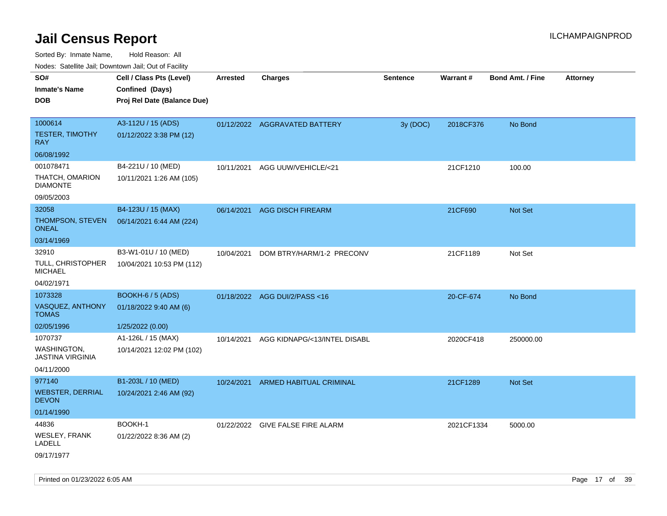| Nodes: Satellite Jail; Downtown Jail; Out of Facility |                             |                 |                               |                 |            |                         |                 |
|-------------------------------------------------------|-----------------------------|-----------------|-------------------------------|-----------------|------------|-------------------------|-----------------|
| SO#                                                   | Cell / Class Pts (Level)    | <b>Arrested</b> | <b>Charges</b>                | <b>Sentence</b> | Warrant#   | <b>Bond Amt. / Fine</b> | <b>Attorney</b> |
| <b>Inmate's Name</b>                                  | Confined (Days)             |                 |                               |                 |            |                         |                 |
| <b>DOB</b>                                            | Proj Rel Date (Balance Due) |                 |                               |                 |            |                         |                 |
|                                                       |                             |                 |                               |                 |            |                         |                 |
| 1000614                                               | A3-112U / 15 (ADS)          |                 | 01/12/2022 AGGRAVATED BATTERY | 3y (DOC)        | 2018CF376  | No Bond                 |                 |
| <b>TESTER, TIMOTHY</b><br><b>RAY</b>                  | 01/12/2022 3:38 PM (12)     |                 |                               |                 |            |                         |                 |
| 06/08/1992                                            |                             |                 |                               |                 |            |                         |                 |
| 001078471                                             | B4-221U / 10 (MED)          | 10/11/2021      | AGG UUW/VEHICLE/<21           |                 | 21CF1210   | 100.00                  |                 |
| THATCH, OMARION<br><b>DIAMONTE</b>                    | 10/11/2021 1:26 AM (105)    |                 |                               |                 |            |                         |                 |
| 09/05/2003                                            |                             |                 |                               |                 |            |                         |                 |
| 32058                                                 | B4-123U / 15 (MAX)          | 06/14/2021      | <b>AGG DISCH FIREARM</b>      |                 | 21CF690    | Not Set                 |                 |
| THOMPSON, STEVEN<br><b>ONEAL</b>                      | 06/14/2021 6:44 AM (224)    |                 |                               |                 |            |                         |                 |
| 03/14/1969                                            |                             |                 |                               |                 |            |                         |                 |
| 32910                                                 | B3-W1-01U / 10 (MED)        | 10/04/2021      | DOM BTRY/HARM/1-2 PRECONV     |                 | 21CF1189   | Not Set                 |                 |
| TULL, CHRISTOPHER<br><b>MICHAEL</b>                   | 10/04/2021 10:53 PM (112)   |                 |                               |                 |            |                         |                 |
| 04/02/1971                                            |                             |                 |                               |                 |            |                         |                 |
| 1073328                                               | BOOKH-6 / 5 (ADS)           |                 | 01/18/2022 AGG DUI/2/PASS<16  |                 | 20-CF-674  | No Bond                 |                 |
| VASQUEZ, ANTHONY<br><b>TOMAS</b>                      | 01/18/2022 9:40 AM (6)      |                 |                               |                 |            |                         |                 |
| 02/05/1996                                            | 1/25/2022 (0.00)            |                 |                               |                 |            |                         |                 |
| 1070737                                               | A1-126L / 15 (MAX)          | 10/14/2021      | AGG KIDNAPG/<13/INTEL DISABL  |                 | 2020CF418  | 250000.00               |                 |
| WASHINGTON,<br><b>JASTINA VIRGINIA</b>                | 10/14/2021 12:02 PM (102)   |                 |                               |                 |            |                         |                 |
| 04/11/2000                                            |                             |                 |                               |                 |            |                         |                 |
| 977140                                                | B1-203L / 10 (MED)          | 10/24/2021      | ARMED HABITUAL CRIMINAL       |                 | 21CF1289   | <b>Not Set</b>          |                 |
| <b>WEBSTER, DERRIAL</b><br><b>DEVON</b>               | 10/24/2021 2:46 AM (92)     |                 |                               |                 |            |                         |                 |
| 01/14/1990                                            |                             |                 |                               |                 |            |                         |                 |
| 44836                                                 | BOOKH-1                     | 01/22/2022      | <b>GIVE FALSE FIRE ALARM</b>  |                 | 2021CF1334 | 5000.00                 |                 |
| WESLEY, FRANK<br>LADELL                               | 01/22/2022 8:36 AM (2)      |                 |                               |                 |            |                         |                 |
| 09/17/1977                                            |                             |                 |                               |                 |            |                         |                 |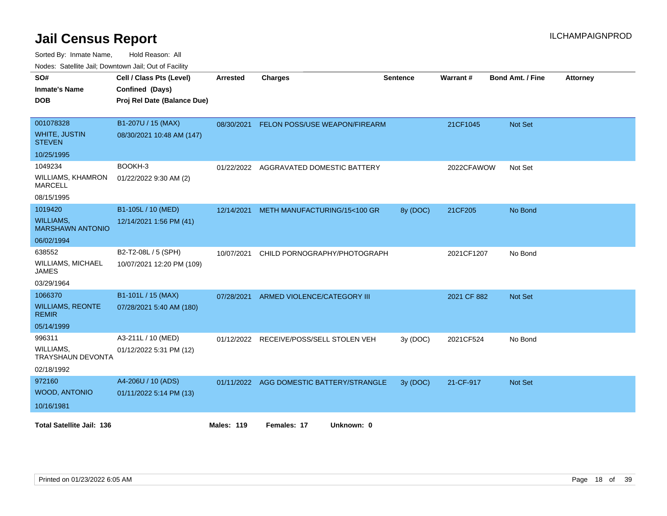|                                             | routes. Saleline Jali, Downlown Jali, Out of Facility |                   |                                          |          |             |                         |                 |  |  |
|---------------------------------------------|-------------------------------------------------------|-------------------|------------------------------------------|----------|-------------|-------------------------|-----------------|--|--|
| SO#                                         | Cell / Class Pts (Level)                              | Arrested          | <b>Charges</b>                           | Sentence | Warrant#    | <b>Bond Amt. / Fine</b> | <b>Attorney</b> |  |  |
| <b>Inmate's Name</b>                        | Confined (Days)                                       |                   |                                          |          |             |                         |                 |  |  |
| <b>DOB</b>                                  | Proj Rel Date (Balance Due)                           |                   |                                          |          |             |                         |                 |  |  |
|                                             |                                                       |                   |                                          |          |             |                         |                 |  |  |
| 001078328                                   | B1-207U / 15 (MAX)                                    |                   | 08/30/2021 FELON POSS/USE WEAPON/FIREARM |          | 21CF1045    | <b>Not Set</b>          |                 |  |  |
| <b>WHITE, JUSTIN</b><br><b>STEVEN</b>       | 08/30/2021 10:48 AM (147)                             |                   |                                          |          |             |                         |                 |  |  |
| 10/25/1995                                  |                                                       |                   |                                          |          |             |                         |                 |  |  |
| 1049234                                     | BOOKH-3                                               | 01/22/2022        | AGGRAVATED DOMESTIC BATTERY              |          | 2022CFAWOW  | Not Set                 |                 |  |  |
| WILLIAMS, KHAMRON<br><b>MARCELL</b>         | 01/22/2022 9:30 AM (2)                                |                   |                                          |          |             |                         |                 |  |  |
| 08/15/1995                                  |                                                       |                   |                                          |          |             |                         |                 |  |  |
| 1019420                                     | B1-105L / 10 (MED)                                    | 12/14/2021        | METH MANUFACTURING/15<100 GR             | 8y (DOC) | 21CF205     | No Bond                 |                 |  |  |
| <b>WILLIAMS,</b><br><b>MARSHAWN ANTONIO</b> | 12/14/2021 1:56 PM (41)                               |                   |                                          |          |             |                         |                 |  |  |
| 06/02/1994                                  |                                                       |                   |                                          |          |             |                         |                 |  |  |
| 638552                                      | B2-T2-08L / 5 (SPH)                                   | 10/07/2021        | CHILD PORNOGRAPHY/PHOTOGRAPH             |          | 2021CF1207  | No Bond                 |                 |  |  |
| WILLIAMS, MICHAEL<br><b>JAMES</b>           | 10/07/2021 12:20 PM (109)                             |                   |                                          |          |             |                         |                 |  |  |
| 03/29/1964                                  |                                                       |                   |                                          |          |             |                         |                 |  |  |
| 1066370                                     | B1-101L / 15 (MAX)                                    | 07/28/2021        | ARMED VIOLENCE/CATEGORY III              |          | 2021 CF 882 | <b>Not Set</b>          |                 |  |  |
| <b>WILLIAMS, REONTE</b><br><b>REMIR</b>     | 07/28/2021 5:40 AM (180)                              |                   |                                          |          |             |                         |                 |  |  |
| 05/14/1999                                  |                                                       |                   |                                          |          |             |                         |                 |  |  |
| 996311                                      | A3-211L / 10 (MED)                                    |                   | 01/12/2022 RECEIVE/POSS/SELL STOLEN VEH  | 3y (DOC) | 2021CF524   | No Bond                 |                 |  |  |
| WILLIAMS,<br>TRAYSHAUN DEVONTA              | 01/12/2022 5:31 PM (12)                               |                   |                                          |          |             |                         |                 |  |  |
| 02/18/1992                                  |                                                       |                   |                                          |          |             |                         |                 |  |  |
| 972160                                      | A4-206U / 10 (ADS)                                    |                   | 01/11/2022 AGG DOMESTIC BATTERY/STRANGLE | 3y(DOC)  | 21-CF-917   | <b>Not Set</b>          |                 |  |  |
| <b>WOOD, ANTONIO</b>                        | 01/11/2022 5:14 PM (13)                               |                   |                                          |          |             |                         |                 |  |  |
| 10/16/1981                                  |                                                       |                   |                                          |          |             |                         |                 |  |  |
| <b>Total Satellite Jail: 136</b>            |                                                       | <b>Males: 119</b> | Females: 17<br>Unknown: 0                |          |             |                         |                 |  |  |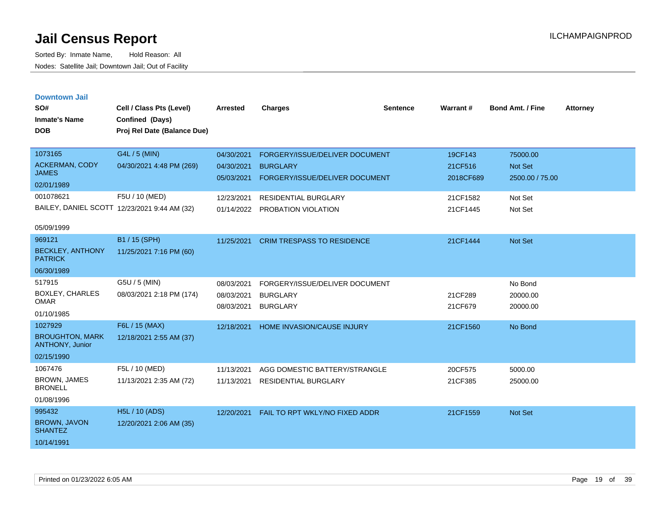| <b>Downtown Jail</b> |  |
|----------------------|--|
|                      |  |
|                      |  |

| SO#<br><b>Inmate's Name</b><br><b>DOB</b> | Cell / Class Pts (Level)<br>Confined (Days)<br>Proj Rel Date (Balance Due) | <b>Arrested</b>          | <b>Charges</b>                                    | <b>Sentence</b> | Warrant#             | <b>Bond Amt. / Fine</b>           | <b>Attorney</b> |
|-------------------------------------------|----------------------------------------------------------------------------|--------------------------|---------------------------------------------------|-----------------|----------------------|-----------------------------------|-----------------|
| 1073165                                   | G4L / 5 (MIN)                                                              | 04/30/2021               | FORGERY/ISSUE/DELIVER DOCUMENT                    |                 | 19CF143              | 75000.00                          |                 |
| <b>ACKERMAN, CODY</b><br><b>JAMES</b>     | 04/30/2021 4:48 PM (269)                                                   | 04/30/2021<br>05/03/2021 | <b>BURGLARY</b><br>FORGERY/ISSUE/DELIVER DOCUMENT |                 | 21CF516<br>2018CF689 | <b>Not Set</b><br>2500.00 / 75.00 |                 |
| 02/01/1989                                |                                                                            |                          |                                                   |                 |                      |                                   |                 |
| 001078621                                 | F5U / 10 (MED)                                                             | 12/23/2021               | <b>RESIDENTIAL BURGLARY</b>                       |                 | 21CF1582             | Not Set                           |                 |
|                                           | BAILEY, DANIEL SCOTT 12/23/2021 9:44 AM (32)                               | 01/14/2022               | PROBATION VIOLATION                               |                 | 21CF1445             | Not Set                           |                 |
| 05/09/1999                                |                                                                            |                          |                                                   |                 |                      |                                   |                 |
| 969121                                    | B1 / 15 (SPH)                                                              | 11/25/2021               | <b>CRIM TRESPASS TO RESIDENCE</b>                 |                 | 21CF1444             | <b>Not Set</b>                    |                 |
| <b>BECKLEY, ANTHONY</b><br><b>PATRICK</b> | 11/25/2021 7:16 PM (60)                                                    |                          |                                                   |                 |                      |                                   |                 |
| 06/30/1989                                |                                                                            |                          |                                                   |                 |                      |                                   |                 |
| 517915                                    | G5U / 5 (MIN)                                                              | 08/03/2021               | FORGERY/ISSUE/DELIVER DOCUMENT                    |                 |                      | No Bond                           |                 |
| <b>BOXLEY, CHARLES</b><br><b>OMAR</b>     | 08/03/2021 2:18 PM (174)                                                   | 08/03/2021               | <b>BURGLARY</b>                                   |                 | 21CF289              | 20000.00                          |                 |
| 01/10/1985                                |                                                                            | 08/03/2021               | <b>BURGLARY</b>                                   |                 | 21CF679              | 20000.00                          |                 |
| 1027929                                   | F6L / 15 (MAX)                                                             | 12/18/2021               | <b>HOME INVASION/CAUSE INJURY</b>                 |                 | 21CF1560             | No Bond                           |                 |
| <b>BROUGHTON, MARK</b><br>ANTHONY, Junior | 12/18/2021 2:55 AM (37)                                                    |                          |                                                   |                 |                      |                                   |                 |
| 02/15/1990                                |                                                                            |                          |                                                   |                 |                      |                                   |                 |
| 1067476                                   | F5L / 10 (MED)                                                             | 11/13/2021               | AGG DOMESTIC BATTERY/STRANGLE                     |                 | 20CF575              | 5000.00                           |                 |
| BROWN, JAMES<br><b>BRONELL</b>            | 11/13/2021 2:35 AM (72)                                                    | 11/13/2021               | <b>RESIDENTIAL BURGLARY</b>                       |                 | 21CF385              | 25000.00                          |                 |
| 01/08/1996                                |                                                                            |                          |                                                   |                 |                      |                                   |                 |
| 995432                                    | <b>H5L / 10 (ADS)</b>                                                      | 12/20/2021               | FAIL TO RPT WKLY/NO FIXED ADDR                    |                 | 21CF1559             | <b>Not Set</b>                    |                 |
| BROWN, JAVON<br><b>SHANTEZ</b>            | 12/20/2021 2:06 AM (35)                                                    |                          |                                                   |                 |                      |                                   |                 |
| 10/14/1991                                |                                                                            |                          |                                                   |                 |                      |                                   |                 |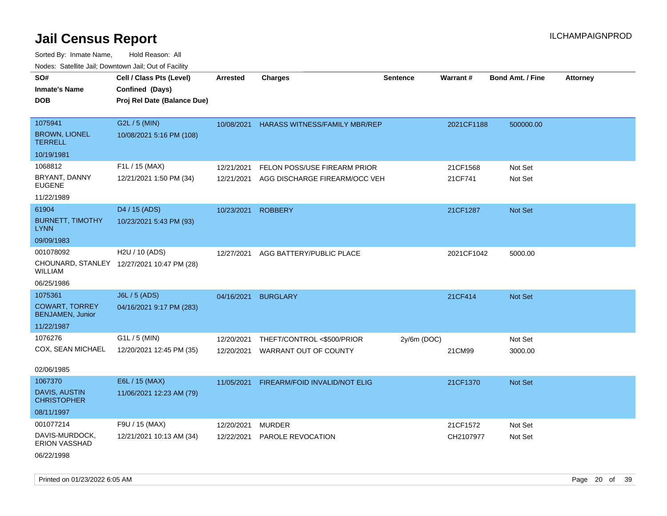Sorted By: Inmate Name, Hold Reason: All Nodes: Satellite Jail; Downtown Jail; Out of Facility

| roaco. Catolino cali, Domntonn cali, Out of Facility |                                                                            |                 |                                      |                 |            |                         |                 |
|------------------------------------------------------|----------------------------------------------------------------------------|-----------------|--------------------------------------|-----------------|------------|-------------------------|-----------------|
| SO#<br><b>Inmate's Name</b><br><b>DOB</b>            | Cell / Class Pts (Level)<br>Confined (Days)<br>Proj Rel Date (Balance Due) | <b>Arrested</b> | <b>Charges</b>                       | <b>Sentence</b> | Warrant#   | <b>Bond Amt. / Fine</b> | <b>Attorney</b> |
| 1075941                                              | G2L / 5 (MIN)                                                              | 10/08/2021      | <b>HARASS WITNESS/FAMILY MBR/REP</b> |                 | 2021CF1188 | 500000.00               |                 |
| <b>BROWN, LIONEL</b><br><b>TERRELL</b>               | 10/08/2021 5:16 PM (108)                                                   |                 |                                      |                 |            |                         |                 |
| 10/19/1981                                           |                                                                            |                 |                                      |                 |            |                         |                 |
| 1068812                                              | F1L / 15 (MAX)                                                             | 12/21/2021      | FELON POSS/USE FIREARM PRIOR         |                 | 21CF1568   | Not Set                 |                 |
| BRYANT, DANNY<br><b>EUGENE</b>                       | 12/21/2021 1:50 PM (34)                                                    | 12/21/2021      | AGG DISCHARGE FIREARM/OCC VEH        |                 | 21CF741    | Not Set                 |                 |
| 11/22/1989                                           |                                                                            |                 |                                      |                 |            |                         |                 |
| 61904                                                | D4 / 15 (ADS)                                                              | 10/23/2021      | <b>ROBBERY</b>                       |                 | 21CF1287   | <b>Not Set</b>          |                 |
| <b>BURNETT, TIMOTHY</b><br><b>LYNN</b>               | 10/23/2021 5:43 PM (93)                                                    |                 |                                      |                 |            |                         |                 |
| 09/09/1983                                           |                                                                            |                 |                                      |                 |            |                         |                 |
| 001078092                                            | H2U / 10 (ADS)                                                             | 12/27/2021      | AGG BATTERY/PUBLIC PLACE             |                 | 2021CF1042 | 5000.00                 |                 |
| WILLIAM                                              | CHOUNARD, STANLEY 12/27/2021 10:47 PM (28)                                 |                 |                                      |                 |            |                         |                 |
| 06/25/1986                                           |                                                                            |                 |                                      |                 |            |                         |                 |
| 1075361                                              | <b>J6L / 5 (ADS)</b>                                                       | 04/16/2021      | <b>BURGLARY</b>                      |                 | 21CF414    | <b>Not Set</b>          |                 |
| <b>COWART, TORREY</b><br><b>BENJAMEN, Junior</b>     | 04/16/2021 9:17 PM (283)                                                   |                 |                                      |                 |            |                         |                 |
| 11/22/1987                                           |                                                                            |                 |                                      |                 |            |                         |                 |
| 1076276                                              | G1L / 5 (MIN)                                                              | 12/20/2021      | THEFT/CONTROL <\$500/PRIOR           | $2y/6m$ (DOC)   |            | Not Set                 |                 |
| COX, SEAN MICHAEL                                    | 12/20/2021 12:45 PM (35)                                                   | 12/20/2021      | WARRANT OUT OF COUNTY                |                 | 21CM99     | 3000.00                 |                 |
| 02/06/1985                                           |                                                                            |                 |                                      |                 |            |                         |                 |
| 1067370                                              | E6L / 15 (MAX)                                                             | 11/05/2021      | FIREARM/FOID INVALID/NOT ELIG        |                 | 21CF1370   | Not Set                 |                 |
| <b>DAVIS, AUSTIN</b><br><b>CHRISTOPHER</b>           | 11/06/2021 12:23 AM (79)                                                   |                 |                                      |                 |            |                         |                 |
| 08/11/1997                                           |                                                                            |                 |                                      |                 |            |                         |                 |
| 001077214                                            | F9U / 15 (MAX)                                                             | 12/20/2021      | <b>MURDER</b>                        |                 | 21CF1572   | Not Set                 |                 |
| DAVIS-MURDOCK,<br><b>ERION VASSHAD</b>               | 12/21/2021 10:13 AM (34)                                                   | 12/22/2021      | PAROLE REVOCATION                    |                 | CH2107977  | Not Set                 |                 |

06/22/1998

Printed on 01/23/2022 6:05 AM Page 20 of 39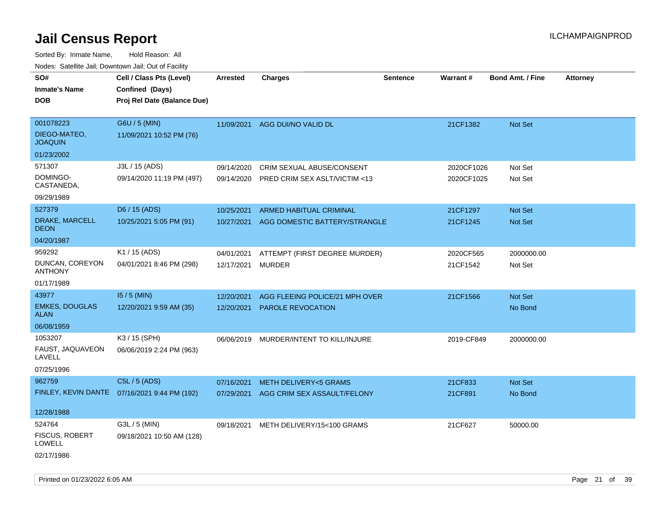| roaco. Calcinio dan, Downtown dan, Cal or Fability |                                              |                   |                                         |                 |            |                         |                 |
|----------------------------------------------------|----------------------------------------------|-------------------|-----------------------------------------|-----------------|------------|-------------------------|-----------------|
| SO#                                                | Cell / Class Pts (Level)                     | <b>Arrested</b>   | <b>Charges</b>                          | <b>Sentence</b> | Warrant#   | <b>Bond Amt. / Fine</b> | <b>Attorney</b> |
| <b>Inmate's Name</b>                               | Confined (Days)                              |                   |                                         |                 |            |                         |                 |
| <b>DOB</b>                                         | Proj Rel Date (Balance Due)                  |                   |                                         |                 |            |                         |                 |
|                                                    |                                              |                   |                                         |                 |            |                         |                 |
| 001078223                                          | G6U / 5 (MIN)                                | 11/09/2021        | AGG DUI/NO VALID DL                     |                 | 21CF1382   | <b>Not Set</b>          |                 |
| DIEGO-MATEO,<br><b>JOAQUIN</b>                     | 11/09/2021 10:52 PM (76)                     |                   |                                         |                 |            |                         |                 |
| 01/23/2002                                         |                                              |                   |                                         |                 |            |                         |                 |
| 571307                                             | J3L / 15 (ADS)                               | 09/14/2020        | CRIM SEXUAL ABUSE/CONSENT               |                 | 2020CF1026 | Not Set                 |                 |
| DOMINGO-<br>CASTANEDA,                             | 09/14/2020 11:19 PM (497)                    | 09/14/2020        | PRED CRIM SEX ASLT/VICTIM <13           |                 | 2020CF1025 | Not Set                 |                 |
| 09/29/1989                                         |                                              |                   |                                         |                 |            |                         |                 |
| 527379                                             | D6 / 15 (ADS)                                | 10/25/2021        | ARMED HABITUAL CRIMINAL                 |                 | 21CF1297   | <b>Not Set</b>          |                 |
| DRAKE, MARCELL<br><b>DEON</b>                      | 10/25/2021 5:05 PM (91)                      | 10/27/2021        | AGG DOMESTIC BATTERY/STRANGLE           |                 | 21CF1245   | Not Set                 |                 |
| 04/20/1987                                         |                                              |                   |                                         |                 |            |                         |                 |
| 959292                                             | K1 / 15 (ADS)                                | 04/01/2021        | ATTEMPT (FIRST DEGREE MURDER)           |                 | 2020CF565  | 2000000.00              |                 |
| DUNCAN, COREYON<br><b>ANTHONY</b>                  | 04/01/2021 8:46 PM (298)                     | 12/17/2021 MURDER |                                         |                 | 21CF1542   | Not Set                 |                 |
| 01/17/1989                                         |                                              |                   |                                         |                 |            |                         |                 |
| 43977                                              | $15/5$ (MIN)                                 | 12/20/2021        | AGG FLEEING POLICE/21 MPH OVER          |                 | 21CF1566   | Not Set                 |                 |
| <b>EMKES, DOUGLAS</b><br>ALAN                      | 12/20/2021 9:59 AM (35)                      | 12/20/2021        | PAROLE REVOCATION                       |                 |            | No Bond                 |                 |
| 06/08/1959                                         |                                              |                   |                                         |                 |            |                         |                 |
| 1053207                                            | K3 / 15 (SPH)                                |                   | 06/06/2019 MURDER/INTENT TO KILL/INJURE |                 | 2019-CF849 | 2000000.00              |                 |
| FAUST, JAQUAVEON<br>LAVELL                         | 06/06/2019 2:24 PM (963)                     |                   |                                         |                 |            |                         |                 |
| 07/25/1996                                         |                                              |                   |                                         |                 |            |                         |                 |
| 962759                                             | C5L / 5 (ADS)                                | 07/16/2021        | <b>METH DELIVERY&lt;5 GRAMS</b>         |                 | 21CF833    | <b>Not Set</b>          |                 |
|                                                    | FINLEY, KEVIN DANTE 07/16/2021 9:44 PM (192) | 07/29/2021        | AGG CRIM SEX ASSAULT/FELONY             |                 | 21CF891    | No Bond                 |                 |
|                                                    |                                              |                   |                                         |                 |            |                         |                 |
| 12/28/1988                                         |                                              |                   |                                         |                 |            |                         |                 |
| 524764                                             | G3L / 5 (MIN)                                |                   | 09/18/2021 METH DELIVERY/15<100 GRAMS   |                 | 21CF627    | 50000.00                |                 |
| <b>FISCUS, ROBERT</b><br>LOWELL                    | 09/18/2021 10:50 AM (128)                    |                   |                                         |                 |            |                         |                 |
| 02/17/1986                                         |                                              |                   |                                         |                 |            |                         |                 |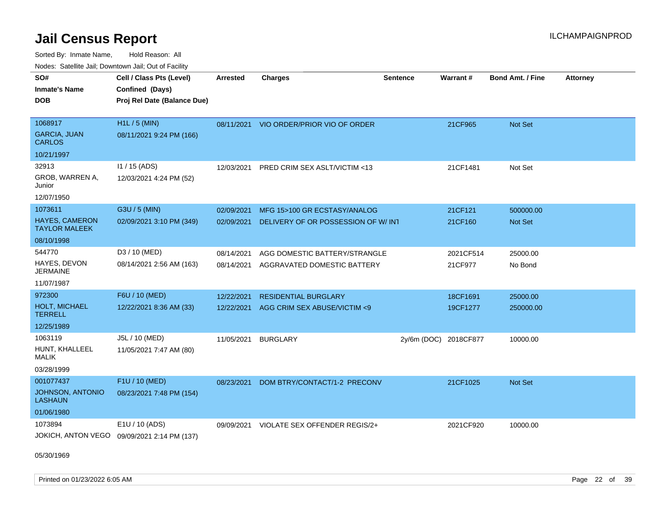Sorted By: Inmate Name, Hold Reason: All Nodes: Satellite Jail; Downtown Jail; Out of Facility

| rouco. Calcillo Jali, Downtown Jali, Out of Facility |                                             |                 |                                          |                       |           |                         |                 |
|------------------------------------------------------|---------------------------------------------|-----------------|------------------------------------------|-----------------------|-----------|-------------------------|-----------------|
| SO#<br>Inmate's Name                                 | Cell / Class Pts (Level)<br>Confined (Days) | <b>Arrested</b> | <b>Charges</b>                           | <b>Sentence</b>       | Warrant#  | <b>Bond Amt. / Fine</b> | <b>Attorney</b> |
| DOB                                                  | Proj Rel Date (Balance Due)                 |                 |                                          |                       |           |                         |                 |
| 1068917                                              | $H1L / 5$ (MIN)                             |                 | 08/11/2021 VIO ORDER/PRIOR VIO OF ORDER  |                       | 21CF965   | <b>Not Set</b>          |                 |
| <b>GARCIA, JUAN</b><br><b>CARLOS</b>                 | 08/11/2021 9:24 PM (166)                    |                 |                                          |                       |           |                         |                 |
| 10/21/1997                                           |                                             |                 |                                          |                       |           |                         |                 |
| 32913                                                | $11 / 15$ (ADS)                             |                 | 12/03/2021 PRED CRIM SEX ASLT/VICTIM <13 |                       | 21CF1481  | Not Set                 |                 |
| GROB, WARREN A,<br>Junior                            | 12/03/2021 4:24 PM (52)                     |                 |                                          |                       |           |                         |                 |
| 12/07/1950                                           |                                             |                 |                                          |                       |           |                         |                 |
| 1073611                                              | G3U / 5 (MIN)                               | 02/09/2021      | MFG 15>100 GR ECSTASY/ANALOG             |                       | 21CF121   | 500000.00               |                 |
| <b>HAYES, CAMERON</b><br><b>TAYLOR MALEEK</b>        | 02/09/2021 3:10 PM (349)                    | 02/09/2021      | DELIVERY OF OR POSSESSION OF W/INT       |                       | 21CF160   | <b>Not Set</b>          |                 |
| 08/10/1998                                           |                                             |                 |                                          |                       |           |                         |                 |
| 544770                                               | D3 / 10 (MED)                               | 08/14/2021      | AGG DOMESTIC BATTERY/STRANGLE            |                       | 2021CF514 | 25000.00                |                 |
| HAYES, DEVON<br>JERMAINE                             | 08/14/2021 2:56 AM (163)                    | 08/14/2021      | AGGRAVATED DOMESTIC BATTERY              |                       | 21CF977   | No Bond                 |                 |
| 11/07/1987                                           |                                             |                 |                                          |                       |           |                         |                 |
| 972300                                               | F6U / 10 (MED)                              | 12/22/2021      | <b>RESIDENTIAL BURGLARY</b>              |                       | 18CF1691  | 25000.00                |                 |
| <b>HOLT, MICHAEL</b><br>TERRELL                      | 12/22/2021 8:36 AM (33)                     | 12/22/2021      | AGG CRIM SEX ABUSE/VICTIM <9             |                       | 19CF1277  | 250000.00               |                 |
| 12/25/1989                                           |                                             |                 |                                          |                       |           |                         |                 |
| 1063119                                              | J5L / 10 (MED)                              | 11/05/2021      | <b>BURGLARY</b>                          | 2y/6m (DOC) 2018CF877 |           | 10000.00                |                 |
| HUNT, KHALLEEL<br>MALIK                              | 11/05/2021 7:47 AM (80)                     |                 |                                          |                       |           |                         |                 |
| 03/28/1999                                           |                                             |                 |                                          |                       |           |                         |                 |
| 001077437                                            | F1U / 10 (MED)                              | 08/23/2021      | DOM BTRY/CONTACT/1-2 PRECONV             |                       | 21CF1025  | <b>Not Set</b>          |                 |
| <b>JOHNSON, ANTONIO</b><br>LASHAUN                   | 08/23/2021 7:48 PM (154)                    |                 |                                          |                       |           |                         |                 |
| 01/06/1980                                           |                                             |                 |                                          |                       |           |                         |                 |
| 1073894                                              | E1U / 10 (ADS)                              | 09/09/2021      | VIOLATE SEX OFFENDER REGIS/2+            |                       | 2021CF920 | 10000.00                |                 |
|                                                      | JOKICH, ANTON VEGO 09/09/2021 2:14 PM (137) |                 |                                          |                       |           |                         |                 |

05/30/1969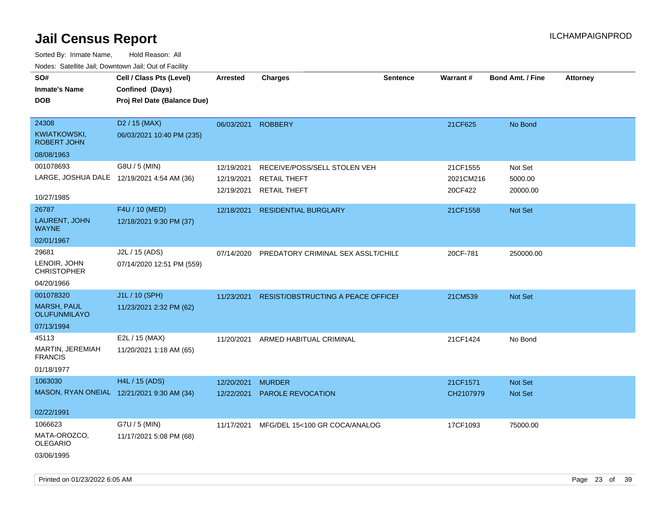| SO#<br><b>Inmate's Name</b><br><b>DOB</b>                            | Cell / Class Pts (Level)<br>Confined (Days)<br>Proj Rel Date (Balance Due) | <b>Arrested</b>                        | <b>Charges</b>                                                             | <b>Sentence</b> | <b>Warrant#</b>                  | Bond Amt. / Fine               | <b>Attorney</b> |
|----------------------------------------------------------------------|----------------------------------------------------------------------------|----------------------------------------|----------------------------------------------------------------------------|-----------------|----------------------------------|--------------------------------|-----------------|
| 24308<br>KWIATKOWSKI,<br>ROBERT JOHN<br>08/08/1963                   | D <sub>2</sub> / 15 (MAX)<br>06/03/2021 10:40 PM (235)                     | 06/03/2021                             | <b>ROBBERY</b>                                                             |                 | 21CF625                          | No Bond                        |                 |
| 001078693<br>10/27/1985                                              | G8U / 5 (MIN)<br>LARGE, JOSHUA DALE 12/19/2021 4:54 AM (36)                | 12/19/2021<br>12/19/2021<br>12/19/2021 | RECEIVE/POSS/SELL STOLEN VEH<br><b>RETAIL THEFT</b><br><b>RETAIL THEFT</b> |                 | 21CF1555<br>2021CM216<br>20CF422 | Not Set<br>5000.00<br>20000.00 |                 |
| 26787<br>LAURENT, JOHN<br><b>WAYNE</b><br>02/01/1967                 | F4U / 10 (MED)<br>12/18/2021 9:30 PM (37)                                  | 12/18/2021                             | <b>RESIDENTIAL BURGLARY</b>                                                |                 | 21CF1558                         | Not Set                        |                 |
| 29681<br>LENOIR, JOHN<br><b>CHRISTOPHER</b><br>04/20/1966            | J2L / 15 (ADS)<br>07/14/2020 12:51 PM (559)                                | 07/14/2020                             | PREDATORY CRIMINAL SEX ASSLT/CHILD                                         |                 | 20CF-781                         | 250000.00                      |                 |
| 001078320<br><b>MARSH, PAUL</b><br><b>OLUFUNMILAYO</b><br>07/13/1994 | J1L / 10 (SPH)<br>11/23/2021 2:32 PM (62)                                  | 11/23/2021                             | <b>RESIST/OBSTRUCTING A PEACE OFFICEF</b>                                  |                 | 21CM539                          | Not Set                        |                 |
| 45113<br>MARTIN, JEREMIAH<br><b>FRANCIS</b><br>01/18/1977            | E2L / 15 (MAX)<br>11/20/2021 1:18 AM (65)                                  | 11/20/2021                             | ARMED HABITUAL CRIMINAL                                                    |                 | 21CF1424                         | No Bond                        |                 |
| 1063030<br>02/22/1991                                                | H4L / 15 (ADS)<br>MASON, RYAN ONEIAL 12/21/2021 9:30 AM (34)               | 12/20/2021<br>12/22/2021               | <b>MURDER</b><br>PAROLE REVOCATION                                         |                 | 21CF1571<br>CH2107979            | Not Set<br>Not Set             |                 |
| 1066623<br>MATA-OROZCO,<br><b>OLEGARIO</b><br>03/06/1995             | G7U / 5 (MIN)<br>11/17/2021 5:08 PM (68)                                   |                                        | 11/17/2021 MFG/DEL 15<100 GR COCA/ANALOG                                   |                 | 17CF1093                         | 75000.00                       |                 |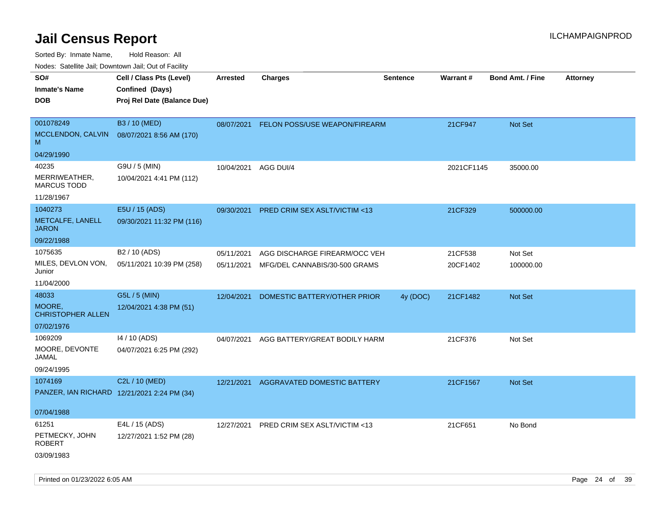Sorted By: Inmate Name, Hold Reason: All

Nodes: Satellite Jail; Downtown Jail; Out of Facility

| rouco. Calcinic Jan, Downtown Jan, Out of Facility |                                           |                 |                               |                 |            |                         |                 |
|----------------------------------------------------|-------------------------------------------|-----------------|-------------------------------|-----------------|------------|-------------------------|-----------------|
| SO#                                                | Cell / Class Pts (Level)                  | <b>Arrested</b> | <b>Charges</b>                | <b>Sentence</b> | Warrant#   | <b>Bond Amt. / Fine</b> | <b>Attorney</b> |
| <b>Inmate's Name</b>                               | Confined (Days)                           |                 |                               |                 |            |                         |                 |
| <b>DOB</b>                                         | Proj Rel Date (Balance Due)               |                 |                               |                 |            |                         |                 |
|                                                    |                                           |                 |                               |                 |            |                         |                 |
| 001078249                                          | B3 / 10 (MED)                             | 08/07/2021      | FELON POSS/USE WEAPON/FIREARM |                 | 21CF947    | Not Set                 |                 |
| MCCLENDON, CALVIN<br>M                             | 08/07/2021 8:56 AM (170)                  |                 |                               |                 |            |                         |                 |
| 04/29/1990                                         |                                           |                 |                               |                 |            |                         |                 |
| 40235                                              | G9U / 5 (MIN)                             | 10/04/2021      | AGG DUI/4                     |                 | 2021CF1145 | 35000.00                |                 |
| MERRIWEATHER,<br><b>MARCUS TODD</b>                | 10/04/2021 4:41 PM (112)                  |                 |                               |                 |            |                         |                 |
| 11/28/1967                                         |                                           |                 |                               |                 |            |                         |                 |
| 1040273                                            | E5U / 15 (ADS)                            | 09/30/2021      | PRED CRIM SEX ASLT/VICTIM <13 |                 | 21CF329    | 500000.00               |                 |
| METCALFE, LANELL<br><b>JARON</b>                   | 09/30/2021 11:32 PM (116)                 |                 |                               |                 |            |                         |                 |
| 09/22/1988                                         |                                           |                 |                               |                 |            |                         |                 |
| 1075635                                            | B2 / 10 (ADS)                             | 05/11/2021      | AGG DISCHARGE FIREARM/OCC VEH |                 | 21CF538    | Not Set                 |                 |
| MILES, DEVLON VON,<br>Junior                       | 05/11/2021 10:39 PM (258)                 | 05/11/2021      | MFG/DEL CANNABIS/30-500 GRAMS |                 | 20CF1402   | 100000.00               |                 |
| 11/04/2000                                         |                                           |                 |                               |                 |            |                         |                 |
| 48033                                              | G5L / 5 (MIN)                             | 12/04/2021      | DOMESTIC BATTERY/OTHER PRIOR  | 4y (DOC)        | 21CF1482   | Not Set                 |                 |
| MOORE,<br><b>CHRISTOPHER ALLEN</b>                 | 12/04/2021 4:38 PM (51)                   |                 |                               |                 |            |                         |                 |
| 07/02/1976                                         |                                           |                 |                               |                 |            |                         |                 |
| 1069209<br>MOORE, DEVONTE                          | 14 / 10 (ADS)<br>04/07/2021 6:25 PM (292) | 04/07/2021      | AGG BATTERY/GREAT BODILY HARM |                 | 21CF376    | Not Set                 |                 |
| JAMAL                                              |                                           |                 |                               |                 |            |                         |                 |
| 09/24/1995                                         |                                           |                 |                               |                 |            |                         |                 |
| 1074169                                            | C2L / 10 (MED)                            | 12/21/2021      | AGGRAVATED DOMESTIC BATTERY   |                 | 21CF1567   | Not Set                 |                 |
| PANZER, IAN RICHARD 12/21/2021 2:24 PM (34)        |                                           |                 |                               |                 |            |                         |                 |
| 07/04/1988                                         |                                           |                 |                               |                 |            |                         |                 |
| 61251                                              | E4L / 15 (ADS)                            | 12/27/2021      | PRED CRIM SEX ASLT/VICTIM <13 |                 | 21CF651    | No Bond                 |                 |
| PETMECKY, JOHN<br><b>ROBERT</b>                    | 12/27/2021 1:52 PM (28)                   |                 |                               |                 |            |                         |                 |
| 03/09/1983                                         |                                           |                 |                               |                 |            |                         |                 |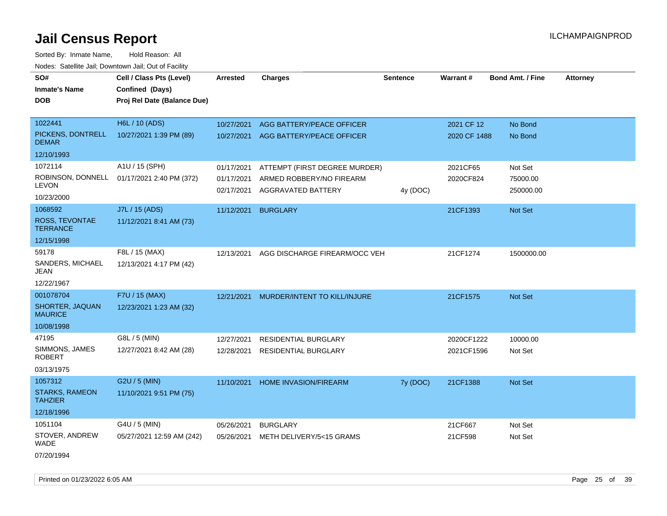Sorted By: Inmate Name, Hold Reason: All Nodes: Satellite Jail; Downtown Jail; Out of Facility

| SO#<br><b>Inmate's Name</b>             | Cell / Class Pts (Level)<br>Confined (Days) | Arrested   | <b>Charges</b>                                 | <b>Sentence</b> | Warrant#     | <b>Bond Amt. / Fine</b> | <b>Attorney</b> |
|-----------------------------------------|---------------------------------------------|------------|------------------------------------------------|-----------------|--------------|-------------------------|-----------------|
|                                         |                                             |            |                                                |                 |              |                         |                 |
| DOB                                     | Proj Rel Date (Balance Due)                 |            |                                                |                 |              |                         |                 |
| 1022441                                 | H6L / 10 (ADS)                              | 10/27/2021 | AGG BATTERY/PEACE OFFICER                      |                 | 2021 CF 12   | No Bond                 |                 |
| PICKENS, DONTRELL<br><b>DEMAR</b>       | 10/27/2021 1:39 PM (89)                     | 10/27/2021 | AGG BATTERY/PEACE OFFICER                      |                 | 2020 CF 1488 | No Bond                 |                 |
| 12/10/1993                              |                                             |            |                                                |                 |              |                         |                 |
| 1072114                                 | A1U / 15 (SPH)                              | 01/17/2021 | ATTEMPT (FIRST DEGREE MURDER)                  |                 | 2021CF65     | Not Set                 |                 |
| ROBINSON, DONNELL<br>LEVON              | 01/17/2021 2:40 PM (372)                    | 01/17/2021 | ARMED ROBBERY/NO FIREARM<br>AGGRAVATED BATTERY |                 | 2020CF824    | 75000.00                |                 |
| 10/23/2000                              |                                             | 02/17/2021 |                                                | 4y (DOC)        |              | 250000.00               |                 |
| 1068592                                 | J7L / 15 (ADS)                              | 11/12/2021 | <b>BURGLARY</b>                                |                 | 21CF1393     | <b>Not Set</b>          |                 |
| ROSS, TEVONTAE<br><b>TERRANCE</b>       | 11/12/2021 8:41 AM (73)                     |            |                                                |                 |              |                         |                 |
| 12/15/1998                              |                                             |            |                                                |                 |              |                         |                 |
| 59178                                   | F8L / 15 (MAX)                              | 12/13/2021 | AGG DISCHARGE FIREARM/OCC VEH                  |                 | 21CF1274     | 1500000.00              |                 |
| SANDERS, MICHAEL<br>JEAN                | 12/13/2021 4:17 PM (42)                     |            |                                                |                 |              |                         |                 |
| 12/22/1967                              |                                             |            |                                                |                 |              |                         |                 |
| 001078704                               | F7U / 15 (MAX)                              | 12/21/2021 | MURDER/INTENT TO KILL/INJURE                   |                 | 21CF1575     | Not Set                 |                 |
| SHORTER, JAQUAN<br><b>MAURICE</b>       | 12/23/2021 1:23 AM (32)                     |            |                                                |                 |              |                         |                 |
| 10/08/1998                              |                                             |            |                                                |                 |              |                         |                 |
| 47195                                   | G8L / 5 (MIN)                               | 12/27/2021 | <b>RESIDENTIAL BURGLARY</b>                    |                 | 2020CF1222   | 10000.00                |                 |
| SIMMONS, JAMES<br><b>ROBERT</b>         | 12/27/2021 8:42 AM (28)                     | 12/28/2021 | <b>RESIDENTIAL BURGLARY</b>                    |                 | 2021CF1596   | Not Set                 |                 |
| 03/13/1975                              |                                             |            |                                                |                 |              |                         |                 |
| 1057312                                 | G2U / 5 (MIN)                               | 11/10/2021 | HOME INVASION/FIREARM                          | 7y (DOC)        | 21CF1388     | Not Set                 |                 |
| <b>STARKS, RAMEON</b><br><b>TAHZIER</b> | 11/10/2021 9:51 PM (75)                     |            |                                                |                 |              |                         |                 |
| 12/18/1996                              |                                             |            |                                                |                 |              |                         |                 |
| 1051104                                 | G4U / 5 (MIN)                               | 05/26/2021 | <b>BURGLARY</b>                                |                 | 21CF667      | Not Set                 |                 |
| STOVER, ANDREW<br><b>WADE</b>           | 05/27/2021 12:59 AM (242)                   | 05/26/2021 | METH DELIVERY/5<15 GRAMS                       |                 | 21CF598      | Not Set                 |                 |
|                                         |                                             |            |                                                |                 |              |                         |                 |

07/20/1994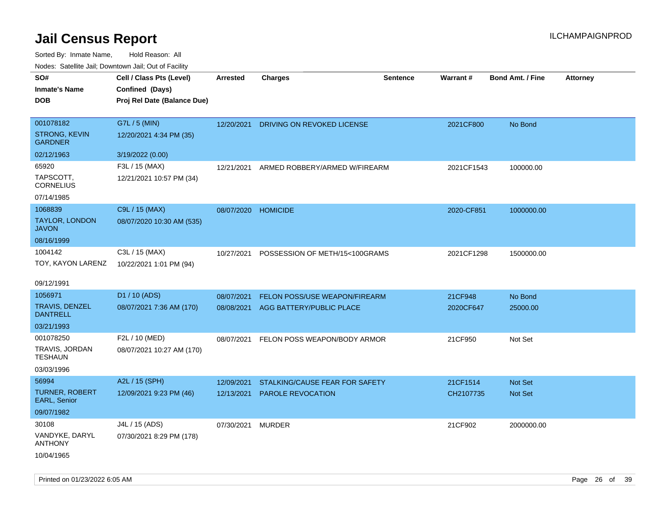| roaco. Calcinio dan, Downtown dan, Cal or Fability |                             |                     |                                       |                 |                 |                         |                 |
|----------------------------------------------------|-----------------------------|---------------------|---------------------------------------|-----------------|-----------------|-------------------------|-----------------|
| SO#                                                | Cell / Class Pts (Level)    | Arrested            | <b>Charges</b>                        | <b>Sentence</b> | <b>Warrant#</b> | <b>Bond Amt. / Fine</b> | <b>Attorney</b> |
| Inmate's Name                                      | Confined (Days)             |                     |                                       |                 |                 |                         |                 |
| <b>DOB</b>                                         | Proj Rel Date (Balance Due) |                     |                                       |                 |                 |                         |                 |
|                                                    |                             |                     |                                       |                 |                 |                         |                 |
| 001078182                                          | G7L / 5 (MIN)               |                     | 12/20/2021 DRIVING ON REVOKED LICENSE |                 | 2021CF800       | No Bond                 |                 |
| <b>STRONG, KEVIN</b><br><b>GARDNER</b>             | 12/20/2021 4:34 PM (35)     |                     |                                       |                 |                 |                         |                 |
| 02/12/1963                                         | 3/19/2022 (0.00)            |                     |                                       |                 |                 |                         |                 |
| 65920                                              | F3L / 15 (MAX)              | 12/21/2021          | ARMED ROBBERY/ARMED W/FIREARM         |                 | 2021CF1543      | 100000.00               |                 |
| TAPSCOTT,<br><b>CORNELIUS</b>                      | 12/21/2021 10:57 PM (34)    |                     |                                       |                 |                 |                         |                 |
| 07/14/1985                                         |                             |                     |                                       |                 |                 |                         |                 |
| 1068839                                            | C9L / 15 (MAX)              | 08/07/2020 HOMICIDE |                                       |                 | 2020-CF851      | 1000000.00              |                 |
| TAYLOR, LONDON<br>JAVON                            | 08/07/2020 10:30 AM (535)   |                     |                                       |                 |                 |                         |                 |
| 08/16/1999                                         |                             |                     |                                       |                 |                 |                         |                 |
| 1004142                                            | C3L / 15 (MAX)              | 10/27/2021          | POSSESSION OF METH/15<100GRAMS        |                 | 2021CF1298      | 1500000.00              |                 |
| TOY, KAYON LARENZ                                  | 10/22/2021 1:01 PM (94)     |                     |                                       |                 |                 |                         |                 |
|                                                    |                             |                     |                                       |                 |                 |                         |                 |
| 09/12/1991                                         |                             |                     |                                       |                 |                 |                         |                 |
| 1056971                                            | D1 / 10 (ADS)               | 08/07/2021          | FELON POSS/USE WEAPON/FIREARM         |                 | 21CF948         | No Bond                 |                 |
| TRAVIS, DENZEL<br><b>DANTRELL</b>                  | 08/07/2021 7:36 AM (170)    | 08/08/2021          | AGG BATTERY/PUBLIC PLACE              |                 | 2020CF647       | 25000.00                |                 |
| 03/21/1993                                         |                             |                     |                                       |                 |                 |                         |                 |
| 001078250                                          | F2L / 10 (MED)              | 08/07/2021          | FELON POSS WEAPON/BODY ARMOR          |                 | 21CF950         | Not Set                 |                 |
| TRAVIS, JORDAN<br>TESHAUN                          | 08/07/2021 10:27 AM (170)   |                     |                                       |                 |                 |                         |                 |
| 03/03/1996                                         |                             |                     |                                       |                 |                 |                         |                 |
| 56994                                              | A2L / 15 (SPH)              | 12/09/2021          | STALKING/CAUSE FEAR FOR SAFETY        |                 | 21CF1514        | <b>Not Set</b>          |                 |
| <b>TURNER, ROBERT</b><br>EARL, Senior              | 12/09/2021 9:23 PM (46)     | 12/13/2021          | <b>PAROLE REVOCATION</b>              |                 | CH2107735       | <b>Not Set</b>          |                 |
| 09/07/1982                                         |                             |                     |                                       |                 |                 |                         |                 |
| 30108                                              | J4L / 15 (ADS)              | 07/30/2021          | MURDER                                |                 | 21CF902         | 2000000.00              |                 |
| VANDYKE, DARYL<br>ANTHONY                          | 07/30/2021 8:29 PM (178)    |                     |                                       |                 |                 |                         |                 |
| 10/04/1965                                         |                             |                     |                                       |                 |                 |                         |                 |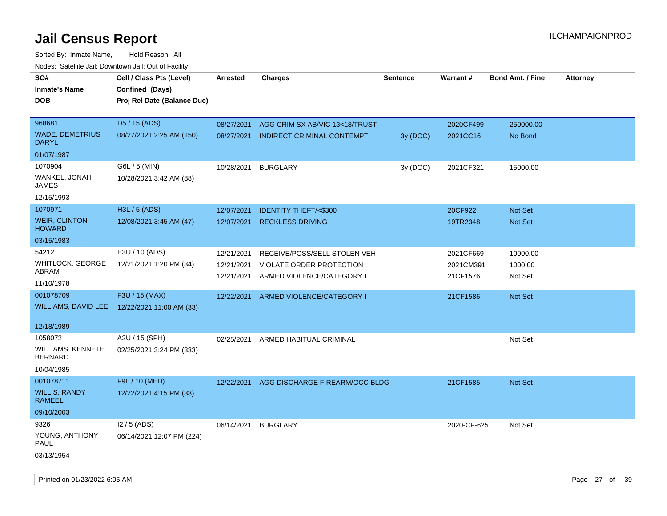Sorted By: Inmate Name, Hold Reason: All Nodes: Satellite Jail; Downtown Jail; Out of Facility

| roaco. Catolino cali, Downtown cali, Out of Fability |                                              |            |                                    |                 |             |                         |                 |
|------------------------------------------------------|----------------------------------------------|------------|------------------------------------|-----------------|-------------|-------------------------|-----------------|
| SO#                                                  | Cell / Class Pts (Level)                     | Arrested   | <b>Charges</b>                     | <b>Sentence</b> | Warrant#    | <b>Bond Amt. / Fine</b> | <b>Attorney</b> |
| <b>Inmate's Name</b>                                 | Confined (Days)                              |            |                                    |                 |             |                         |                 |
| <b>DOB</b>                                           | Proj Rel Date (Balance Due)                  |            |                                    |                 |             |                         |                 |
|                                                      |                                              |            |                                    |                 |             |                         |                 |
| 968681                                               | D5 / 15 (ADS)                                | 08/27/2021 | AGG CRIM SX AB/VIC 13<18/TRUST     |                 | 2020CF499   | 250000.00               |                 |
| <b>WADE, DEMETRIUS</b><br><b>DARYL</b>               | 08/27/2021 2:25 AM (150)                     | 08/27/2021 | INDIRECT CRIMINAL CONTEMPT         | 3y (DOC)        | 2021CC16    | No Bond                 |                 |
| 01/07/1987                                           |                                              |            |                                    |                 |             |                         |                 |
| 1070904                                              | G6L / 5 (MIN)                                | 10/28/2021 | <b>BURGLARY</b>                    | 3y (DOC)        | 2021CF321   | 15000.00                |                 |
| WANKEL, JONAH<br>JAMES                               | 10/28/2021 3:42 AM (88)                      |            |                                    |                 |             |                         |                 |
| 12/15/1993                                           |                                              |            |                                    |                 |             |                         |                 |
| 1070971                                              | H3L / 5 (ADS)                                | 12/07/2021 | <b>IDENTITY THEFT/&lt;\$300</b>    |                 | 20CF922     | Not Set                 |                 |
| <b>WEIR, CLINTON</b><br><b>HOWARD</b>                | 12/08/2021 3:45 AM (47)                      | 12/07/2021 | <b>RECKLESS DRIVING</b>            |                 | 19TR2348    | Not Set                 |                 |
| 03/15/1983                                           |                                              |            |                                    |                 |             |                         |                 |
| 54212                                                | E3U / 10 (ADS)                               | 12/21/2021 | RECEIVE/POSS/SELL STOLEN VEH       |                 | 2021CF669   | 10000.00                |                 |
| <b>WHITLOCK, GEORGE</b>                              | 12/21/2021 1:20 PM (34)                      | 12/21/2021 | VIOLATE ORDER PROTECTION           |                 | 2021CM391   | 1000.00                 |                 |
| ABRAM                                                |                                              | 12/21/2021 | ARMED VIOLENCE/CATEGORY I          |                 | 21CF1576    | Not Set                 |                 |
| 11/10/1978                                           |                                              |            |                                    |                 |             |                         |                 |
| 001078709                                            | F3U / 15 (MAX)                               | 12/22/2021 | ARMED VIOLENCE/CATEGORY I          |                 | 21CF1586    | Not Set                 |                 |
|                                                      | WILLIAMS, DAVID LEE 12/22/2021 11:00 AM (33) |            |                                    |                 |             |                         |                 |
|                                                      |                                              |            |                                    |                 |             |                         |                 |
| 12/18/1989                                           |                                              |            |                                    |                 |             |                         |                 |
| 1058072                                              | A2U / 15 (SPH)                               |            | 02/25/2021 ARMED HABITUAL CRIMINAL |                 |             | Not Set                 |                 |
| WILLIAMS, KENNETH<br><b>BERNARD</b>                  | 02/25/2021 3:24 PM (333)                     |            |                                    |                 |             |                         |                 |
| 10/04/1985                                           |                                              |            |                                    |                 |             |                         |                 |
| 001078711                                            | F9L / 10 (MED)                               | 12/22/2021 | AGG DISCHARGE FIREARM/OCC BLDG     |                 | 21CF1585    | Not Set                 |                 |
| <b>WILLIS, RANDY</b><br><b>RAMEEL</b>                | 12/22/2021 4:15 PM (33)                      |            |                                    |                 |             |                         |                 |
| 09/10/2003                                           |                                              |            |                                    |                 |             |                         |                 |
| 9326                                                 | $12/5$ (ADS)                                 | 06/14/2021 | <b>BURGLARY</b>                    |                 | 2020-CF-625 | Not Set                 |                 |
| YOUNG, ANTHONY<br><b>PAUL</b>                        | 06/14/2021 12:07 PM (224)                    |            |                                    |                 |             |                         |                 |
| 03/13/1954                                           |                                              |            |                                    |                 |             |                         |                 |

Printed on 01/23/2022 6:05 AM Page 27 of 39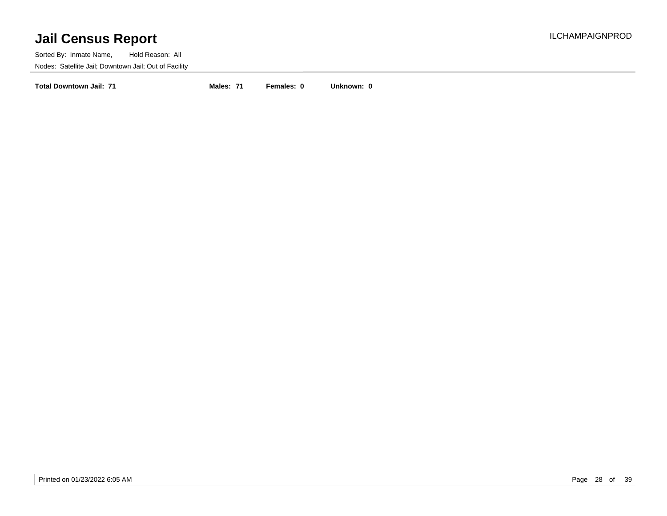Sorted By: Inmate Name, Hold Reason: All Nodes: Satellite Jail; Downtown Jail; Out of Facility

**Total Downtown Jail: 71 Males: 71 Females: 0 Unknown: 0**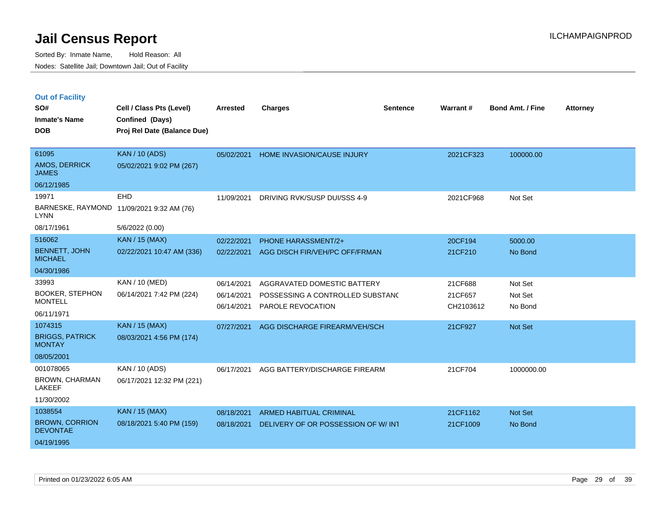|  | <b>Out of Facility</b> |
|--|------------------------|
|--|------------------------|

| SO#<br><b>Inmate's Name</b><br><b>DOB</b> | Cell / Class Pts (Level)<br>Confined (Days)<br>Proj Rel Date (Balance Due) | <b>Arrested</b> | <b>Charges</b>                      | <b>Sentence</b> | Warrant#  | <b>Bond Amt. / Fine</b> | <b>Attorney</b> |
|-------------------------------------------|----------------------------------------------------------------------------|-----------------|-------------------------------------|-----------------|-----------|-------------------------|-----------------|
| 61095<br>AMOS, DERRICK                    | <b>KAN / 10 (ADS)</b><br>05/02/2021 9:02 PM (267)                          | 05/02/2021      | <b>HOME INVASION/CAUSE INJURY</b>   |                 | 2021CF323 | 100000.00               |                 |
| <b>JAMES</b><br>06/12/1985                |                                                                            |                 |                                     |                 |           |                         |                 |
| 19971                                     | <b>EHD</b>                                                                 | 11/09/2021      | DRIVING RVK/SUSP DUI/SSS 4-9        |                 | 2021CF968 | Not Set                 |                 |
| <b>LYNN</b>                               | BARNESKE, RAYMOND 11/09/2021 9:32 AM (76)                                  |                 |                                     |                 |           |                         |                 |
| 08/17/1961                                | 5/6/2022 (0.00)                                                            |                 |                                     |                 |           |                         |                 |
| 516062                                    | <b>KAN / 15 (MAX)</b>                                                      | 02/22/2021      | PHONE HARASSMENT/2+                 |                 | 20CF194   | 5000.00                 |                 |
| <b>BENNETT, JOHN</b><br><b>MICHAEL</b>    | 02/22/2021 10:47 AM (336)                                                  | 02/22/2021      | AGG DISCH FIR/VEH/PC OFF/FRMAN      |                 | 21CF210   | No Bond                 |                 |
| 04/30/1986                                |                                                                            |                 |                                     |                 |           |                         |                 |
| 33993                                     | KAN / 10 (MED)                                                             | 06/14/2021      | AGGRAVATED DOMESTIC BATTERY         |                 | 21CF688   | Not Set                 |                 |
| <b>BOOKER, STEPHON</b>                    | 06/14/2021 7:42 PM (224)                                                   | 06/14/2021      | POSSESSING A CONTROLLED SUBSTAND    |                 | 21CF657   | Not Set                 |                 |
| <b>MONTELL</b>                            |                                                                            | 06/14/2021      | PAROLE REVOCATION                   |                 | CH2103612 | No Bond                 |                 |
| 06/11/1971                                |                                                                            |                 |                                     |                 |           |                         |                 |
| 1074315                                   | <b>KAN / 15 (MAX)</b>                                                      | 07/27/2021      | AGG DISCHARGE FIREARM/VEH/SCH       |                 | 21CF927   | Not Set                 |                 |
| <b>BRIGGS, PATRICK</b><br><b>MONTAY</b>   | 08/03/2021 4:56 PM (174)                                                   |                 |                                     |                 |           |                         |                 |
| 08/05/2001                                |                                                                            |                 |                                     |                 |           |                         |                 |
| 001078065                                 | KAN / 10 (ADS)                                                             | 06/17/2021      | AGG BATTERY/DISCHARGE FIREARM       |                 | 21CF704   | 1000000.00              |                 |
| <b>BROWN, CHARMAN</b><br>LAKEEF           | 06/17/2021 12:32 PM (221)                                                  |                 |                                     |                 |           |                         |                 |
| 11/30/2002                                |                                                                            |                 |                                     |                 |           |                         |                 |
| 1038554                                   | <b>KAN / 15 (MAX)</b>                                                      | 08/18/2021      | <b>ARMED HABITUAL CRIMINAL</b>      |                 | 21CF1162  | Not Set                 |                 |
| <b>BROWN, CORRION</b><br><b>DEVONTAE</b>  | 08/18/2021 5:40 PM (159)                                                   | 08/18/2021      | DELIVERY OF OR POSSESSION OF W/ INT |                 | 21CF1009  | No Bond                 |                 |
| 04/19/1995                                |                                                                            |                 |                                     |                 |           |                         |                 |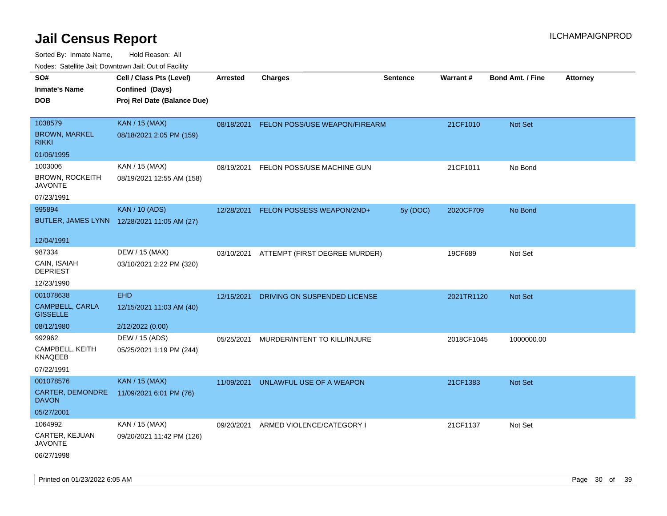| Nudes. Satellite Jali, Downtown Jali, Out of Facility |                                             |            |                               |                 |                 |                         |                 |
|-------------------------------------------------------|---------------------------------------------|------------|-------------------------------|-----------------|-----------------|-------------------------|-----------------|
| SO#                                                   | Cell / Class Pts (Level)                    | Arrested   | <b>Charges</b>                | <b>Sentence</b> | <b>Warrant#</b> | <b>Bond Amt. / Fine</b> | <b>Attorney</b> |
| <b>Inmate's Name</b>                                  | Confined (Days)                             |            |                               |                 |                 |                         |                 |
| DOB                                                   | Proj Rel Date (Balance Due)                 |            |                               |                 |                 |                         |                 |
|                                                       |                                             |            |                               |                 |                 |                         |                 |
| 1038579                                               | <b>KAN / 15 (MAX)</b>                       | 08/18/2021 | FELON POSS/USE WEAPON/FIREARM |                 | 21CF1010        | Not Set                 |                 |
| <b>BROWN, MARKEL</b><br>rikki                         | 08/18/2021 2:05 PM (159)                    |            |                               |                 |                 |                         |                 |
| 01/06/1995                                            |                                             |            |                               |                 |                 |                         |                 |
| 1003006                                               | KAN / 15 (MAX)                              | 08/19/2021 | FELON POSS/USE MACHINE GUN    |                 | 21CF1011        | No Bond                 |                 |
| <b>BROWN, ROCKEITH</b><br>JAVONTE                     | 08/19/2021 12:55 AM (158)                   |            |                               |                 |                 |                         |                 |
| 07/23/1991                                            |                                             |            |                               |                 |                 |                         |                 |
| 995894                                                | <b>KAN / 10 (ADS)</b>                       | 12/28/2021 | FELON POSSESS WEAPON/2ND+     | 5y (DOC)        | 2020CF709       | No Bond                 |                 |
|                                                       | BUTLER, JAMES LYNN 12/28/2021 11:05 AM (27) |            |                               |                 |                 |                         |                 |
|                                                       |                                             |            |                               |                 |                 |                         |                 |
| 12/04/1991                                            |                                             |            |                               |                 |                 |                         |                 |
| 987334                                                | DEW / 15 (MAX)                              | 03/10/2021 | ATTEMPT (FIRST DEGREE MURDER) |                 | 19CF689         | Not Set                 |                 |
| CAIN, ISAIAH<br>DEPRIEST                              | 03/10/2021 2:22 PM (320)                    |            |                               |                 |                 |                         |                 |
| 12/23/1990                                            |                                             |            |                               |                 |                 |                         |                 |
| 001078638                                             | <b>EHD</b>                                  | 12/15/2021 | DRIVING ON SUSPENDED LICENSE  |                 | 2021TR1120      | Not Set                 |                 |
| <b>CAMPBELL, CARLA</b><br><b>GISSELLE</b>             | 12/15/2021 11:03 AM (40)                    |            |                               |                 |                 |                         |                 |
| 08/12/1980                                            | 2/12/2022 (0.00)                            |            |                               |                 |                 |                         |                 |
| 992962                                                | DEW / 15 (ADS)                              | 05/25/2021 | MURDER/INTENT TO KILL/INJURE  |                 | 2018CF1045      | 1000000.00              |                 |
| CAMPBELL, KEITH<br>KNAQEEB                            | 05/25/2021 1:19 PM (244)                    |            |                               |                 |                 |                         |                 |
| 07/22/1991                                            |                                             |            |                               |                 |                 |                         |                 |
| 001078576                                             | KAN / 15 (MAX)                              | 11/09/2021 | UNLAWFUL USE OF A WEAPON      |                 | 21CF1383        | <b>Not Set</b>          |                 |
| CARTER, DEMONDRE<br>DAVON                             | 11/09/2021 6:01 PM (76)                     |            |                               |                 |                 |                         |                 |
| 05/27/2001                                            |                                             |            |                               |                 |                 |                         |                 |
| 1064992                                               | KAN / 15 (MAX)                              | 09/20/2021 | ARMED VIOLENCE/CATEGORY I     |                 | 21CF1137        | Not Set                 |                 |
| CARTER, KEJUAN<br>JAVONTE                             | 09/20/2021 11:42 PM (126)                   |            |                               |                 |                 |                         |                 |
| 06/27/1998                                            |                                             |            |                               |                 |                 |                         |                 |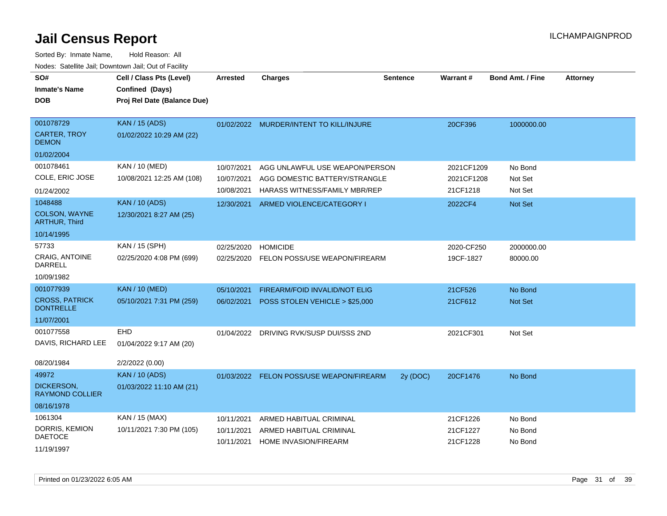| SO#<br><b>Inmate's Name</b><br><b>DOB</b>                                    | Cell / Class Pts (Level)<br>Confined (Days)<br>Proj Rel Date (Balance Due) | Arrested                               | <b>Charges</b>                                                                                          | <b>Sentence</b> | <b>Warrant#</b>                      | <b>Bond Amt. / Fine</b>       | <b>Attorney</b> |
|------------------------------------------------------------------------------|----------------------------------------------------------------------------|----------------------------------------|---------------------------------------------------------------------------------------------------------|-----------------|--------------------------------------|-------------------------------|-----------------|
| 001078729<br><b>CARTER, TROY</b><br><b>DEMON</b>                             | <b>KAN / 15 (ADS)</b><br>01/02/2022 10:29 AM (22)                          |                                        | 01/02/2022 MURDER/INTENT TO KILL/INJURE                                                                 |                 | 20CF396                              | 1000000.00                    |                 |
| 01/02/2004                                                                   |                                                                            |                                        |                                                                                                         |                 |                                      |                               |                 |
| 001078461<br>COLE, ERIC JOSE                                                 | KAN / 10 (MED)<br>10/08/2021 12:25 AM (108)                                | 10/07/2021<br>10/07/2021<br>10/08/2021 | AGG UNLAWFUL USE WEAPON/PERSON<br>AGG DOMESTIC BATTERY/STRANGLE<br><b>HARASS WITNESS/FAMILY MBR/REP</b> |                 | 2021CF1209<br>2021CF1208<br>21CF1218 | No Bond<br>Not Set<br>Not Set |                 |
| 01/24/2002<br>1048488<br>COLSON, WAYNE<br><b>ARTHUR, Third</b><br>10/14/1995 | <b>KAN / 10 (ADS)</b><br>12/30/2021 8:27 AM (25)                           | 12/30/2021                             | ARMED VIOLENCE/CATEGORY I                                                                               |                 | 2022CF4                              | Not Set                       |                 |
| 57733<br><b>CRAIG. ANTOINE</b><br>DARRELL<br>10/09/1982                      | KAN / 15 (SPH)<br>02/25/2020 4:08 PM (699)                                 | 02/25/2020<br>02/25/2020               | <b>HOMICIDE</b><br>FELON POSS/USE WEAPON/FIREARM                                                        |                 | 2020-CF250<br>19CF-1827              | 2000000.00<br>80000.00        |                 |
| 001077939                                                                    | <b>KAN / 10 (MED)</b>                                                      | 05/10/2021                             | FIREARM/FOID INVALID/NOT ELIG                                                                           |                 | 21CF526                              | No Bond                       |                 |
| <b>CROSS, PATRICK</b><br><b>DONTRELLE</b>                                    | 05/10/2021 7:31 PM (259)                                                   | 06/02/2021                             | POSS STOLEN VEHICLE > \$25,000                                                                          |                 | 21CF612                              | Not Set                       |                 |
| 11/07/2001                                                                   |                                                                            |                                        |                                                                                                         |                 |                                      |                               |                 |
| 001077558<br>DAVIS, RICHARD LEE<br>08/20/1984                                | EHD<br>01/04/2022 9:17 AM (20)<br>2/2/2022 (0.00)                          |                                        | 01/04/2022 DRIVING RVK/SUSP DUI/SSS 2ND                                                                 |                 | 2021CF301                            | Not Set                       |                 |
| 49972<br><b>DICKERSON.</b><br><b>RAYMOND COLLIER</b>                         | <b>KAN / 10 (ADS)</b><br>01/03/2022 11:10 AM (21)                          |                                        | 01/03/2022 FELON POSS/USE WEAPON/FIREARM                                                                | 2y (DOC)        | 20CF1476                             | No Bond                       |                 |
| 08/16/1978                                                                   |                                                                            |                                        |                                                                                                         |                 |                                      |                               |                 |
| 1061304<br>DORRIS, KEMION<br><b>DAETOCE</b><br>11/19/1997                    | KAN / 15 (MAX)<br>10/11/2021 7:30 PM (105)                                 | 10/11/2021<br>10/11/2021<br>10/11/2021 | ARMED HABITUAL CRIMINAL<br>ARMED HABITUAL CRIMINAL<br><b>HOME INVASION/FIREARM</b>                      |                 | 21CF1226<br>21CF1227<br>21CF1228     | No Bond<br>No Bond<br>No Bond |                 |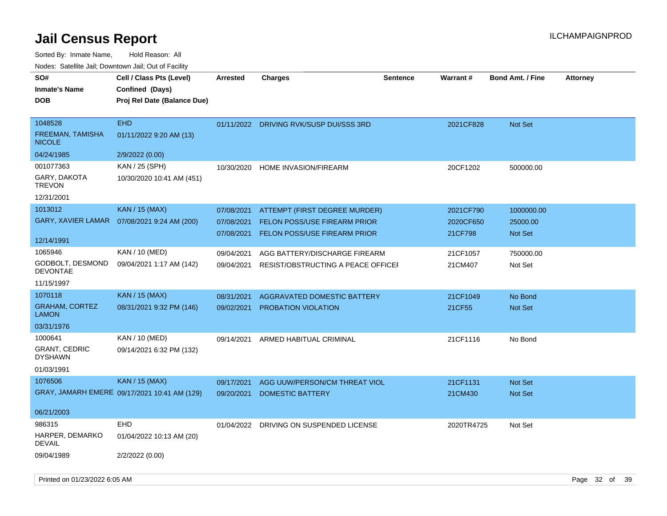| SO#                                      | Cell / Class Pts (Level)                     | <b>Arrested</b> | <b>Charges</b>                          | <b>Sentence</b> | <b>Warrant#</b> | <b>Bond Amt. / Fine</b> | <b>Attorney</b> |
|------------------------------------------|----------------------------------------------|-----------------|-----------------------------------------|-----------------|-----------------|-------------------------|-----------------|
| <b>Inmate's Name</b>                     | Confined (Days)                              |                 |                                         |                 |                 |                         |                 |
| <b>DOB</b>                               | Proj Rel Date (Balance Due)                  |                 |                                         |                 |                 |                         |                 |
|                                          |                                              |                 |                                         |                 |                 |                         |                 |
| 1048528                                  | <b>EHD</b>                                   |                 | 01/11/2022 DRIVING RVK/SUSP DUI/SSS 3RD |                 | 2021CF828       | Not Set                 |                 |
| <b>FREEMAN, TAMISHA</b><br><b>NICOLE</b> | 01/11/2022 9:20 AM (13)                      |                 |                                         |                 |                 |                         |                 |
| 04/24/1985                               | 2/9/2022 (0.00)                              |                 |                                         |                 |                 |                         |                 |
| 001077363                                | KAN / 25 (SPH)                               | 10/30/2020      | <b>HOME INVASION/FIREARM</b>            |                 | 20CF1202        | 500000.00               |                 |
| GARY, DAKOTA<br><b>TREVON</b>            | 10/30/2020 10:41 AM (451)                    |                 |                                         |                 |                 |                         |                 |
| 12/31/2001                               |                                              |                 |                                         |                 |                 |                         |                 |
| 1013012                                  | <b>KAN / 15 (MAX)</b>                        | 07/08/2021      | ATTEMPT (FIRST DEGREE MURDER)           |                 | 2021CF790       | 1000000.00              |                 |
| GARY, XAVIER LAMAR                       | 07/08/2021 9:24 AM (200)                     | 07/08/2021      | FELON POSS/USE FIREARM PRIOR            |                 | 2020CF650       | 25000.00                |                 |
|                                          |                                              | 07/08/2021      | <b>FELON POSS/USE FIREARM PRIOR</b>     |                 | 21CF798         | <b>Not Set</b>          |                 |
| 12/14/1991                               |                                              |                 |                                         |                 |                 |                         |                 |
| 1065946                                  | KAN / 10 (MED)                               | 09/04/2021      | AGG BATTERY/DISCHARGE FIREARM           |                 | 21CF1057        | 750000.00               |                 |
| GODBOLT, DESMOND<br><b>DEVONTAE</b>      | 09/04/2021 1:17 AM (142)                     | 09/04/2021      | RESIST/OBSTRUCTING A PEACE OFFICEI      |                 | 21CM407         | Not Set                 |                 |
| 11/15/1997                               |                                              |                 |                                         |                 |                 |                         |                 |
| 1070118                                  | <b>KAN / 15 (MAX)</b>                        | 08/31/2021      | AGGRAVATED DOMESTIC BATTERY             |                 | 21CF1049        | No Bond                 |                 |
| <b>GRAHAM, CORTEZ</b><br><b>LAMON</b>    | 08/31/2021 9:32 PM (146)                     | 09/02/2021      | PROBATION VIOLATION                     |                 | 21CF55          | Not Set                 |                 |
| 03/31/1976                               |                                              |                 |                                         |                 |                 |                         |                 |
| 1000641                                  | KAN / 10 (MED)                               | 09/14/2021      | ARMED HABITUAL CRIMINAL                 |                 | 21CF1116        | No Bond                 |                 |
| <b>GRANT, CEDRIC</b><br><b>DYSHAWN</b>   | 09/14/2021 6:32 PM (132)                     |                 |                                         |                 |                 |                         |                 |
| 01/03/1991                               |                                              |                 |                                         |                 |                 |                         |                 |
| 1076506                                  | <b>KAN / 15 (MAX)</b>                        | 09/17/2021      | AGG UUW/PERSON/CM THREAT VIOL           |                 | 21CF1131        | Not Set                 |                 |
|                                          | GRAY, JAMARH EMERE 09/17/2021 10:41 AM (129) | 09/20/2021      | <b>DOMESTIC BATTERY</b>                 |                 | 21CM430         | Not Set                 |                 |
| 06/21/2003                               |                                              |                 |                                         |                 |                 |                         |                 |
| 986315                                   | EHD                                          | 01/04/2022      | DRIVING ON SUSPENDED LICENSE            |                 | 2020TR4725      | Not Set                 |                 |
| HARPER, DEMARKO<br><b>DEVAIL</b>         | 01/04/2022 10:13 AM (20)                     |                 |                                         |                 |                 |                         |                 |
| 09/04/1989                               | 2/2/2022 (0.00)                              |                 |                                         |                 |                 |                         |                 |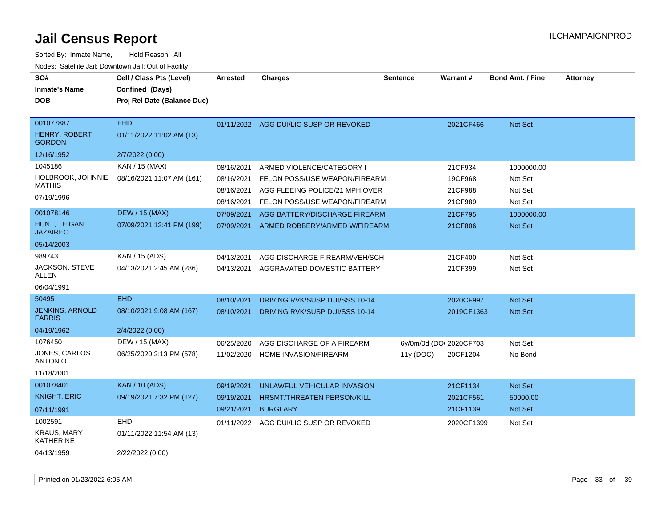| SO#<br><b>Inmate's Name</b><br><b>DOB</b>   | Cell / Class Pts (Level)<br>Confined (Days)<br>Proj Rel Date (Balance Due) | <b>Arrested</b> | <b>Charges</b>                 | <b>Sentence</b>         | Warrant#   | <b>Bond Amt. / Fine</b> | <b>Attorney</b> |
|---------------------------------------------|----------------------------------------------------------------------------|-----------------|--------------------------------|-------------------------|------------|-------------------------|-----------------|
| 001077887<br>HENRY, ROBERT<br><b>GORDON</b> | <b>EHD</b><br>01/11/2022 11:02 AM (13)                                     | 01/11/2022      | AGG DUI/LIC SUSP OR REVOKED    |                         | 2021CF466  | <b>Not Set</b>          |                 |
| 12/16/1952                                  | 2/7/2022 (0.00)                                                            |                 |                                |                         |            |                         |                 |
| 1045186                                     | KAN / 15 (MAX)                                                             | 08/16/2021      | ARMED VIOLENCE/CATEGORY I      |                         | 21CF934    | 1000000.00              |                 |
| HOLBROOK, JOHNNIE<br><b>MATHIS</b>          | 08/16/2021 11:07 AM (161)                                                  | 08/16/2021      | FELON POSS/USE WEAPON/FIREARM  |                         | 19CF968    | Not Set                 |                 |
| 07/19/1996                                  |                                                                            | 08/16/2021      | AGG FLEEING POLICE/21 MPH OVER |                         | 21CF988    | Not Set                 |                 |
|                                             |                                                                            | 08/16/2021      | FELON POSS/USE WEAPON/FIREARM  |                         | 21CF989    | Not Set                 |                 |
| 001078146                                   | <b>DEW / 15 (MAX)</b>                                                      | 07/09/2021      | AGG BATTERY/DISCHARGE FIREARM  |                         | 21CF795    | 1000000.00              |                 |
| HUNT, TEIGAN<br><b>JAZAIREO</b>             | 07/09/2021 12:41 PM (199)                                                  | 07/09/2021      | ARMED ROBBERY/ARMED W/FIREARM  |                         | 21CF806    | <b>Not Set</b>          |                 |
| 05/14/2003                                  |                                                                            |                 |                                |                         |            |                         |                 |
| 989743                                      | KAN / 15 (ADS)                                                             | 04/13/2021      | AGG DISCHARGE FIREARM/VEH/SCH  |                         | 21CF400    | Not Set                 |                 |
| JACKSON, STEVE<br>ALLEN                     | 04/13/2021 2:45 AM (286)                                                   | 04/13/2021      | AGGRAVATED DOMESTIC BATTERY    |                         | 21CF399    | Not Set                 |                 |
| 06/04/1991                                  |                                                                            |                 |                                |                         |            |                         |                 |
| 50495                                       | <b>EHD</b>                                                                 | 08/10/2021      | DRIVING RVK/SUSP DUI/SSS 10-14 |                         | 2020CF997  | <b>Not Set</b>          |                 |
| <b>JENKINS, ARNOLD</b><br><b>FARRIS</b>     | 08/10/2021 9:08 AM (167)                                                   | 08/10/2021      | DRIVING RVK/SUSP DUI/SSS 10-14 |                         | 2019CF1363 | <b>Not Set</b>          |                 |
| 04/19/1962                                  | 2/4/2022 (0.00)                                                            |                 |                                |                         |            |                         |                 |
| 1076450                                     | DEW / 15 (MAX)                                                             | 06/25/2020      | AGG DISCHARGE OF A FIREARM     | 6y/0m/0d (DOI 2020CF703 |            | Not Set                 |                 |
| <b>JONES, CARLOS</b><br><b>ANTONIO</b>      | 06/25/2020 2:13 PM (578)                                                   | 11/02/2020      | HOME INVASION/FIREARM          | 11y (DOC)               | 20CF1204   | No Bond                 |                 |
| 11/18/2001                                  |                                                                            |                 |                                |                         |            |                         |                 |
| 001078401                                   | <b>KAN / 10 (ADS)</b>                                                      | 09/19/2021      | UNLAWFUL VEHICULAR INVASION    |                         | 21CF1134   | <b>Not Set</b>          |                 |
| <b>KNIGHT, ERIC</b>                         | 09/19/2021 7:32 PM (127)                                                   | 09/19/2021      | HRSMT/THREATEN PERSON/KILL     |                         | 2021CF561  | 50000.00                |                 |
| 07/11/1991                                  |                                                                            | 09/21/2021      | <b>BURGLARY</b>                |                         | 21CF1139   | Not Set                 |                 |
| 1002591                                     | <b>EHD</b>                                                                 | 01/11/2022      | AGG DUI/LIC SUSP OR REVOKED    |                         | 2020CF1399 | Not Set                 |                 |
| <b>KRAUS, MARY</b><br>KATHERINE             | 01/11/2022 11:54 AM (13)                                                   |                 |                                |                         |            |                         |                 |
| 04/13/1959                                  | 2/22/2022 (0.00)                                                           |                 |                                |                         |            |                         |                 |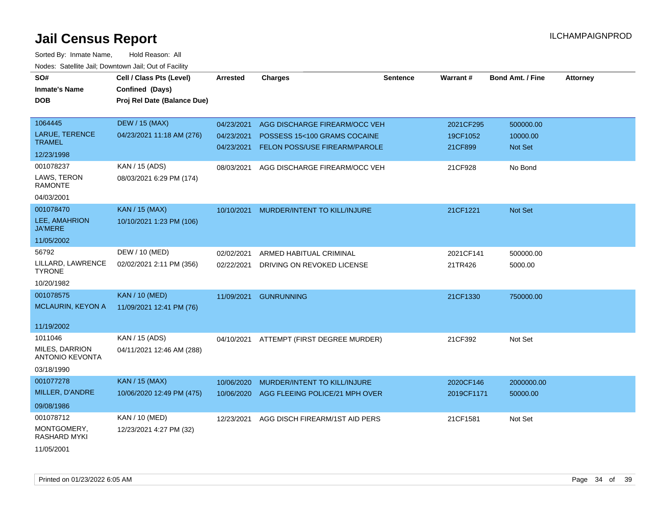| SO#<br><b>Inmate's Name</b><br><b>DOB</b> | Cell / Class Pts (Level)<br>Confined (Days)<br>Proj Rel Date (Balance Due) | <b>Arrested</b> | <b>Charges</b>                           | <b>Sentence</b> | <b>Warrant#</b> | <b>Bond Amt. / Fine</b> | <b>Attorney</b> |
|-------------------------------------------|----------------------------------------------------------------------------|-----------------|------------------------------------------|-----------------|-----------------|-------------------------|-----------------|
| 1064445                                   | <b>DEW / 15 (MAX)</b>                                                      | 04/23/2021      | AGG DISCHARGE FIREARM/OCC VEH            |                 | 2021CF295       | 500000.00               |                 |
| LARUE, TERENCE                            | 04/23/2021 11:18 AM (276)                                                  | 04/23/2021      | POSSESS 15<100 GRAMS COCAINE             |                 | 19CF1052        | 10000.00                |                 |
| <b>TRAMEL</b>                             |                                                                            | 04/23/2021      | <b>FELON POSS/USE FIREARM/PAROLE</b>     |                 | 21CF899         | Not Set                 |                 |
| 12/23/1998                                |                                                                            |                 |                                          |                 |                 |                         |                 |
| 001078237                                 | KAN / 15 (ADS)                                                             | 08/03/2021      | AGG DISCHARGE FIREARM/OCC VEH            |                 | 21CF928         | No Bond                 |                 |
| LAWS, TERON<br><b>RAMONTE</b>             | 08/03/2021 6:29 PM (174)                                                   |                 |                                          |                 |                 |                         |                 |
| 04/03/2001                                |                                                                            |                 |                                          |                 |                 |                         |                 |
| 001078470                                 | <b>KAN / 15 (MAX)</b>                                                      | 10/10/2021      | MURDER/INTENT TO KILL/INJURE             |                 | 21CF1221        | Not Set                 |                 |
| LEE, AMAHRION<br><b>JA'MERE</b>           | 10/10/2021 1:23 PM (106)                                                   |                 |                                          |                 |                 |                         |                 |
| 11/05/2002                                |                                                                            |                 |                                          |                 |                 |                         |                 |
| 56792                                     | DEW / 10 (MED)                                                             | 02/02/2021      | ARMED HABITUAL CRIMINAL                  |                 | 2021CF141       | 500000.00               |                 |
| LILLARD, LAWRENCE<br><b>TYRONE</b>        | 02/02/2021 2:11 PM (356)                                                   | 02/22/2021      | DRIVING ON REVOKED LICENSE               |                 | 21TR426         | 5000.00                 |                 |
| 10/20/1982                                |                                                                            |                 |                                          |                 |                 |                         |                 |
| 001078575                                 | <b>KAN / 10 (MED)</b>                                                      | 11/09/2021      | <b>GUNRUNNING</b>                        |                 | 21CF1330        | 750000.00               |                 |
| <b>MCLAURIN, KEYON A</b>                  | 11/09/2021 12:41 PM (76)                                                   |                 |                                          |                 |                 |                         |                 |
| 11/19/2002                                |                                                                            |                 |                                          |                 |                 |                         |                 |
| 1011046                                   | KAN / 15 (ADS)                                                             |                 | 04/10/2021 ATTEMPT (FIRST DEGREE MURDER) |                 | 21CF392         | Not Set                 |                 |
| MILES, DARRION<br><b>ANTONIO KEVONTA</b>  | 04/11/2021 12:46 AM (288)                                                  |                 |                                          |                 |                 |                         |                 |
| 03/18/1990                                |                                                                            |                 |                                          |                 |                 |                         |                 |
| 001077278                                 | <b>KAN / 15 (MAX)</b>                                                      | 10/06/2020      | MURDER/INTENT TO KILL/INJURE             |                 | 2020CF146       | 2000000.00              |                 |
| MILLER, D'ANDRE                           | 10/06/2020 12:49 PM (475)                                                  | 10/06/2020      | AGG FLEEING POLICE/21 MPH OVER           |                 | 2019CF1171      | 50000.00                |                 |
| 09/08/1986                                |                                                                            |                 |                                          |                 |                 |                         |                 |
| 001078712                                 | KAN / 10 (MED)                                                             | 12/23/2021      | AGG DISCH FIREARM/1ST AID PERS           |                 | 21CF1581        | Not Set                 |                 |
| MONTGOMERY,<br>RASHARD MYKI               | 12/23/2021 4:27 PM (32)                                                    |                 |                                          |                 |                 |                         |                 |
| 11/05/2001                                |                                                                            |                 |                                          |                 |                 |                         |                 |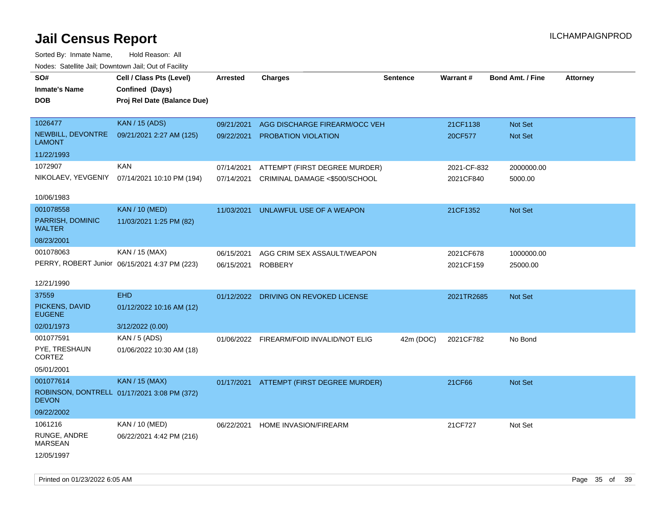| i vuuto. Talelille Jall, Dowlltowii Jall, Out of Facility |                                               |                 |                                          |                 |             |                         |                 |
|-----------------------------------------------------------|-----------------------------------------------|-----------------|------------------------------------------|-----------------|-------------|-------------------------|-----------------|
| SO#                                                       | Cell / Class Pts (Level)                      | <b>Arrested</b> | <b>Charges</b>                           | <b>Sentence</b> | Warrant#    | <b>Bond Amt. / Fine</b> | <b>Attorney</b> |
| <b>Inmate's Name</b>                                      | Confined (Days)                               |                 |                                          |                 |             |                         |                 |
| <b>DOB</b>                                                | Proj Rel Date (Balance Due)                   |                 |                                          |                 |             |                         |                 |
|                                                           |                                               |                 |                                          |                 |             |                         |                 |
| 1026477                                                   | <b>KAN / 15 (ADS)</b>                         | 09/21/2021      | AGG DISCHARGE FIREARM/OCC VEH            |                 | 21CF1138    | Not Set                 |                 |
| NEWBILL, DEVONTRE<br><b>LAMONT</b>                        | 09/21/2021 2:27 AM (125)                      | 09/22/2021      | PROBATION VIOLATION                      |                 | 20CF577     | Not Set                 |                 |
| 11/22/1993                                                |                                               |                 |                                          |                 |             |                         |                 |
| 1072907                                                   | <b>KAN</b>                                    | 07/14/2021      | ATTEMPT (FIRST DEGREE MURDER)            |                 | 2021-CF-832 | 2000000.00              |                 |
| NIKOLAEV, YEVGENIY                                        | 07/14/2021 10:10 PM (194)                     | 07/14/2021      | CRIMINAL DAMAGE <\$500/SCHOOL            |                 | 2021CF840   | 5000.00                 |                 |
|                                                           |                                               |                 |                                          |                 |             |                         |                 |
| 10/06/1983                                                |                                               |                 |                                          |                 |             |                         |                 |
| 001078558                                                 | <b>KAN / 10 (MED)</b>                         | 11/03/2021      | UNLAWFUL USE OF A WEAPON                 |                 | 21CF1352    | Not Set                 |                 |
| PARRISH, DOMINIC<br><b>WALTER</b>                         | 11/03/2021 1:25 PM (82)                       |                 |                                          |                 |             |                         |                 |
| 08/23/2001                                                |                                               |                 |                                          |                 |             |                         |                 |
| 001078063                                                 | KAN / 15 (MAX)                                | 06/15/2021      | AGG CRIM SEX ASSAULT/WEAPON              |                 | 2021CF678   | 1000000.00              |                 |
|                                                           | PERRY, ROBERT Junior 06/15/2021 4:37 PM (223) | 06/15/2021      | <b>ROBBERY</b>                           |                 | 2021CF159   | 25000.00                |                 |
|                                                           |                                               |                 |                                          |                 |             |                         |                 |
| 12/21/1990                                                |                                               |                 |                                          |                 |             |                         |                 |
| 37559                                                     | <b>EHD</b>                                    |                 | 01/12/2022 DRIVING ON REVOKED LICENSE    |                 | 2021TR2685  | Not Set                 |                 |
| PICKENS, DAVID<br><b>EUGENE</b>                           | 01/12/2022 10:16 AM (12)                      |                 |                                          |                 |             |                         |                 |
| 02/01/1973                                                | 3/12/2022 (0.00)                              |                 |                                          |                 |             |                         |                 |
| 001077591                                                 | KAN / 5 (ADS)                                 |                 | 01/06/2022 FIREARM/FOID INVALID/NOT ELIG | 42m (DOC)       | 2021CF782   | No Bond                 |                 |
| PYE, TRESHAUN<br>CORTEZ                                   | 01/06/2022 10:30 AM (18)                      |                 |                                          |                 |             |                         |                 |
| 05/01/2001                                                |                                               |                 |                                          |                 |             |                         |                 |
| 001077614                                                 | KAN / 15 (MAX)                                |                 | 01/17/2021 ATTEMPT (FIRST DEGREE MURDER) |                 | 21CF66      | <b>Not Set</b>          |                 |
| <b>DEVON</b>                                              | ROBINSON, DONTRELL 01/17/2021 3:08 PM (372)   |                 |                                          |                 |             |                         |                 |
| 09/22/2002                                                |                                               |                 |                                          |                 |             |                         |                 |
| 1061216                                                   | KAN / 10 (MED)                                | 06/22/2021      | <b>HOME INVASION/FIREARM</b>             |                 | 21CF727     | Not Set                 |                 |
| RUNGE, ANDRE<br><b>MARSEAN</b>                            | 06/22/2021 4:42 PM (216)                      |                 |                                          |                 |             |                         |                 |
| 12/05/1997                                                |                                               |                 |                                          |                 |             |                         |                 |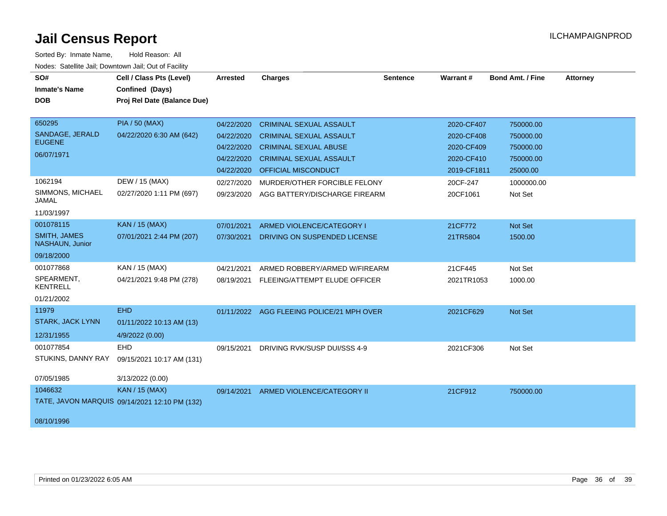| SO#                                    | Cell / Class Pts (Level)                      | Arrested   | <b>Charges</b>                            | <b>Sentence</b> | Warrant#    | Bond Amt. / Fine | <b>Attorney</b> |
|----------------------------------------|-----------------------------------------------|------------|-------------------------------------------|-----------------|-------------|------------------|-----------------|
| <b>Inmate's Name</b>                   | Confined (Days)                               |            |                                           |                 |             |                  |                 |
| <b>DOB</b>                             | Proj Rel Date (Balance Due)                   |            |                                           |                 |             |                  |                 |
|                                        |                                               |            |                                           |                 |             |                  |                 |
| 650295                                 | <b>PIA / 50 (MAX)</b>                         | 04/22/2020 | <b>CRIMINAL SEXUAL ASSAULT</b>            |                 | 2020-CF407  | 750000.00        |                 |
| SANDAGE, JERALD                        | 04/22/2020 6:30 AM (642)                      | 04/22/2020 | <b>CRIMINAL SEXUAL ASSAULT</b>            |                 | 2020-CF408  | 750000.00        |                 |
| <b>EUGENE</b>                          |                                               | 04/22/2020 | <b>CRIMINAL SEXUAL ABUSE</b>              |                 | 2020-CF409  | 750000.00        |                 |
| 06/07/1971                             |                                               | 04/22/2020 | <b>CRIMINAL SEXUAL ASSAULT</b>            |                 | 2020-CF410  | 750000.00        |                 |
|                                        |                                               | 04/22/2020 | OFFICIAL MISCONDUCT                       |                 | 2019-CF1811 | 25000.00         |                 |
| 1062194                                | DEW / 15 (MAX)                                | 02/27/2020 | MURDER/OTHER FORCIBLE FELONY              |                 | 20CF-247    | 1000000.00       |                 |
| SIMMONS, MICHAEL<br><b>JAMAL</b>       | 02/27/2020 1:11 PM (697)                      | 09/23/2020 | AGG BATTERY/DISCHARGE FIREARM             |                 | 20CF1061    | Not Set          |                 |
| 11/03/1997                             |                                               |            |                                           |                 |             |                  |                 |
| 001078115                              | <b>KAN / 15 (MAX)</b>                         | 07/01/2021 | ARMED VIOLENCE/CATEGORY I                 |                 | 21CF772     | Not Set          |                 |
| <b>SMITH, JAMES</b><br>NASHAUN, Junior | 07/01/2021 2:44 PM (207)                      | 07/30/2021 | DRIVING ON SUSPENDED LICENSE              |                 | 21TR5804    | 1500.00          |                 |
| 09/18/2000                             |                                               |            |                                           |                 |             |                  |                 |
| 001077868                              | KAN / 15 (MAX)                                | 04/21/2021 | ARMED ROBBERY/ARMED W/FIREARM             |                 | 21CF445     | Not Set          |                 |
| SPEARMENT,<br><b>KENTRELL</b>          | 04/21/2021 9:48 PM (278)                      | 08/19/2021 | FLEEING/ATTEMPT ELUDE OFFICER             |                 | 2021TR1053  | 1000.00          |                 |
| 01/21/2002                             |                                               |            |                                           |                 |             |                  |                 |
| 11979                                  | <b>EHD</b>                                    |            | 01/11/2022 AGG FLEEING POLICE/21 MPH OVER |                 | 2021CF629   | Not Set          |                 |
| <b>STARK, JACK LYNN</b>                | 01/11/2022 10:13 AM (13)                      |            |                                           |                 |             |                  |                 |
| 12/31/1955                             | 4/9/2022 (0.00)                               |            |                                           |                 |             |                  |                 |
| 001077854                              | <b>EHD</b>                                    | 09/15/2021 | DRIVING RVK/SUSP DUI/SSS 4-9              |                 | 2021CF306   | Not Set          |                 |
| STUKINS, DANNY RAY                     | 09/15/2021 10:17 AM (131)                     |            |                                           |                 |             |                  |                 |
| 07/05/1985                             | 3/13/2022 (0.00)                              |            |                                           |                 |             |                  |                 |
| 1046632                                | <b>KAN / 15 (MAX)</b>                         | 09/14/2021 | ARMED VIOLENCE/CATEGORY II                |                 | 21CF912     | 750000.00        |                 |
|                                        | TATE, JAVON MARQUIS 09/14/2021 12:10 PM (132) |            |                                           |                 |             |                  |                 |
| 08/10/1996                             |                                               |            |                                           |                 |             |                  |                 |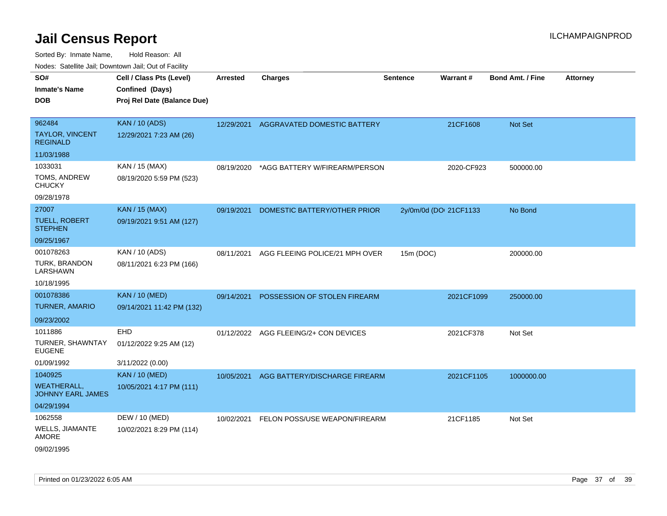| rouco. Calcillo Jali, Downtown Jali, Out of Facility |                             |                 |                                        |                 |                        |                         |                 |
|------------------------------------------------------|-----------------------------|-----------------|----------------------------------------|-----------------|------------------------|-------------------------|-----------------|
| SO#                                                  | Cell / Class Pts (Level)    | <b>Arrested</b> | <b>Charges</b>                         | <b>Sentence</b> | <b>Warrant#</b>        | <b>Bond Amt. / Fine</b> | <b>Attorney</b> |
| Inmate's Name                                        | Confined (Days)             |                 |                                        |                 |                        |                         |                 |
| DOB                                                  | Proj Rel Date (Balance Due) |                 |                                        |                 |                        |                         |                 |
|                                                      |                             |                 |                                        |                 |                        |                         |                 |
| 962484                                               | <b>KAN / 10 (ADS)</b>       |                 | 12/29/2021 AGGRAVATED DOMESTIC BATTERY |                 | 21CF1608               | <b>Not Set</b>          |                 |
| TAYLOR, VINCENT<br><b>REGINALD</b>                   | 12/29/2021 7:23 AM (26)     |                 |                                        |                 |                        |                         |                 |
| 11/03/1988                                           |                             |                 |                                        |                 |                        |                         |                 |
| 1033031                                              | KAN / 15 (MAX)              | 08/19/2020      | *AGG BATTERY W/FIREARM/PERSON          |                 | 2020-CF923             | 500000.00               |                 |
| TOMS, ANDREW<br>CHUCKY                               | 08/19/2020 5:59 PM (523)    |                 |                                        |                 |                        |                         |                 |
| 09/28/1978                                           |                             |                 |                                        |                 |                        |                         |                 |
| 27007                                                | <b>KAN / 15 (MAX)</b>       | 09/19/2021      | DOMESTIC BATTERY/OTHER PRIOR           |                 | 2y/0m/0d (DOI 21CF1133 | No Bond                 |                 |
| TUELL, ROBERT<br><b>STEPHEN</b>                      | 09/19/2021 9:51 AM (127)    |                 |                                        |                 |                        |                         |                 |
| 09/25/1967                                           |                             |                 |                                        |                 |                        |                         |                 |
| 001078263                                            | KAN / 10 (ADS)              | 08/11/2021      | AGG FLEEING POLICE/21 MPH OVER         | 15m (DOC)       |                        | 200000.00               |                 |
| TURK, BRANDON<br>LARSHAWN                            | 08/11/2021 6:23 PM (166)    |                 |                                        |                 |                        |                         |                 |
| 10/18/1995                                           |                             |                 |                                        |                 |                        |                         |                 |
| 001078386                                            | <b>KAN / 10 (MED)</b>       | 09/14/2021      | POSSESSION OF STOLEN FIREARM           |                 | 2021CF1099             | 250000.00               |                 |
| <b>TURNER, AMARIO</b>                                | 09/14/2021 11:42 PM (132)   |                 |                                        |                 |                        |                         |                 |
| 09/23/2002                                           |                             |                 |                                        |                 |                        |                         |                 |
| 1011886                                              | EHD                         |                 | 01/12/2022 AGG FLEEING/2+ CON DEVICES  |                 | 2021CF378              | Not Set                 |                 |
| TURNER, SHAWNTAY<br>EUGENE                           | 01/12/2022 9:25 AM (12)     |                 |                                        |                 |                        |                         |                 |
| 01/09/1992                                           | 3/11/2022 (0.00)            |                 |                                        |                 |                        |                         |                 |
| 1040925                                              | <b>KAN / 10 (MED)</b>       | 10/05/2021      | AGG BATTERY/DISCHARGE FIREARM          |                 | 2021CF1105             | 1000000.00              |                 |
| WEATHERALL.<br>JOHNNY EARL JAMES                     | 10/05/2021 4:17 PM (111)    |                 |                                        |                 |                        |                         |                 |
| 04/29/1994                                           |                             |                 |                                        |                 |                        |                         |                 |
| 1062558                                              | DEW / 10 (MED)              | 10/02/2021      | FELON POSS/USE WEAPON/FIREARM          |                 | 21CF1185               | Not Set                 |                 |
| WELLS, JIAMANTE<br>AMORE                             | 10/02/2021 8:29 PM (114)    |                 |                                        |                 |                        |                         |                 |
| 09/02/1995                                           |                             |                 |                                        |                 |                        |                         |                 |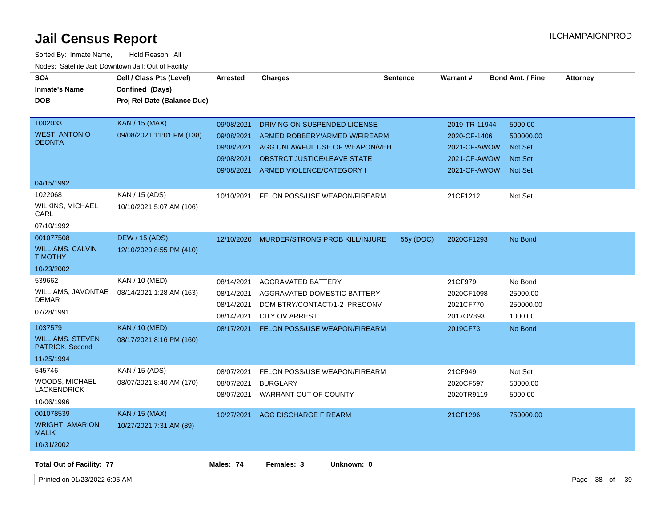| SO#<br><b>Inmate's Name</b><br><b>DOB</b>                           | Cell / Class Pts (Level)<br>Confined (Days)<br>Proj Rel Date (Balance Due) | <b>Arrested</b>                                                    | <b>Charges</b>                                                                                                                                              | <b>Sentence</b> | <b>Warrant#</b>                                                               | <b>Bond Amt. / Fine</b>                                                    | <b>Attorney</b>    |  |
|---------------------------------------------------------------------|----------------------------------------------------------------------------|--------------------------------------------------------------------|-------------------------------------------------------------------------------------------------------------------------------------------------------------|-----------------|-------------------------------------------------------------------------------|----------------------------------------------------------------------------|--------------------|--|
| 1002033<br><b>WEST, ANTONIO</b><br><b>DEONTA</b>                    | <b>KAN / 15 (MAX)</b><br>09/08/2021 11:01 PM (138)                         | 09/08/2021<br>09/08/2021<br>09/08/2021<br>09/08/2021<br>09/08/2021 | DRIVING ON SUSPENDED LICENSE<br>ARMED ROBBERY/ARMED W/FIREARM<br>AGG UNLAWFUL USE OF WEAPON/VEH<br>OBSTRCT JUSTICE/LEAVE STATE<br>ARMED VIOLENCE/CATEGORY I |                 | 2019-TR-11944<br>2020-CF-1406<br>2021-CF-AWOW<br>2021-CF-AWOW<br>2021-CF-AWOW | 5000.00<br>500000.00<br><b>Not Set</b><br><b>Not Set</b><br><b>Not Set</b> |                    |  |
| 04/15/1992                                                          |                                                                            |                                                                    |                                                                                                                                                             |                 |                                                                               |                                                                            |                    |  |
| 1022068<br><b>WILKINS, MICHAEL</b><br>CARL<br>07/10/1992            | KAN / 15 (ADS)<br>10/10/2021 5:07 AM (106)                                 | 10/10/2021                                                         | FELON POSS/USE WEAPON/FIREARM                                                                                                                               |                 | 21CF1212                                                                      | Not Set                                                                    |                    |  |
| 001077508                                                           | <b>DEW / 15 (ADS)</b>                                                      | 12/10/2020                                                         | MURDER/STRONG PROB KILL/INJURE                                                                                                                              | 55y (DOC)       | 2020CF1293                                                                    | No Bond                                                                    |                    |  |
| <b>WILLIAMS, CALVIN</b><br><b>TIMOTHY</b>                           | 12/10/2020 8:55 PM (410)                                                   |                                                                    |                                                                                                                                                             |                 |                                                                               |                                                                            |                    |  |
| 10/23/2002                                                          |                                                                            |                                                                    |                                                                                                                                                             |                 |                                                                               |                                                                            |                    |  |
| 539662<br>WILLIAMS, JAVONTAE<br><b>DEMAR</b><br>07/28/1991          | KAN / 10 (MED)<br>08/14/2021 1:28 AM (163)                                 | 08/14/2021<br>08/14/2021<br>08/14/2021<br>08/14/2021               | <b>AGGRAVATED BATTERY</b><br>AGGRAVATED DOMESTIC BATTERY<br>DOM BTRY/CONTACT/1-2 PRECONV<br><b>CITY OV ARREST</b>                                           |                 | 21CF979<br>2020CF1098<br>2021CF770<br>2017OV893                               | No Bond<br>25000.00<br>250000.00<br>1000.00                                |                    |  |
| 1037579<br><b>WILLIAMS, STEVEN</b><br>PATRICK, Second<br>11/25/1994 | <b>KAN / 10 (MED)</b><br>08/17/2021 8:16 PM (160)                          | 08/17/2021                                                         | <b>FELON POSS/USE WEAPON/FIREARM</b>                                                                                                                        |                 | 2019CF73                                                                      | No Bond                                                                    |                    |  |
| 545746<br><b>WOODS, MICHAEL</b><br><b>LACKENDRICK</b><br>10/06/1996 | KAN / 15 (ADS)<br>08/07/2021 8:40 AM (170)                                 | 08/07/2021<br>08/07/2021                                           | FELON POSS/USE WEAPON/FIREARM<br><b>BURGLARY</b><br>08/07/2021 WARRANT OUT OF COUNTY                                                                        |                 | 21CF949<br>2020CF597<br>2020TR9119                                            | Not Set<br>50000.00<br>5000.00                                             |                    |  |
| 001078539<br><b>WRIGHT, AMARION</b><br><b>MALIK</b><br>10/31/2002   | <b>KAN / 15 (MAX)</b><br>10/27/2021 7:31 AM (89)                           | 10/27/2021                                                         | AGG DISCHARGE FIREARM                                                                                                                                       |                 | 21CF1296                                                                      | 750000.00                                                                  |                    |  |
| <b>Total Out of Facility: 77</b>                                    |                                                                            | Males: 74                                                          | Females: 3<br>Unknown: 0                                                                                                                                    |                 |                                                                               |                                                                            |                    |  |
| Printed on 01/23/2022 6:05 AM                                       |                                                                            |                                                                    |                                                                                                                                                             |                 |                                                                               |                                                                            | Page 38 of<br>- 39 |  |